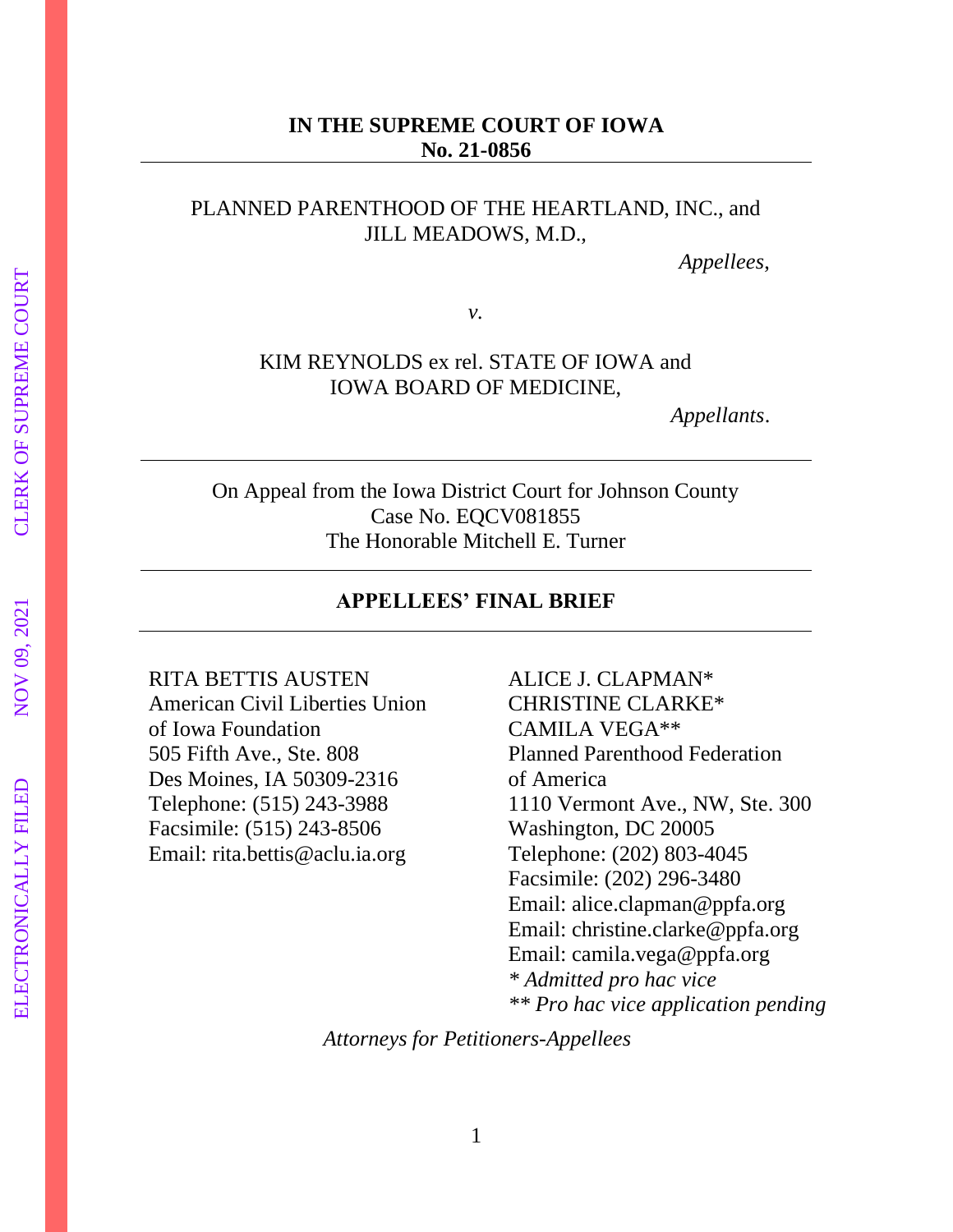## **IN THE SUPREME COURT OF IOWA No. 21-0856**

## PLANNED PARENTHOOD OF THE HEARTLAND, INC., and JILL MEADOWS, M.D.,

 *Appellees*,

*v.*

## KIM REYNOLDS ex rel. STATE OF IOWA and IOWA BOARD OF MEDICINE,

 *Appellants*.

On Appeal from the Iowa District Court for Johnson County Case No. EQCV081855 The Honorable Mitchell E. Turner

## **APPELLEES' FINAL BRIEF**

RITA BETTIS AUSTEN American Civil Liberties Union of Iowa Foundation 505 Fifth Ave., Ste. 808 Des Moines, IA 50309-2316 Telephone: (515) 243-3988 Facsimile: (515) 243-8506 Email: rita.bettis@aclu.ia.org

ALICE J. CLAPMAN\* CHRISTINE CLARKE\* CAMILA VEGA\*\* Planned Parenthood Federation of America 1110 Vermont Ave., NW, Ste. 300 Washington, DC 20005 Telephone: (202) 803-4045 Facsimile: (202) 296-3480 Email: alice.clapman@ppfa.org Email: christine.clarke@ppfa.org Email: camila.vega@ppfa.org *\* Admitted pro hac vice \*\* Pro hac vice application pending*

*Attorneys for Petitioners-Appellees*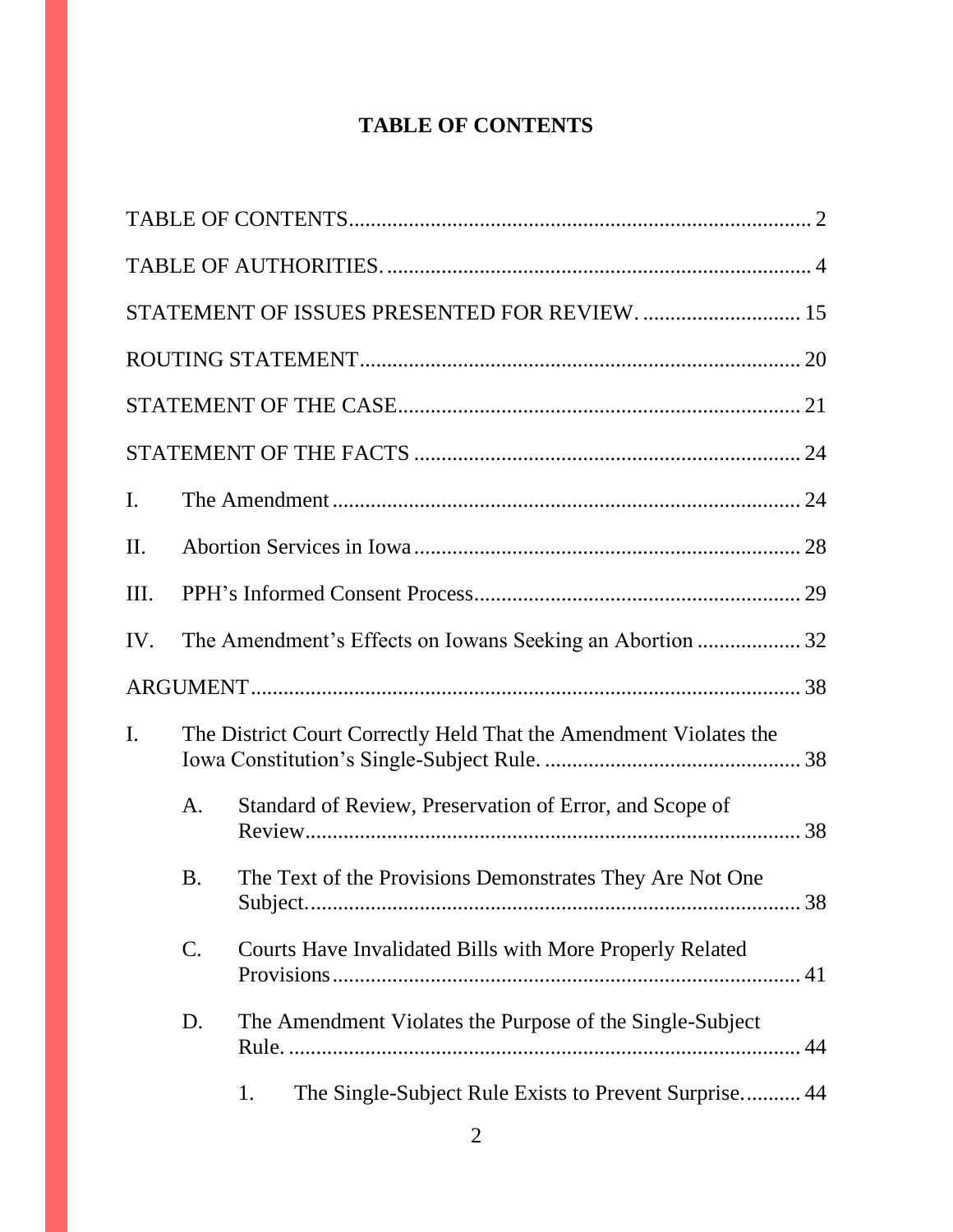# **TABLE OF CONTENTS**

|                |                 | STATEMENT OF ISSUES PRESENTED FOR REVIEW.  15                       |    |
|----------------|-----------------|---------------------------------------------------------------------|----|
|                |                 |                                                                     |    |
|                |                 |                                                                     |    |
|                |                 |                                                                     |    |
| $\mathbf{I}$ . |                 |                                                                     |    |
| II.            |                 |                                                                     |    |
| III.           |                 |                                                                     |    |
| IV.            |                 | The Amendment's Effects on Iowans Seeking an Abortion  32           |    |
|                |                 |                                                                     |    |
| $\mathbf{I}$ . |                 | The District Court Correctly Held That the Amendment Violates the   |    |
|                | A.              | Standard of Review, Preservation of Error, and Scope of             |    |
|                | <b>B.</b>       | The Text of the Provisions Demonstrates They Are Not One<br>Subject | 38 |
|                | $\mathcal{C}$ . | Courts Have Invalidated Bills with More Properly Related            |    |
|                | D.              | The Amendment Violates the Purpose of the Single-Subject            |    |
|                |                 | The Single-Subject Rule Exists to Prevent Surprise 44<br>1.         |    |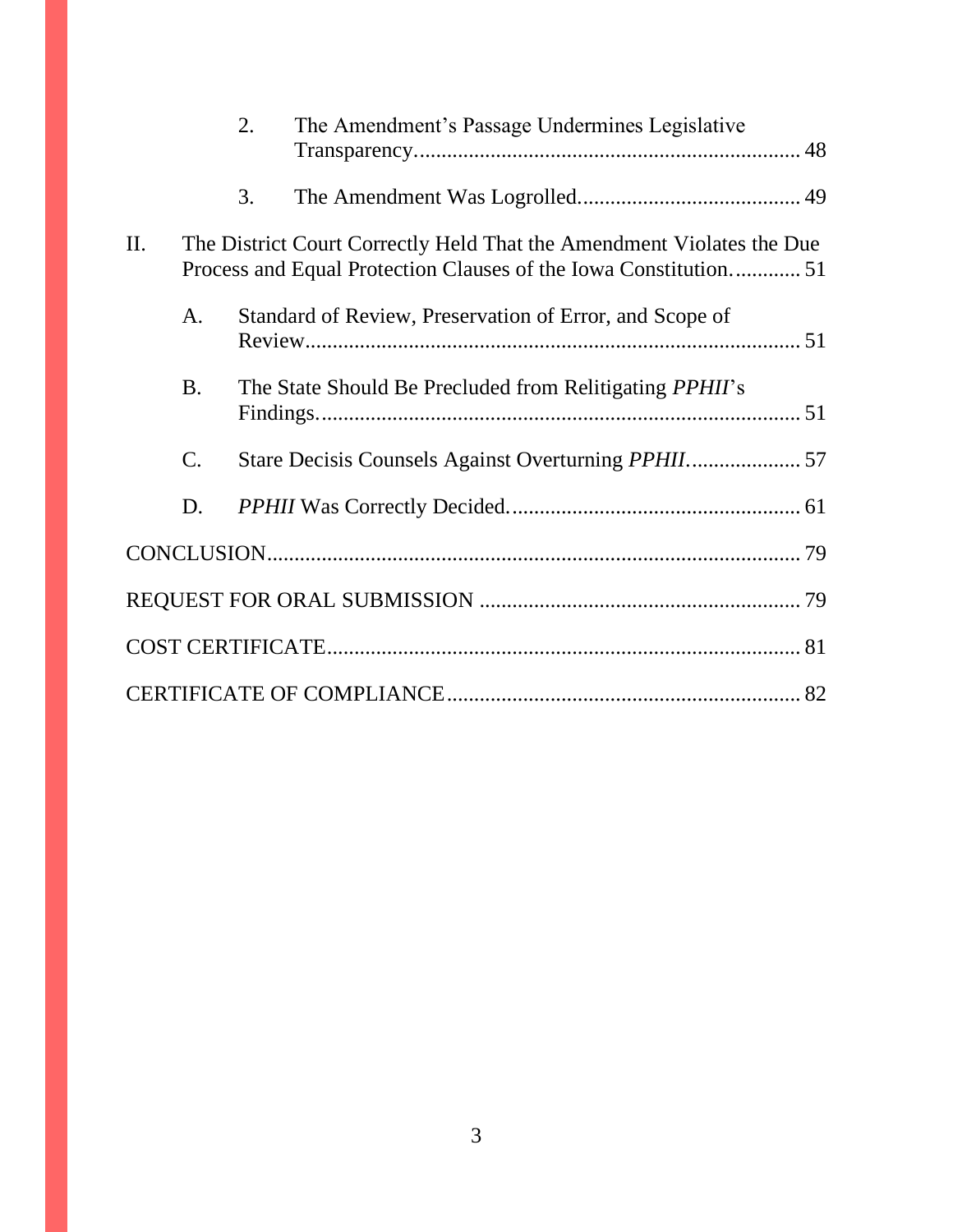|     |                 | 2. | The Amendment's Passage Undermines Legislative                                                                                            |  |
|-----|-----------------|----|-------------------------------------------------------------------------------------------------------------------------------------------|--|
|     |                 | 3. |                                                                                                                                           |  |
| II. |                 |    | The District Court Correctly Held That the Amendment Violates the Due<br>Process and Equal Protection Clauses of the Iowa Constitution 51 |  |
|     | A.              |    | Standard of Review, Preservation of Error, and Scope of                                                                                   |  |
|     | <b>B.</b>       |    | The State Should Be Precluded from Relitigating <i>PPHII</i> 's                                                                           |  |
|     | $\mathcal{C}$ . |    | Stare Decisis Counsels Against Overturning PPHII 57                                                                                       |  |
|     | D.              |    |                                                                                                                                           |  |
|     |                 |    |                                                                                                                                           |  |
|     |                 |    |                                                                                                                                           |  |
|     |                 |    |                                                                                                                                           |  |
|     |                 |    |                                                                                                                                           |  |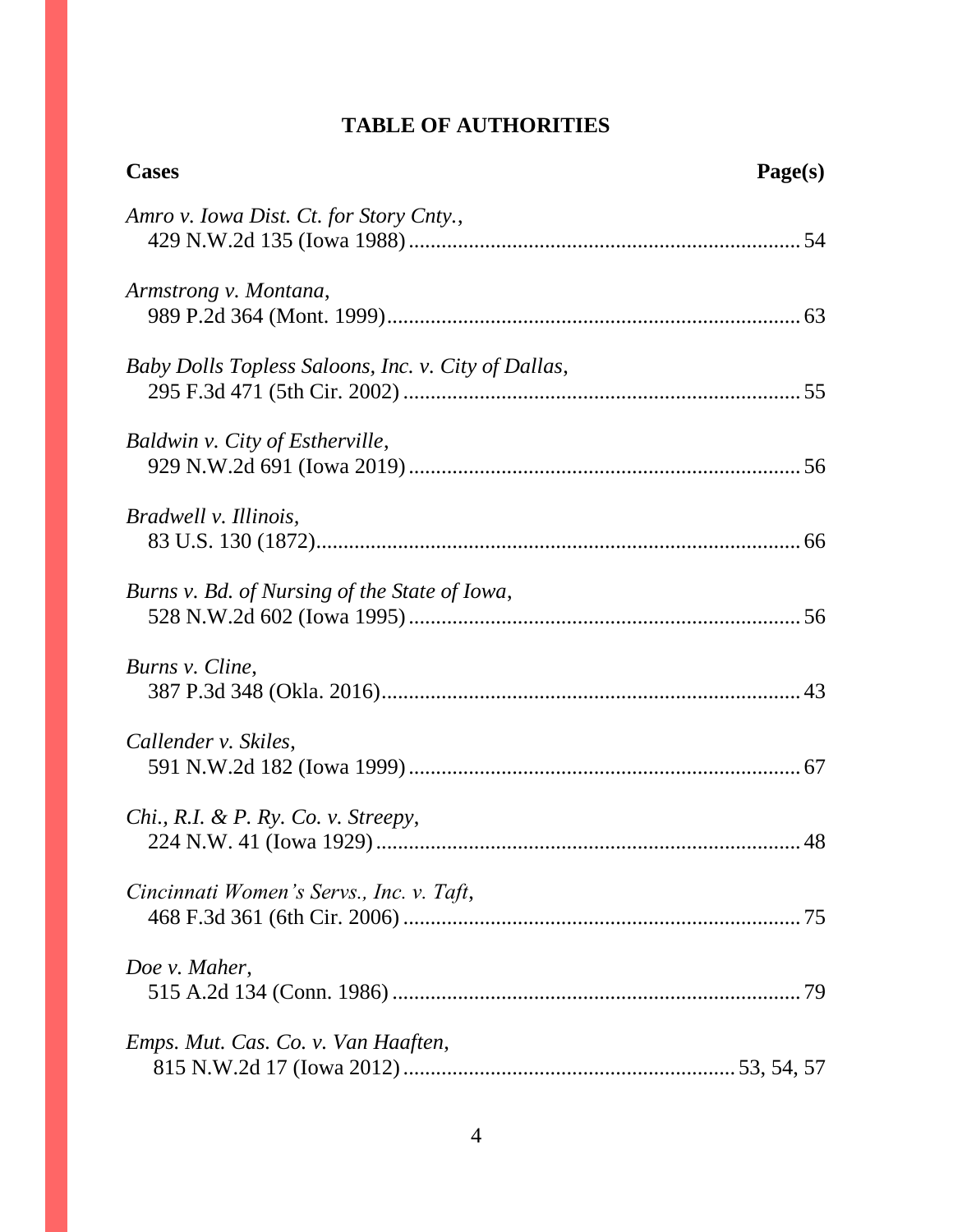## **TABLE OF AUTHORITIES**

| <b>Cases</b>                                        | Page(s) |
|-----------------------------------------------------|---------|
| Amro v. Iowa Dist. Ct. for Story Cnty.,             |         |
| Armstrong v. Montana,                               |         |
| Baby Dolls Topless Saloons, Inc. v. City of Dallas, |         |
| Baldwin v. City of Estherville,                     |         |
| Bradwell v. Illinois,                               |         |
| Burns v. Bd. of Nursing of the State of Iowa,       |         |
| Burns v. Cline,                                     |         |
| Callender v. Skiles,                                |         |
| Chi., R.I. & P. Ry. Co. v. Streepy,                 |         |
| Cincinnati Women's Servs., Inc. v. Taft,            |         |
| Doe v. Maher,                                       |         |
| Emps. Mut. Cas. Co. v. Van Haaften,                 |         |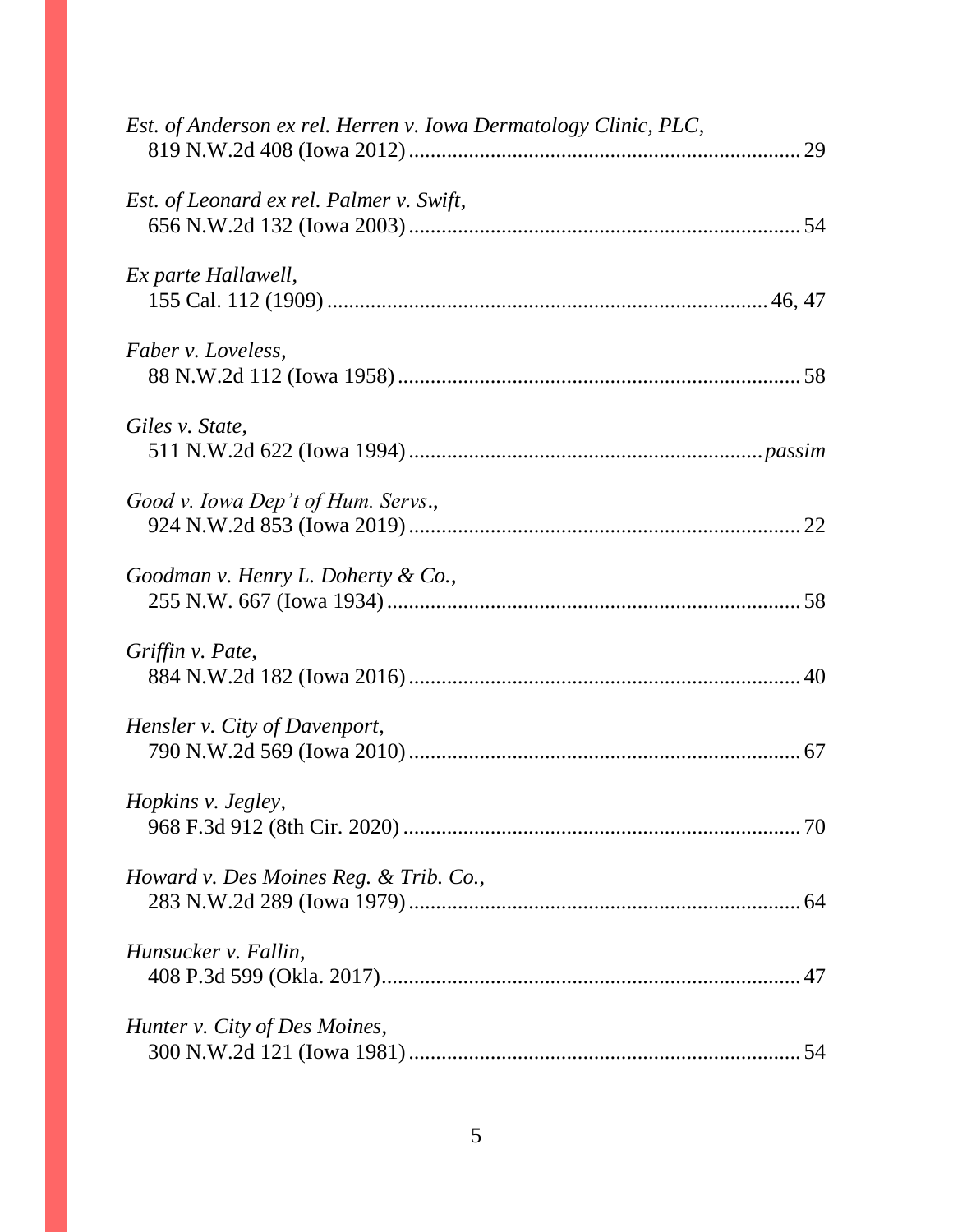| Est. of Anderson ex rel. Herren v. Iowa Dermatology Clinic, PLC, |  |
|------------------------------------------------------------------|--|
| Est. of Leonard ex rel. Palmer v. Swift,                         |  |
| Ex parte Hallawell,                                              |  |
| <i>Faber v. Loveless,</i>                                        |  |
| Giles v. State,                                                  |  |
| Good v. Iowa Dep't of Hum. Servs.,                               |  |
| Goodman v. Henry L. Doherty & Co.,                               |  |
| Griffin v. Pate,                                                 |  |
| Hensler v. City of Davenport,                                    |  |
| Hopkins v. Jegley,                                               |  |
| Howard v. Des Moines Reg. & Trib. Co.,                           |  |
| Hunsucker v. Fallin,                                             |  |
| Hunter v. City of Des Moines,                                    |  |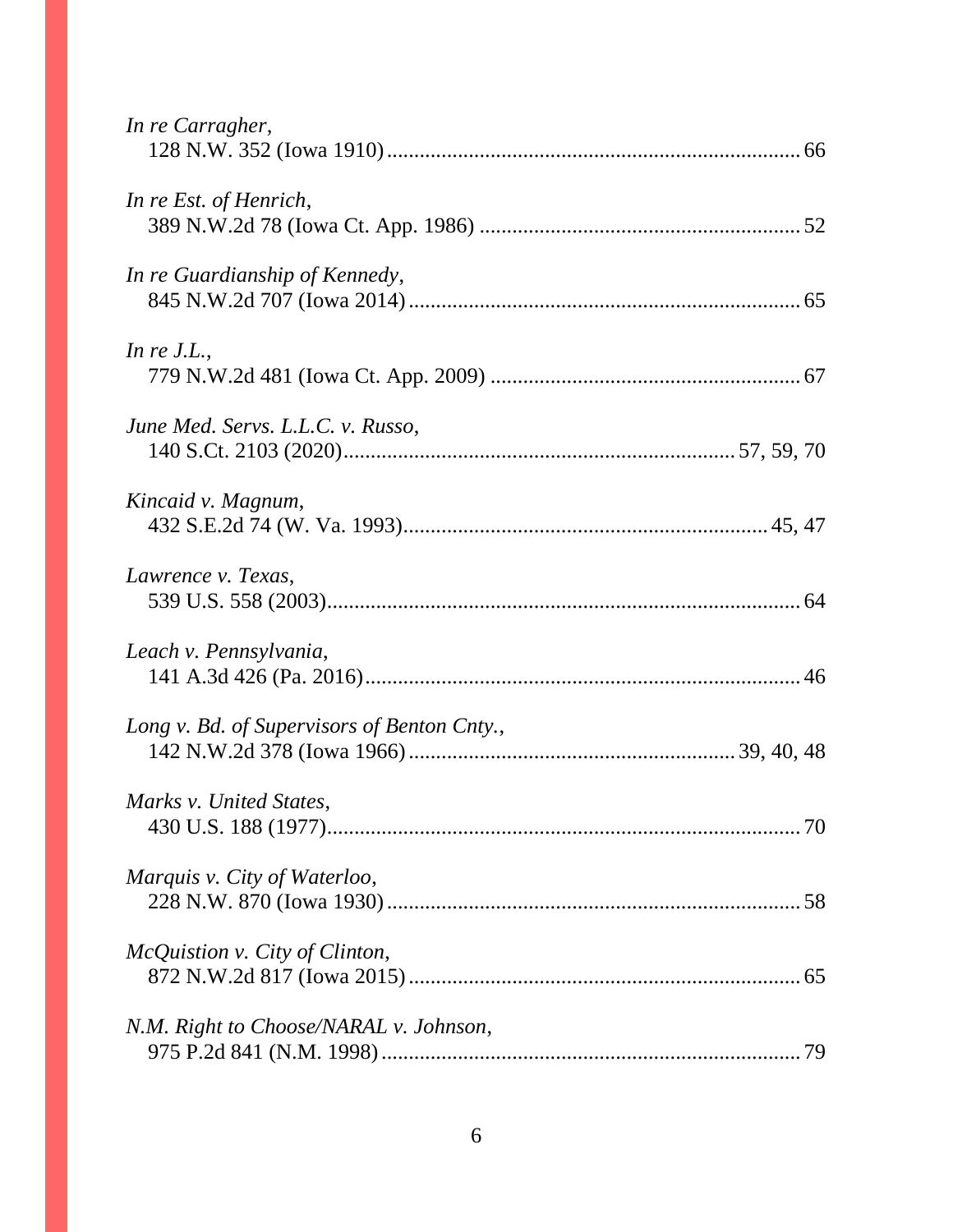| In re Carragher,                            |
|---------------------------------------------|
| In re Est. of Henrich,                      |
| In re Guardianship of Kennedy,              |
| In $re$ J.L.,                               |
| June Med. Servs. L.L.C. v. Russo,           |
| Kincaid v. Magnum,                          |
| Lawrence v. Texas,                          |
| Leach v. Pennsylvania,                      |
| Long v. Bd. of Supervisors of Benton Cnty., |
| Marks v. United States,                     |
| Marquis v. City of Waterloo,                |
| McQuistion v. City of Clinton,              |
| N.M. Right to Choose/NARAL v. Johnson,      |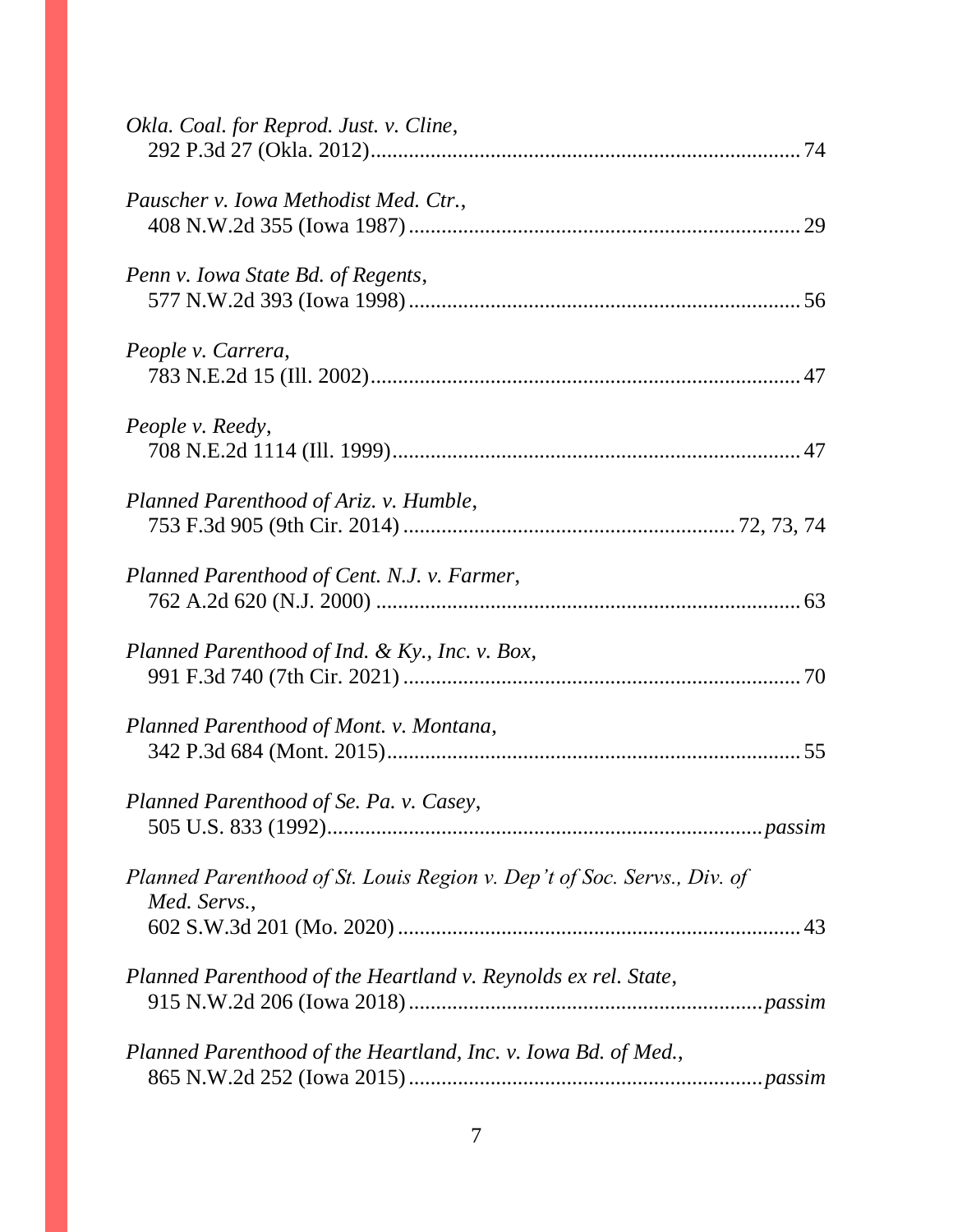| Okla. Coal. for Reprod. Just. v. Cline,                                                 |
|-----------------------------------------------------------------------------------------|
| Pauscher v. Iowa Methodist Med. Ctr.,                                                   |
| Penn v. Iowa State Bd. of Regents,                                                      |
| People v. Carrera,                                                                      |
| People v. Reedy,                                                                        |
| Planned Parenthood of Ariz. v. Humble,                                                  |
| Planned Parenthood of Cent. N.J. v. Farmer,                                             |
| Planned Parenthood of Ind. & Ky., Inc. v. Box,                                          |
| Planned Parenthood of Mont. v. Montana,                                                 |
| Planned Parenthood of Se. Pa. v. Casey,                                                 |
| Planned Parenthood of St. Louis Region v. Dep't of Soc. Servs., Div. of<br>Med. Servs., |
| Planned Parenthood of the Heartland v. Reynolds ex rel. State,                          |
| Planned Parenthood of the Heartland, Inc. v. Iowa Bd. of Med.,                          |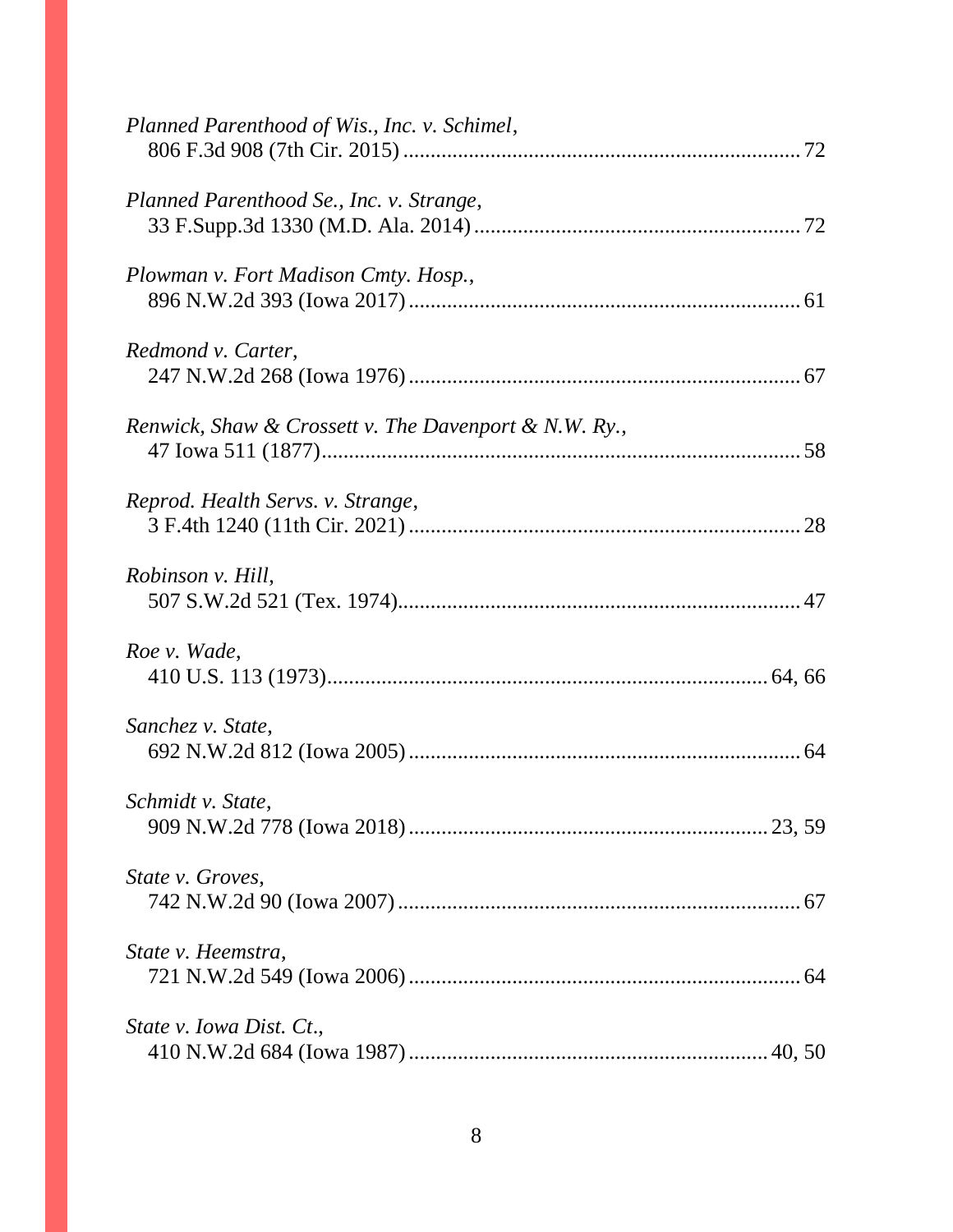| Planned Parenthood of Wis., Inc. v. Schimel,          |
|-------------------------------------------------------|
| Planned Parenthood Se., Inc. v. Strange,              |
| Plowman v. Fort Madison Cmty. Hosp.,                  |
| Redmond v. Carter,                                    |
| Renwick, Shaw & Crossett v. The Davenport & N.W. Ry., |
| Reprod. Health Servs. v. Strange,                     |
| Robinson v. Hill,                                     |
| Roe v. Wade,                                          |
| Sanchez v. State,                                     |
| Schmidt v. State,                                     |
| State v. Groves,                                      |
| State v. Heemstra,                                    |
| State v. Iowa Dist. Ct.,                              |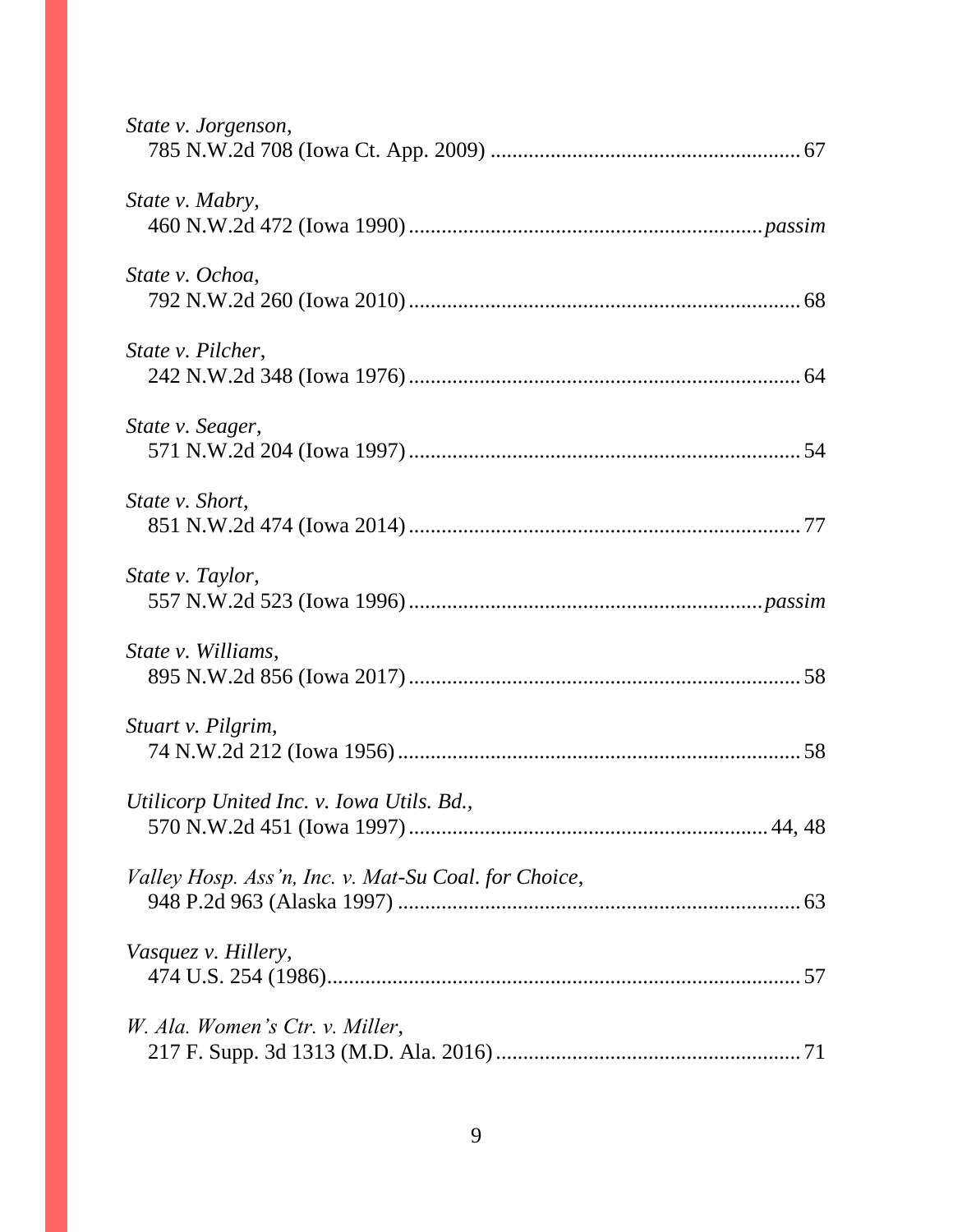| State v. Jorgenson,                                  |
|------------------------------------------------------|
| State v. Mabry,                                      |
| State v. Ochoa,                                      |
| State v. Pilcher,                                    |
| State v. Seager,                                     |
| State v. Short,                                      |
| State v. Taylor,                                     |
| State v. Williams,                                   |
| Stuart v. Pilgrim,                                   |
| Utilicorp United Inc. v. Iowa Utils. Bd.,            |
| Valley Hosp. Ass'n, Inc. v. Mat-Su Coal. for Choice, |
| Vasquez v. Hillery,                                  |
| W. Ala. Women's Ctr. v. Miller,                      |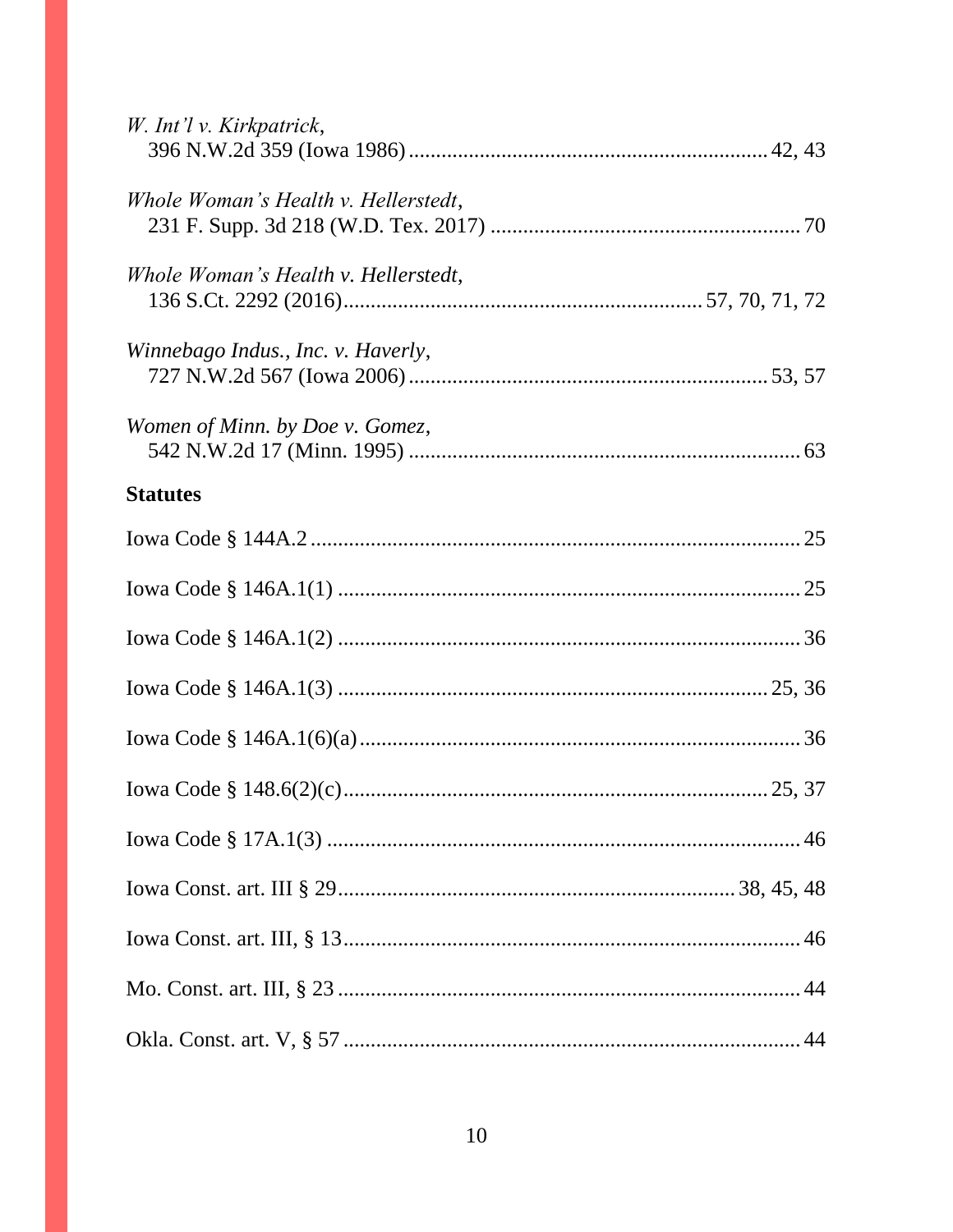| W. Int'l v. Kirkpatrick,             |  |
|--------------------------------------|--|
| Whole Woman's Health v. Hellerstedt, |  |
| Whole Woman's Health v. Hellerstedt, |  |
| Winnebago Indus., Inc. v. Haverly,   |  |
| Women of Minn. by Doe v. Gomez,      |  |
| <b>Statutes</b>                      |  |
|                                      |  |
|                                      |  |
|                                      |  |
|                                      |  |
|                                      |  |
|                                      |  |
|                                      |  |
|                                      |  |
|                                      |  |
|                                      |  |
|                                      |  |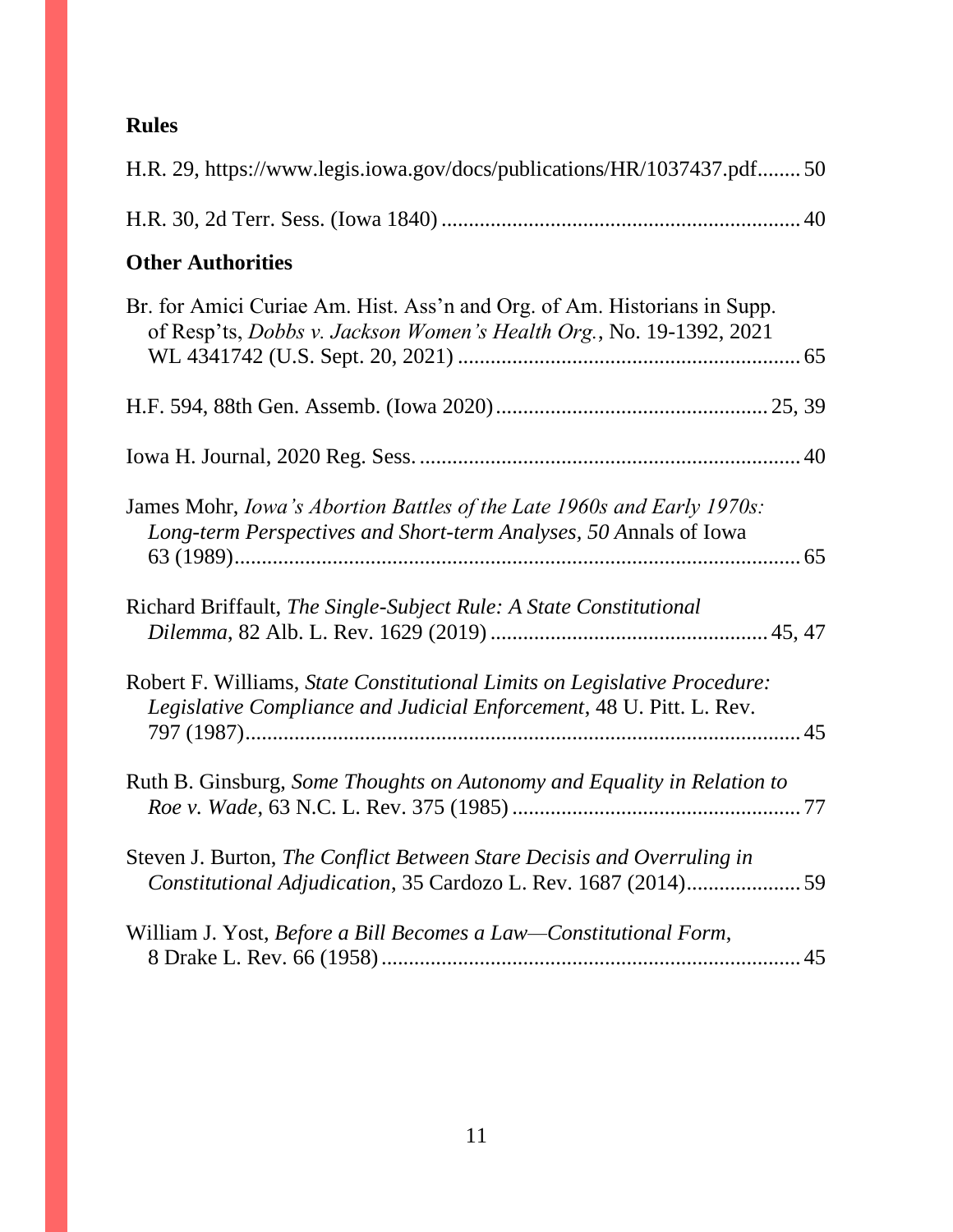# **Rules**

| H.R. 29, https://www.legis.iowa.gov/docs/publications/HR/1037437.pdf50                                                                            |
|---------------------------------------------------------------------------------------------------------------------------------------------------|
|                                                                                                                                                   |
| <b>Other Authorities</b>                                                                                                                          |
| Br. for Amici Curiae Am. Hist. Ass'n and Org. of Am. Historians in Supp.<br>of Resp'ts, Dobbs v. Jackson Women's Health Org., No. 19-1392, 2021   |
|                                                                                                                                                   |
|                                                                                                                                                   |
| James Mohr, Iowa's Abortion Battles of the Late 1960s and Early 1970s:<br>Long-term Perspectives and Short-term Analyses, 50 Annals of Iowa       |
| Richard Briffault, The Single-Subject Rule: A State Constitutional                                                                                |
| Robert F. Williams, State Constitutional Limits on Legislative Procedure:<br>Legislative Compliance and Judicial Enforcement, 48 U. Pitt. L. Rev. |
| Ruth B. Ginsburg, Some Thoughts on Autonomy and Equality in Relation to                                                                           |
| Steven J. Burton, The Conflict Between Stare Decisis and Overruling in<br>Constitutional Adjudication, 35 Cardozo L. Rev. 1687 (2014)59           |
| William J. Yost, Before a Bill Becomes a Law—Constitutional Form,                                                                                 |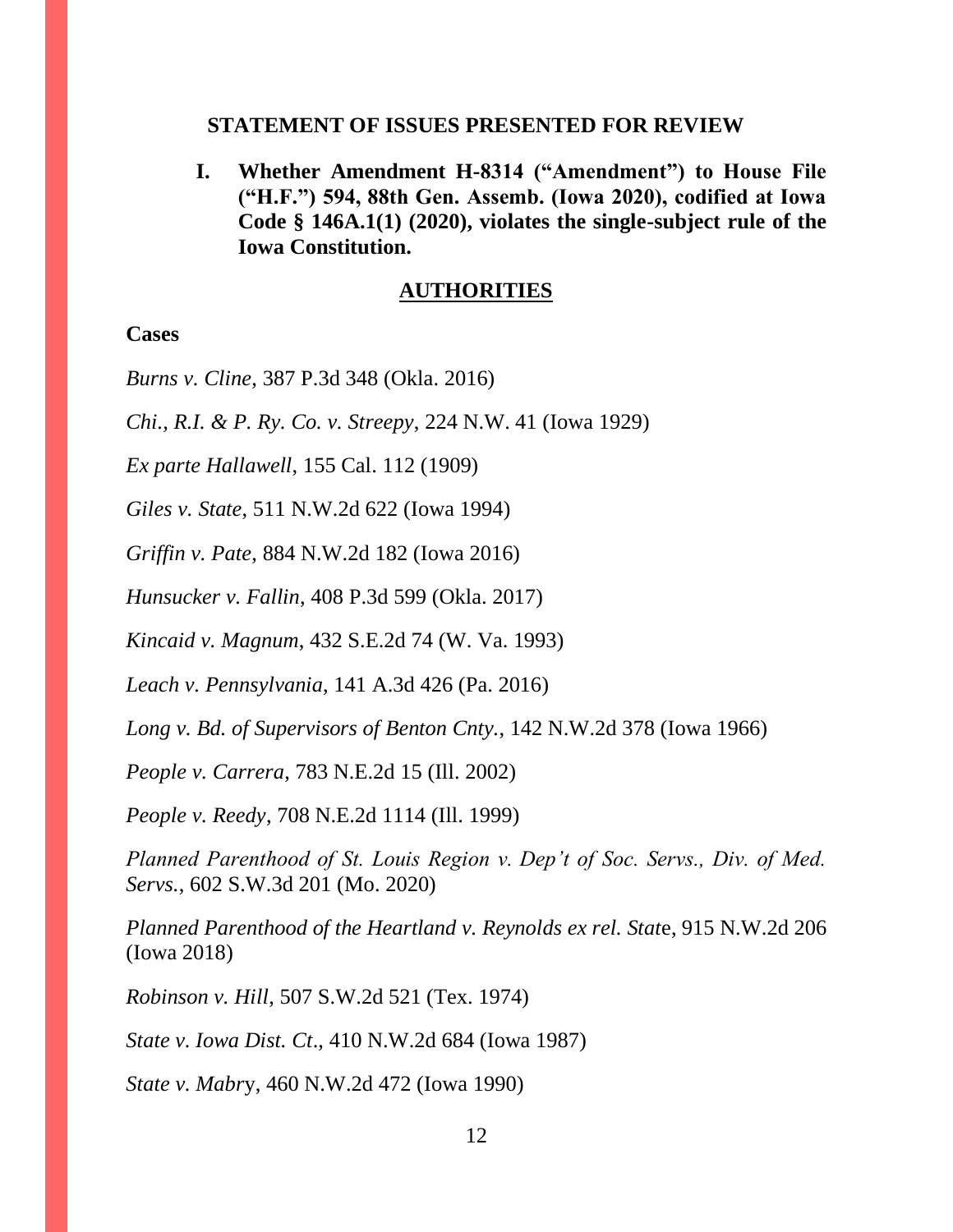#### **STATEMENT OF ISSUES PRESENTED FOR REVIEW**

**I. Whether Amendment H-8314 ("Amendment") to House File ("H.F.") 594, 88th Gen. Assemb. (Iowa 2020), codified at Iowa Code § 146A.1(1) (2020), violates the single-subject rule of the Iowa Constitution.** 

## **AUTHORITIES**

#### **Cases**

*Burns v. Cline*, 387 P.3d 348 (Okla. 2016)

*Chi., R.I. & P. Ry. Co. v. Streepy*, 224 N.W. 41 (Iowa 1929)

*Ex parte Hallawell*, 155 Cal. 112 (1909)

*Giles v. State*, 511 N.W.2d 622 (Iowa 1994)

*Griffin v. Pate*, 884 N.W.2d 182 (Iowa 2016)

*Hunsucker v. Fallin*, 408 P.3d 599 (Okla. 2017)

*Kincaid v. Magnum*, 432 S.E.2d 74 (W. Va. 1993)

*Leach v. Pennsylvania*, 141 A.3d 426 (Pa. 2016)

*Long v. Bd. of Supervisors of Benton Cnty.*, 142 N.W.2d 378 (Iowa 1966)

*People v. Carrera*, 783 N.E.2d 15 (Ill. 2002)

*People v. Reedy*, 708 N.E.2d 1114 (Ill. 1999)

*Planned Parenthood of St. Louis Region v. Dep't of Soc. Servs., Div. of Med. Servs.*, 602 S.W.3d 201 (Mo. 2020)

*Planned Parenthood of the Heartland v. Reynolds ex rel. Stat*e, 915 N.W.2d 206 (Iowa 2018)

*Robinson v. Hill*, 507 S.W.2d 521 (Tex. 1974)

*State v. Iowa Dist. Ct*., 410 N.W.2d 684 (Iowa 1987)

*State v. Mabr*y, 460 N.W.2d 472 (Iowa 1990)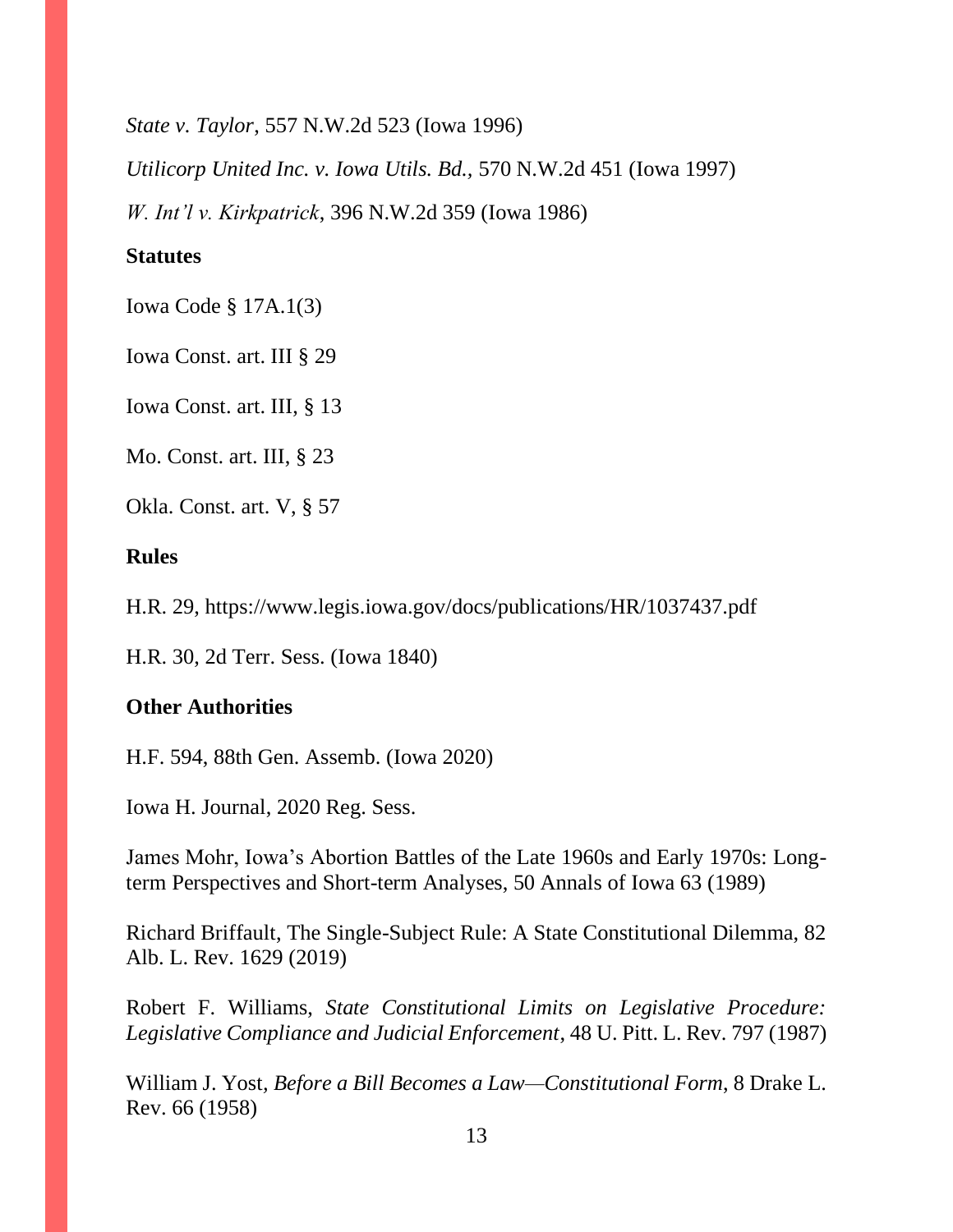*State v. Taylor*, 557 N.W.2d 523 (Iowa 1996)

*Utilicorp United Inc. v. Iowa Utils. Bd.,* 570 N.W.2d 451 (Iowa 1997)

*W. Int'l v. Kirkpatrick*, 396 N.W.2d 359 (Iowa 1986)

## **Statutes**

Iowa Code § 17A.1(3)

Iowa Const. art. III § 29

Iowa Const. art. III, § 13

Mo. Const. art. III, § 23

Okla. Const. art. V, § 57

## **Rules**

H.R. 29, https://www.legis.iowa.gov/docs/publications/HR/1037437.pdf

H.R. 30, 2d Terr. Sess. (Iowa 1840)

## **Other Authorities**

H.F. 594, 88th Gen. Assemb. (Iowa 2020)

Iowa H. Journal, 2020 Reg. Sess.

James Mohr, Iowa's Abortion Battles of the Late 1960s and Early 1970s: Longterm Perspectives and Short-term Analyses, 50 Annals of Iowa 63 (1989)

Richard Briffault, The Single-Subject Rule: A State Constitutional Dilemma, 82 Alb. L. Rev. 1629 (2019)

Robert F. Williams, *State Constitutional Limits on Legislative Procedure: Legislative Compliance and Judicial Enforcement*, 48 U. Pitt. L. Rev. 797 (1987)

William J. Yost*, Before a Bill Becomes a Law—Constitutional Form*, 8 Drake L. Rev. 66 (1958)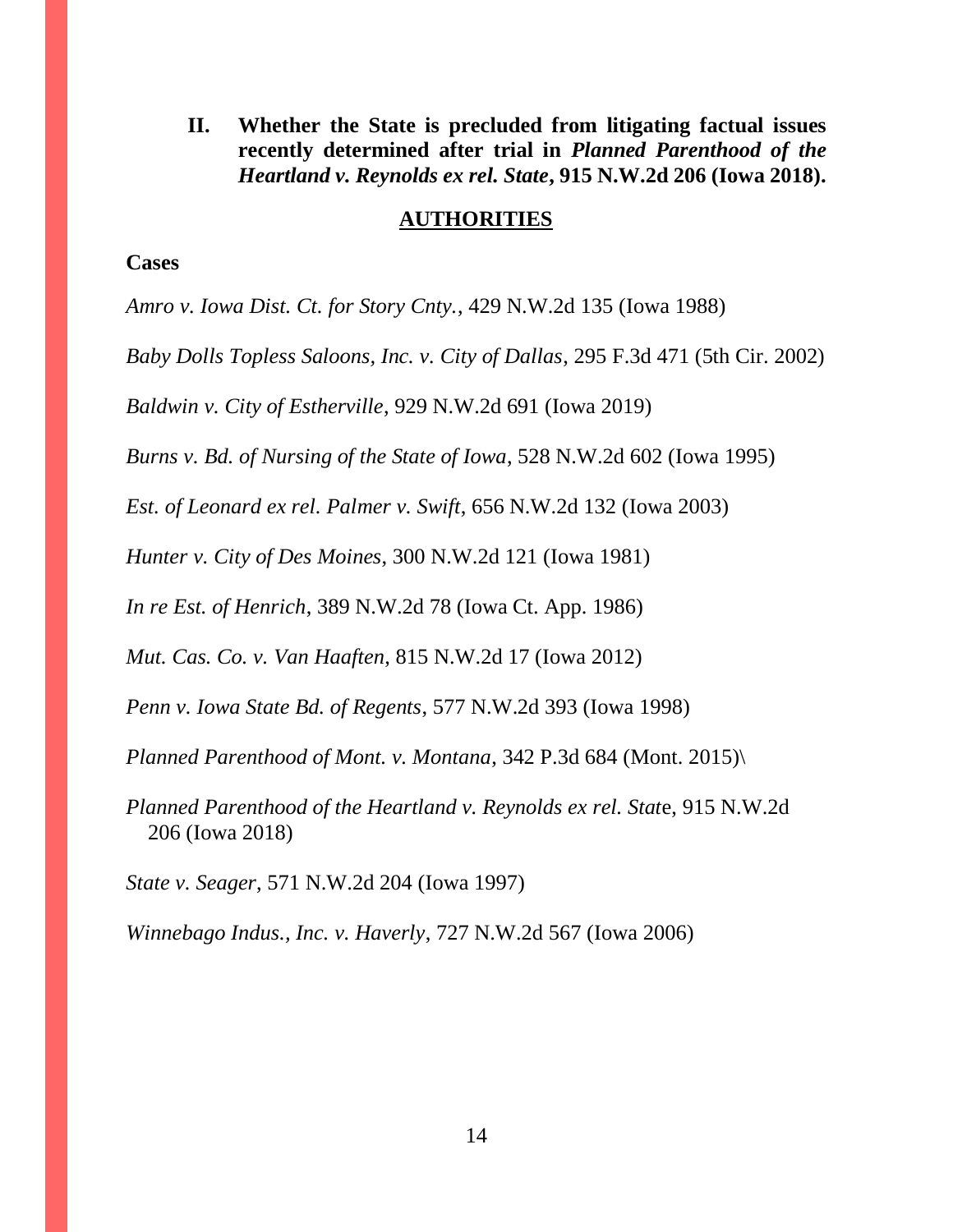**II. Whether the State is precluded from litigating factual issues recently determined after trial in** *Planned Parenthood of the Heartland v. Reynolds ex rel. State***, 915 N.W.2d 206 (Iowa 2018).** 

#### **AUTHORITIES**

#### **Cases**

*Amro v. Iowa Dist. Ct. for Story Cnty.*, 429 N.W.2d 135 (Iowa 1988)

*Baby Dolls Topless Saloons, Inc. v. City of Dallas*, 295 F.3d 471 (5th Cir. 2002)

*Baldwin v. City of Estherville*, 929 N.W.2d 691 (Iowa 2019)

*Burns v. Bd. of Nursing of the State of Iowa*, 528 N.W.2d 602 (Iowa 1995)

*Est. of Leonard ex rel. Palmer v. Swift*, 656 N.W.2d 132 (Iowa 2003)

*Hunter v. City of Des Moines*, 300 N.W.2d 121 (Iowa 1981)

*In re Est. of Henrich*, 389 N.W.2d 78 (Iowa Ct. App. 1986)

*Mut. Cas. Co. v. Van Haaften*, 815 N.W.2d 17 (Iowa 2012)

*Penn v. Iowa State Bd. of Regents*, 577 N.W.2d 393 (Iowa 1998)

*Planned Parenthood of Mont. v. Montana*, 342 P.3d 684 (Mont. 2015)\

*Planned Parenthood of the Heartland v. Reynolds ex rel. Stat*e, 915 N.W.2d 206 (Iowa 2018)

*State v. Seager*, 571 N.W.2d 204 (Iowa 1997)

*Winnebago Indus., Inc. v. Haverly*, 727 N.W.2d 567 (Iowa 2006)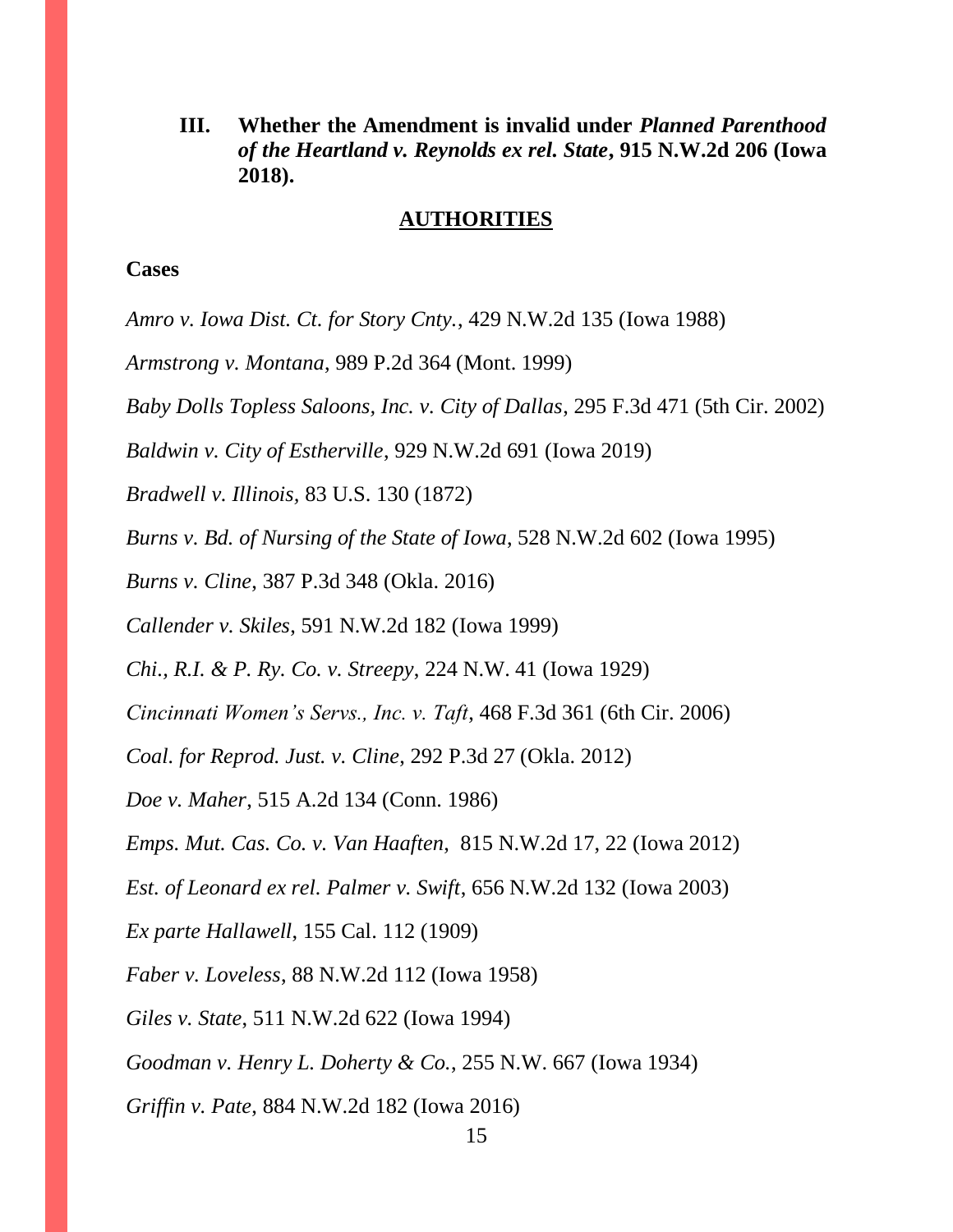**III. Whether the Amendment is invalid under** *Planned Parenthood of the Heartland v. Reynolds ex rel. State***, 915 N.W.2d 206 (Iowa 2018).** 

#### **AUTHORITIES**

#### **Cases**

*Amro v. Iowa Dist. Ct. for Story Cnty.*, 429 N.W.2d 135 (Iowa 1988)

*Armstrong v. Montana*, 989 P.2d 364 (Mont. 1999)

*Baby Dolls Topless Saloons, Inc. v. City of Dallas*, 295 F.3d 471 (5th Cir. 2002)

*Baldwin v. City of Estherville*, 929 N.W.2d 691 (Iowa 2019)

*Bradwell v. Illinois,* 83 U.S. 130 (1872)

*Burns v. Bd. of Nursing of the State of Iowa*, 528 N.W.2d 602 (Iowa 1995)

*Burns v. Cline*, 387 P.3d 348 (Okla. 2016)

*Callender v. Skiles*, 591 N.W.2d 182 (Iowa 1999)

*Chi., R.I. & P. Ry. Co. v. Streepy*, 224 N.W. 41 (Iowa 1929)

*Cincinnati Women's Servs., Inc. v. Taft*, 468 F.3d 361 (6th Cir. 2006)

*Coal. for Reprod. Just. v. Cline*, 292 P.3d 27 (Okla. 2012)

*Doe v. Maher*, 515 A.2d 134 (Conn. 1986)

*Emps. Mut. Cas. Co. v. Van Haaften*, 815 N.W.2d 17, 22 (Iowa 2012)

*Est. of Leonard ex rel. Palmer v. Swift*, 656 N.W.2d 132 (Iowa 2003)

*Ex parte Hallawell*, 155 Cal. 112 (1909)

*Faber v. Loveless*, 88 N.W.2d 112 (Iowa 1958)

*Giles v. State*, 511 N.W.2d 622 (Iowa 1994)

*Goodman v. Henry L. Doherty & Co.*, 255 N.W. 667 (Iowa 1934)

*Griffin v. Pate*, 884 N.W.2d 182 (Iowa 2016)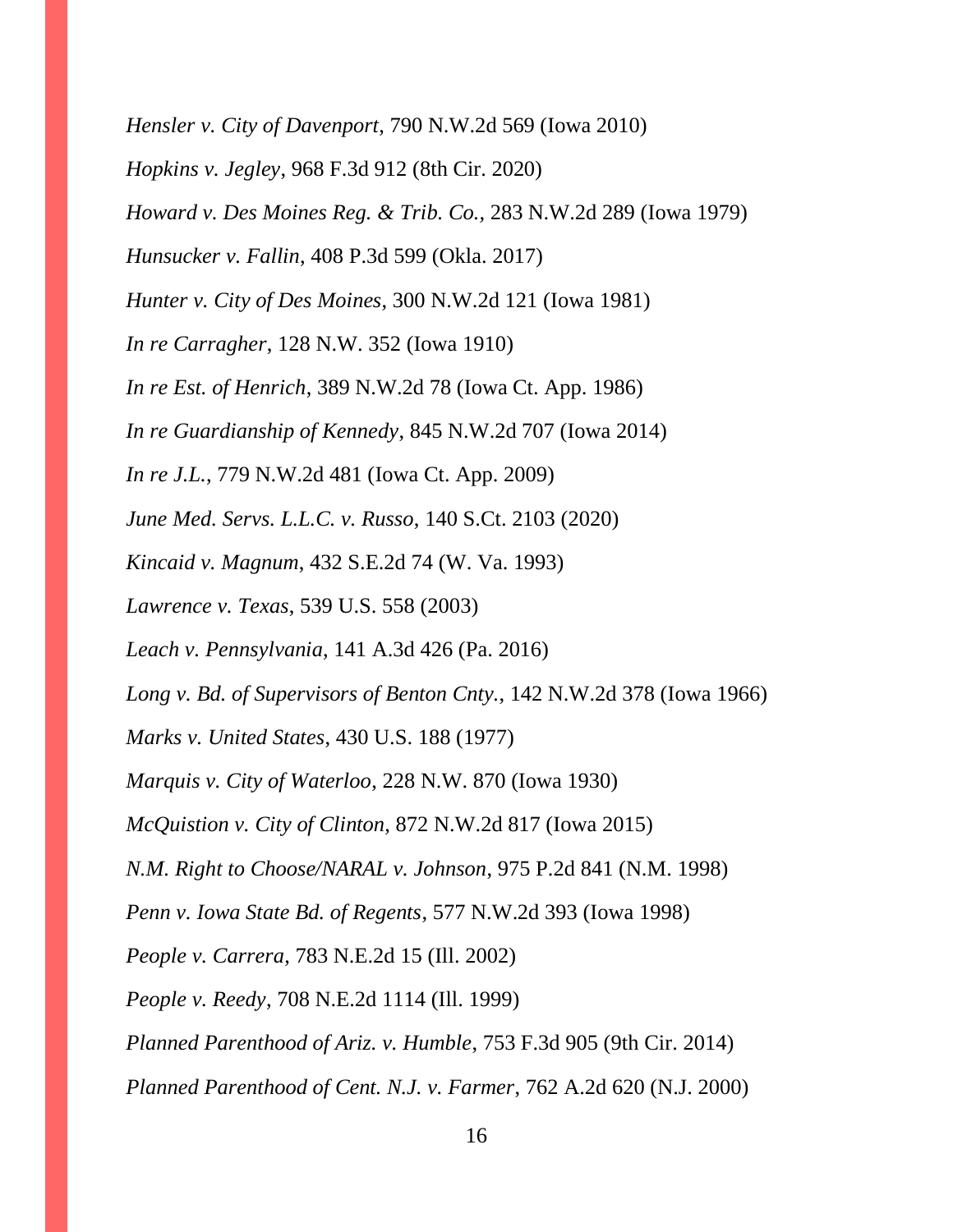*Hensler v. City of Davenport*, 790 N.W.2d 569 (Iowa 2010)

*Hopkins v. Jegley*, 968 F.3d 912 (8th Cir. 2020)

*Howard v. Des Moines Reg. & Trib. Co.,* 283 N.W.2d 289 (Iowa 1979)

*Hunsucker v. Fallin*, 408 P.3d 599 (Okla. 2017)

*Hunter v. City of Des Moines*, 300 N.W.2d 121 (Iowa 1981)

*In re Carragher*, 128 N.W. 352 (Iowa 1910)

*In re Est. of Henrich*, 389 N.W.2d 78 (Iowa Ct. App. 1986)

*In re Guardianship of Kennedy*, 845 N.W.2d 707 (Iowa 2014)

*In re J.L.*, 779 N.W.2d 481 (Iowa Ct. App. 2009)

*June Med. Servs. L.L.C. v. Russo*, 140 S.Ct. 2103 (2020)

*Kincaid v. Magnum*, 432 S.E.2d 74 (W. Va. 1993)

*Lawrence v. Texas*, 539 U.S. 558 (2003)

*Leach v. Pennsylvania*, 141 A.3d 426 (Pa. 2016)

*Long v. Bd. of Supervisors of Benton Cnty.*, 142 N.W.2d 378 (Iowa 1966)

*Marks v. United States*, 430 U.S. 188 (1977)

*Marquis v. City of Waterloo*, 228 N.W. 870 (Iowa 1930)

*McQuistion v. City of Clinton*, 872 N.W.2d 817 (Iowa 2015)

*N.M. Right to Choose/NARAL v. Johnson*, 975 P.2d 841 (N.M. 1998)

*Penn v. Iowa State Bd. of Regents*, 577 N.W.2d 393 (Iowa 1998)

*People v. Carrera*, 783 N.E.2d 15 (Ill. 2002)

*People v. Reedy*, 708 N.E.2d 1114 (Ill. 1999)

*Planned Parenthood of Ariz. v. Humble*, 753 F.3d 905 (9th Cir. 2014)

*Planned Parenthood of Cent. N.J. v. Farmer*, 762 A.2d 620 (N.J. 2000)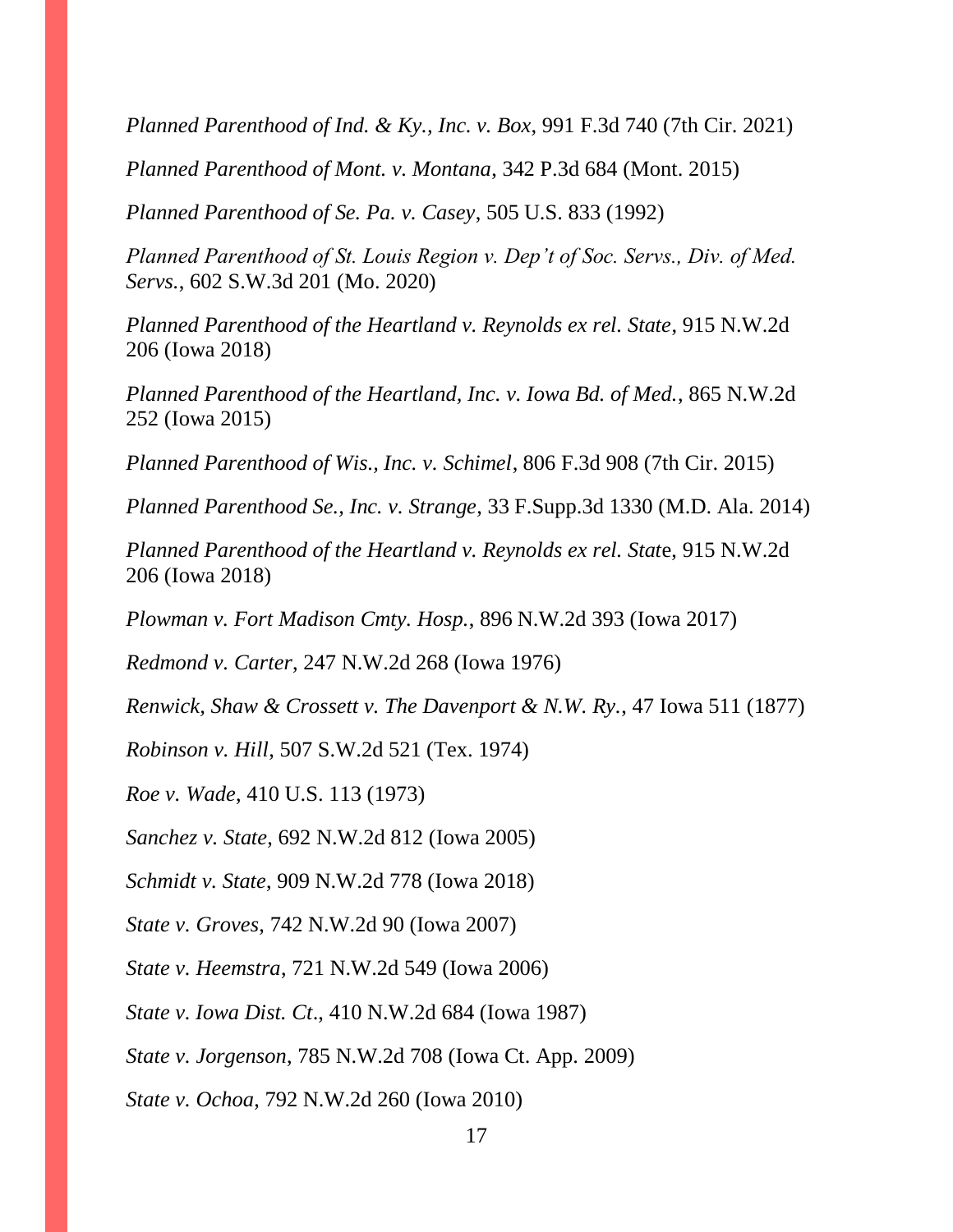*Planned Parenthood of Ind. & Ky., Inc. v. Box*, 991 F.3d 740 (7th Cir. 2021)

*Planned Parenthood of Mont. v. Montana*, 342 P.3d 684 (Mont. 2015)

*Planned Parenthood of Se. Pa. v. Casey*, 505 U.S. 833 (1992)

*Planned Parenthood of St. Louis Region v. Dep't of Soc. Servs., Div. of Med. Servs.*, 602 S.W.3d 201 (Mo. 2020)

*Planned Parenthood of the Heartland v. Reynolds ex rel. State*, 915 N.W.2d 206 (Iowa 2018)

*Planned Parenthood of the Heartland, Inc. v. Iowa Bd. of Med.*, 865 N.W.2d 252 (Iowa 2015)

*Planned Parenthood of Wis., Inc. v. Schimel*, 806 F.3d 908 (7th Cir. 2015)

*Planned Parenthood Se., Inc. v. Strange*, 33 F.Supp.3d 1330 (M.D. Ala. 2014)

*Planned Parenthood of the Heartland v. Reynolds ex rel. Stat*e, 915 N.W.2d 206 (Iowa 2018)

*Plowman v. Fort Madison Cmty. Hosp.*, 896 N.W.2d 393 (Iowa 2017)

*Redmond v. Carter*, 247 N.W.2d 268 (Iowa 1976)

*Renwick, Shaw & Crossett v. The Davenport & N.W. Ry.*, 47 Iowa 511 (1877)

*Robinson v. Hill*, 507 S.W.2d 521 (Tex. 1974)

*Roe v. Wade*, 410 U.S. 113 (1973)

*Sanchez v. State*, 692 N.W.2d 812 (Iowa 2005)

*Schmidt v. State*, 909 N.W.2d 778 (Iowa 2018)

*State v. Groves*, 742 N.W.2d 90 (Iowa 2007)

*State v. Heemstra*, 721 N.W.2d 549 (Iowa 2006)

*State v. Iowa Dist. Ct*., 410 N.W.2d 684 (Iowa 1987)

*State v. Jorgenson*, 785 N.W.2d 708 (Iowa Ct. App. 2009)

*State v. Ochoa*, 792 N.W.2d 260 (Iowa 2010)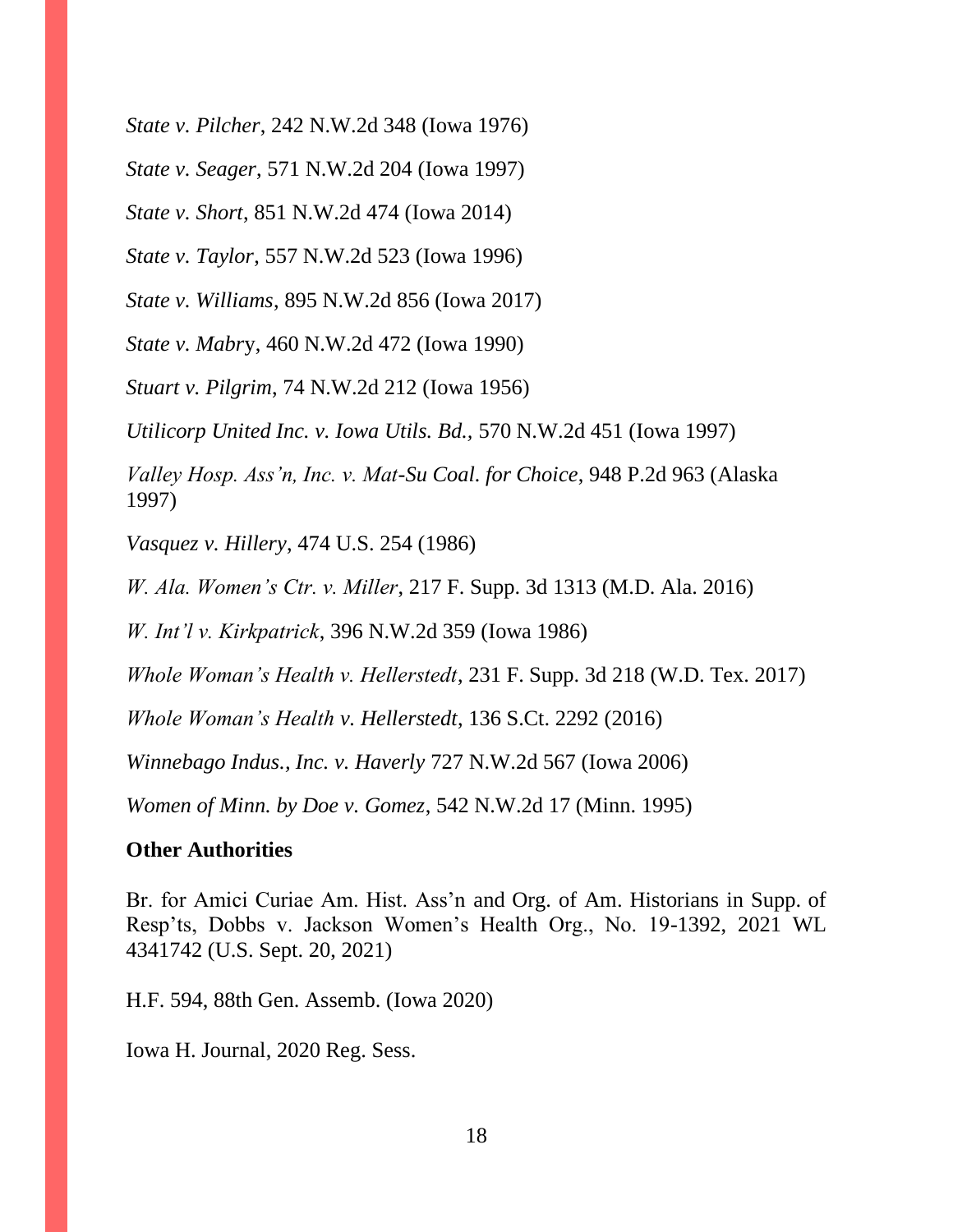*State v. Pilcher*, 242 N.W.2d 348 (Iowa 1976)

*State v. Seager*, 571 N.W.2d 204 (Iowa 1997)

*State v. Short*, 851 N.W.2d 474 (Iowa 2014)

*State v. Taylor*, 557 N.W.2d 523 (Iowa 1996)

*State v. Williams*, 895 N.W.2d 856 (Iowa 2017)

*State v. Mabr*y, 460 N.W.2d 472 (Iowa 1990)

*Stuart v. Pilgrim*, 74 N.W.2d 212 (Iowa 1956)

*Utilicorp United Inc. v. Iowa Utils. Bd.,* 570 N.W.2d 451 (Iowa 1997)

*Valley Hosp. Ass'n, Inc. v. Mat-Su Coal. for Choice*, 948 P.2d 963 (Alaska 1997)

*Vasquez v. Hillery*, 474 U.S. 254 (1986)

*W. Ala. Women's Ctr. v. Miller*, 217 F. Supp. 3d 1313 (M.D. Ala. 2016)

*W. Int'l v. Kirkpatrick*, 396 N.W.2d 359 (Iowa 1986)

*Whole Woman's Health v. Hellerstedt*, 231 F. Supp. 3d 218 (W.D. Tex. 2017)

*Whole Woman's Health v. Hellerstedt*, 136 S.Ct. 2292 (2016)

*Winnebago Indus., Inc. v. Haverly* 727 N.W.2d 567 (Iowa 2006)

*Women of Minn. by Doe v. Gomez*, 542 N.W.2d 17 (Minn. 1995)

## **Other Authorities**

Br. for Amici Curiae Am. Hist. Ass'n and Org. of Am. Historians in Supp. of Resp'ts, Dobbs v. Jackson Women's Health Org., No. 19-1392, 2021 WL 4341742 (U.S. Sept. 20, 2021)

H.F. 594, 88th Gen. Assemb. (Iowa 2020)

Iowa H. Journal, 2020 Reg. Sess.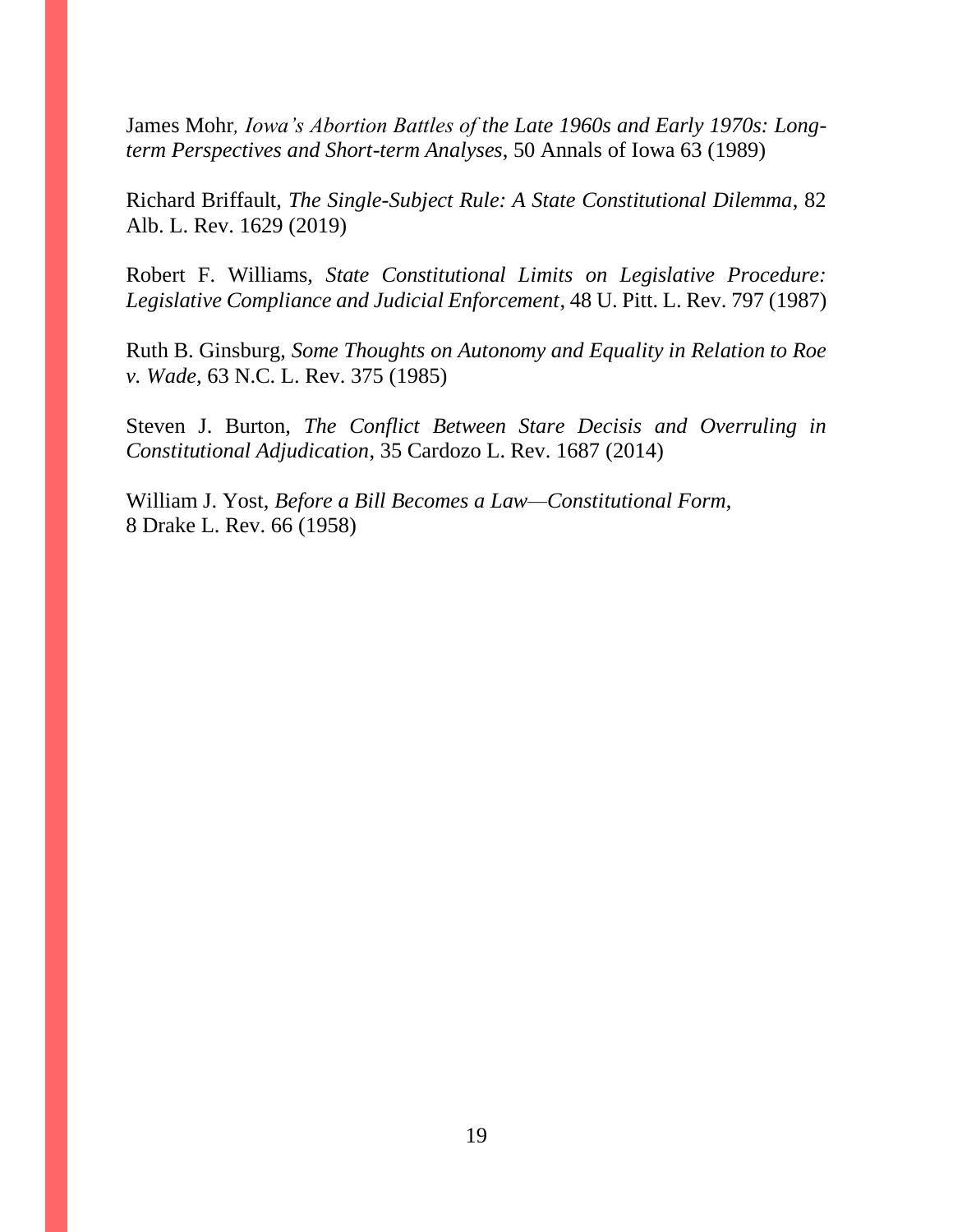James Mohr*, Iowa's Abortion Battles of the Late 1960s and Early 1970s: Longterm Perspectives and Short-term Analyses*, 50 Annals of Iowa 63 (1989)

Richard Briffault, *The Single-Subject Rule: A State Constitutional Dilemma*, 82 Alb. L. Rev. 1629 (2019)

Robert F. Williams, *State Constitutional Limits on Legislative Procedure: Legislative Compliance and Judicial Enforcement*, 48 U. Pitt. L. Rev. 797 (1987)

Ruth B. Ginsburg, *Some Thoughts on Autonomy and Equality in Relation to Roe v. Wade*, 63 N.C. L. Rev. 375 (1985)

Steven J. Burton, *The Conflict Between Stare Decisis and Overruling in Constitutional Adjudication*, 35 Cardozo L. Rev. 1687 (2014)

William J. Yost, *Before a Bill Becomes a Law—Constitutional Form*, 8 Drake L. Rev. 66 (1958)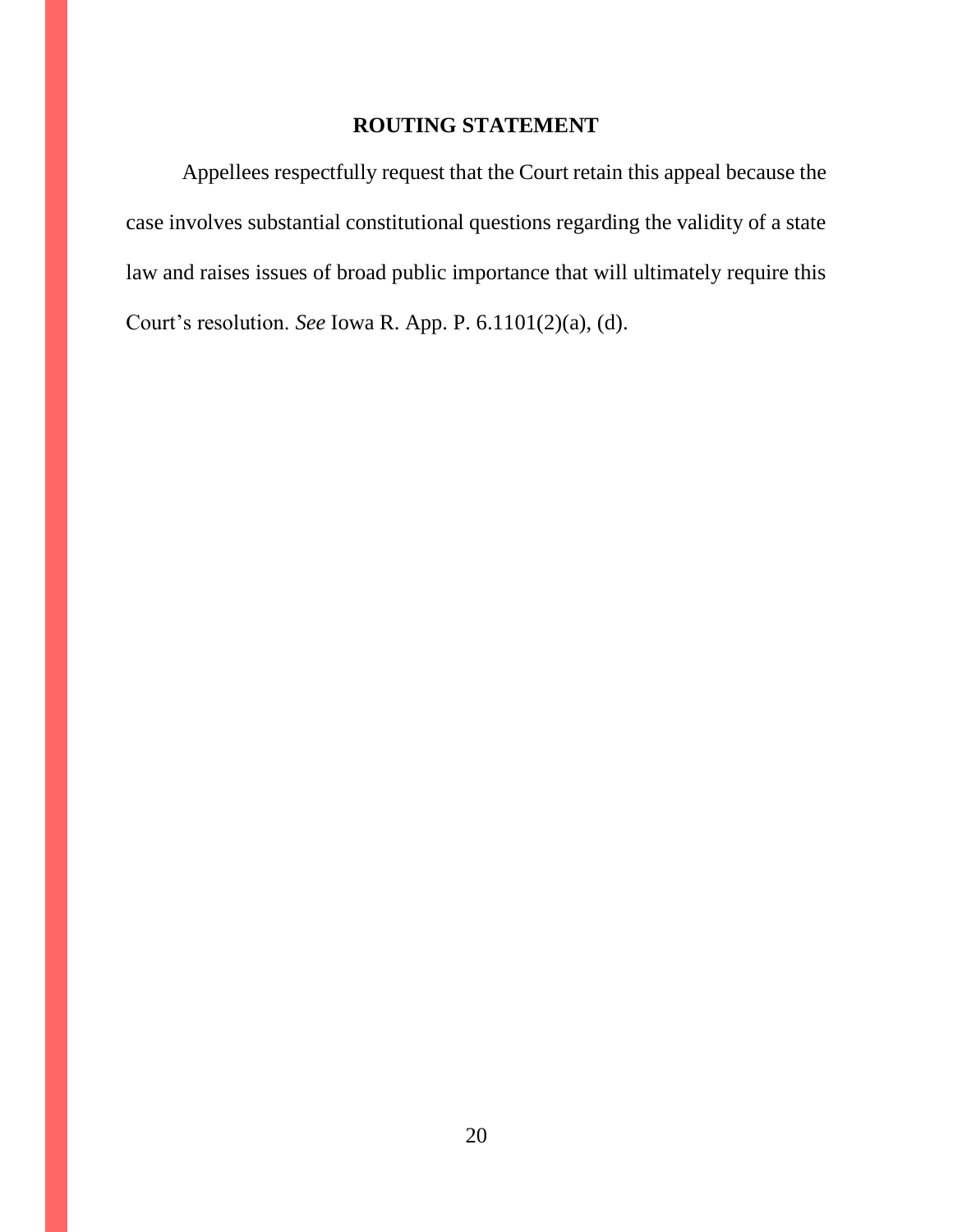## **ROUTING STATEMENT**

Appellees respectfully request that the Court retain this appeal because the case involves substantial constitutional questions regarding the validity of a state law and raises issues of broad public importance that will ultimately require this Court's resolution. *See* Iowa R. App. P. 6.1101(2)(a), (d).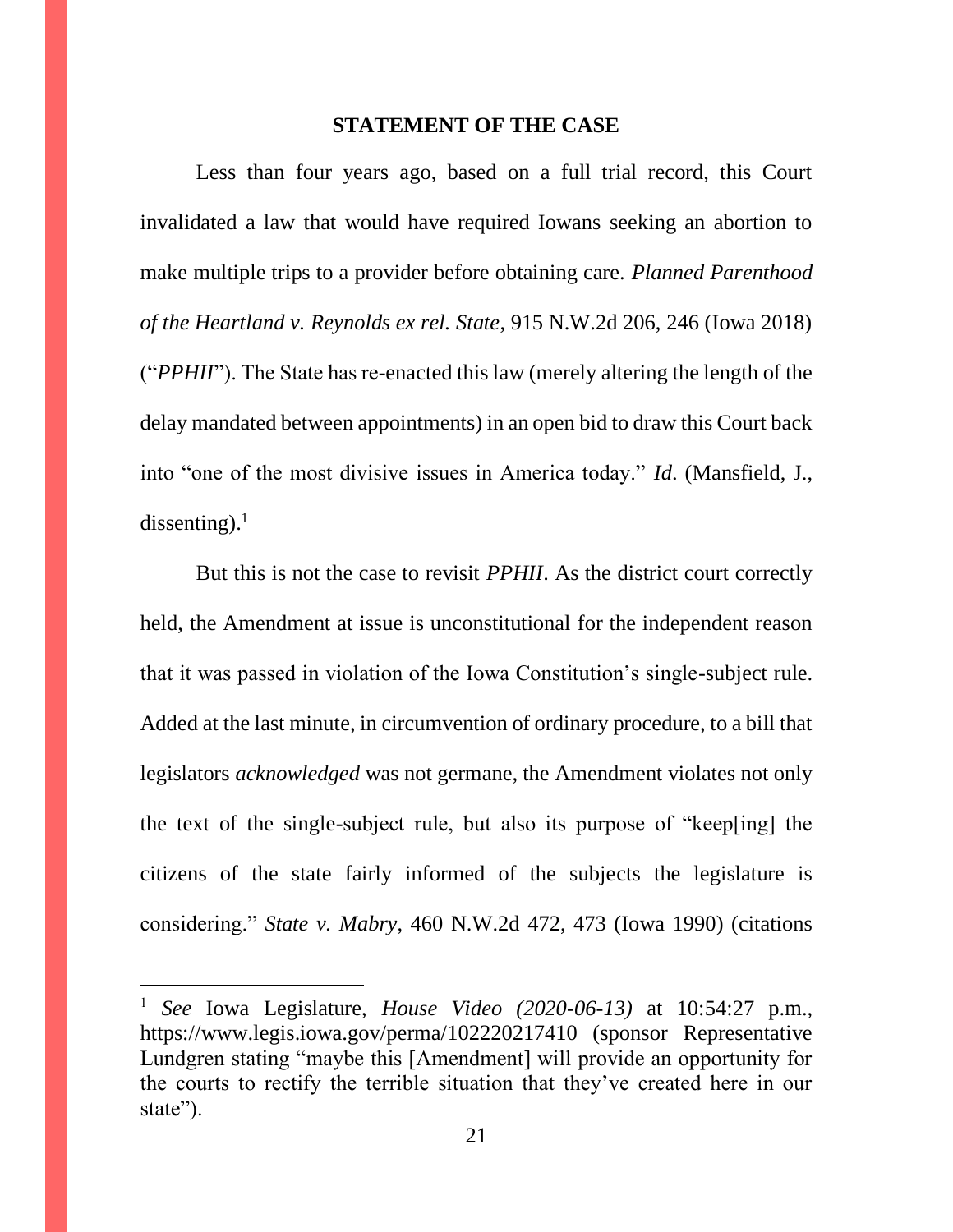#### **STATEMENT OF THE CASE**

Less than four years ago, based on a full trial record, this Court invalidated a law that would have required Iowans seeking an abortion to make multiple trips to a provider before obtaining care. *Planned Parenthood of the Heartland v. Reynolds ex rel. State*, 915 N.W.2d 206, 246 (Iowa 2018) ("*PPHII*"). The State has re-enacted this law (merely altering the length of the delay mandated between appointments) in an open bid to draw this Court back into "one of the most divisive issues in America today." *Id*. (Mansfield, J., dissenting). $1$ 

But this is not the case to revisit *PPHII*. As the district court correctly held, the Amendment at issue is unconstitutional for the independent reason that it was passed in violation of the Iowa Constitution's single-subject rule. Added at the last minute, in circumvention of ordinary procedure, to a bill that legislators *acknowledged* was not germane, the Amendment violates not only the text of the single-subject rule, but also its purpose of "keep[ing] the citizens of the state fairly informed of the subjects the legislature is considering." *State v. Mabry*, 460 N.W.2d 472, 473 (Iowa 1990) (citations

<sup>1</sup> *See* Iowa Legislature, *House Video (2020-06-13)* at 10:54:27 p.m., https://www.legis.iowa.gov/perma/102220217410 (sponsor Representative Lundgren stating "maybe this [Amendment] will provide an opportunity for the courts to rectify the terrible situation that they've created here in our state").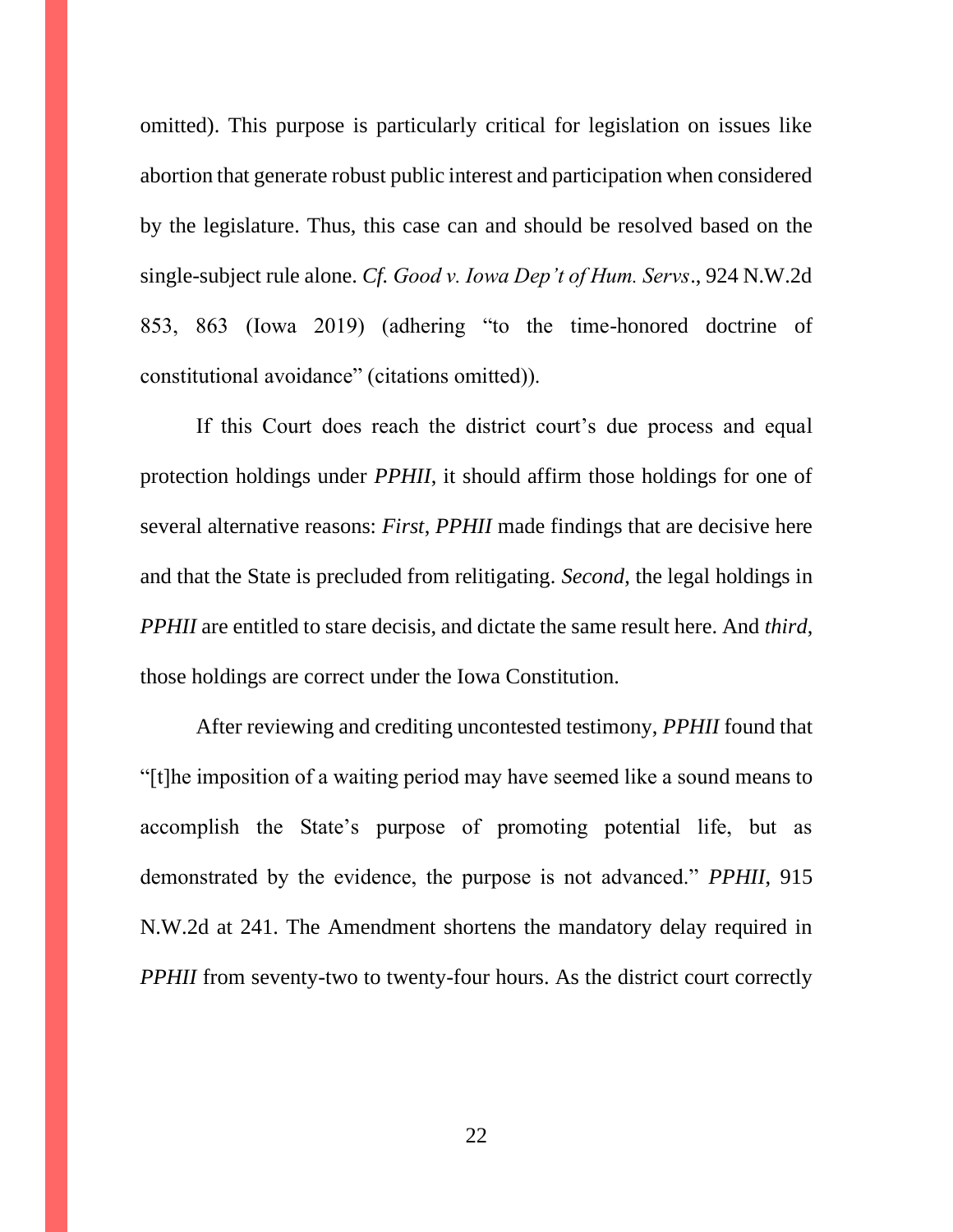omitted). This purpose is particularly critical for legislation on issues like abortion that generate robust public interest and participation when considered by the legislature. Thus, this case can and should be resolved based on the single-subject rule alone. *Cf. Good v. Iowa Dep't of Hum. Servs*., 924 N.W.2d 853, 863 (Iowa 2019) (adhering "to the time-honored doctrine of constitutional avoidance" (citations omitted)).

If this Court does reach the district court's due process and equal protection holdings under *PPHII*, it should affirm those holdings for one of several alternative reasons: *First*, *PPHII* made findings that are decisive here and that the State is precluded from relitigating. *Second*, the legal holdings in *PPHII* are entitled to stare decisis, and dictate the same result here. And *third*, those holdings are correct under the Iowa Constitution.

After reviewing and crediting uncontested testimony, *PPHII* found that "[t]he imposition of a waiting period may have seemed like a sound means to accomplish the State's purpose of promoting potential life, but as demonstrated by the evidence, the purpose is not advanced." *PPHII*, 915 N.W.2d at 241. The Amendment shortens the mandatory delay required in *PPHII* from seventy-two to twenty-four hours. As the district court correctly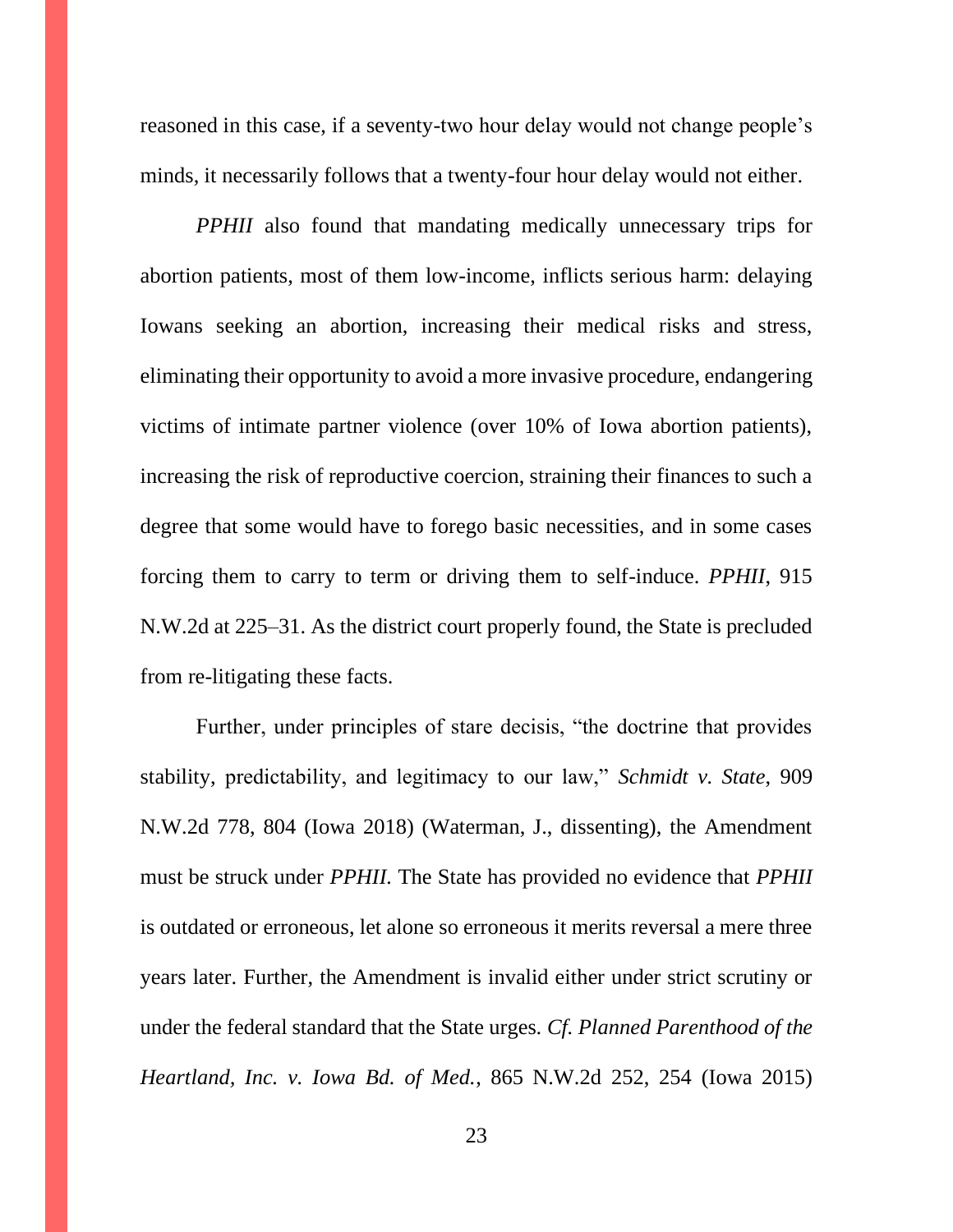reasoned in this case, if a seventy-two hour delay would not change people's minds, it necessarily follows that a twenty-four hour delay would not either.

*PPHII* also found that mandating medically unnecessary trips for abortion patients, most of them low-income, inflicts serious harm: delaying Iowans seeking an abortion, increasing their medical risks and stress, eliminating their opportunity to avoid a more invasive procedure, endangering victims of intimate partner violence (over 10% of Iowa abortion patients), increasing the risk of reproductive coercion, straining their finances to such a degree that some would have to forego basic necessities, and in some cases forcing them to carry to term or driving them to self-induce. *PPHII*, 915 N.W.2d at 225–31. As the district court properly found, the State is precluded from re-litigating these facts.

Further, under principles of stare decisis, "the doctrine that provides stability, predictability, and legitimacy to our law," *Schmidt v. State*, 909 N.W.2d 778, 804 (Iowa 2018) (Waterman, J., dissenting), the Amendment must be struck under *PPHII.* The State has provided no evidence that *PPHII* is outdated or erroneous, let alone so erroneous it merits reversal a mere three years later. Further, the Amendment is invalid either under strict scrutiny or under the federal standard that the State urges. *Cf. Planned Parenthood of the Heartland, Inc. v. Iowa Bd. of Med.*, 865 N.W.2d 252, 254 (Iowa 2015)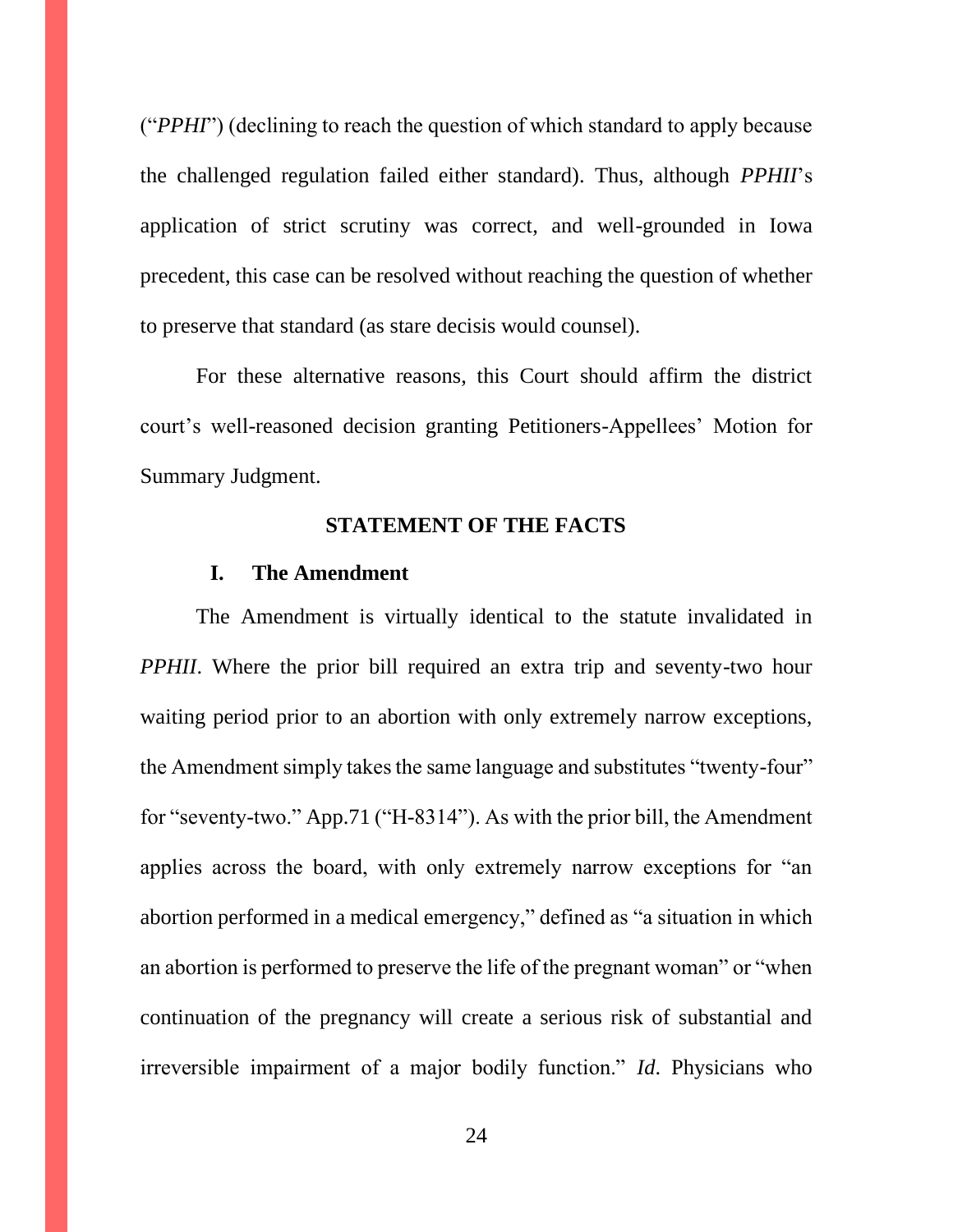("*PPHI*") (declining to reach the question of which standard to apply because the challenged regulation failed either standard). Thus, although *PPHII*'s application of strict scrutiny was correct, and well-grounded in Iowa precedent, this case can be resolved without reaching the question of whether to preserve that standard (as stare decisis would counsel).

For these alternative reasons, this Court should affirm the district court's well-reasoned decision granting Petitioners-Appellees' Motion for Summary Judgment.

## **STATEMENT OF THE FACTS**

#### **I. The Amendment**

The Amendment is virtually identical to the statute invalidated in *PPHII*. Where the prior bill required an extra trip and seventy-two hour waiting period prior to an abortion with only extremely narrow exceptions, the Amendment simply takes the same language and substitutes "twenty-four" for "seventy-two." App.71 ("H-8314"). As with the prior bill, the Amendment applies across the board, with only extremely narrow exceptions for "an abortion performed in a medical emergency," defined as "a situation in which an abortion is performed to preserve the life of the pregnant woman" or "when continuation of the pregnancy will create a serious risk of substantial and irreversible impairment of a major bodily function." *Id*. Physicians who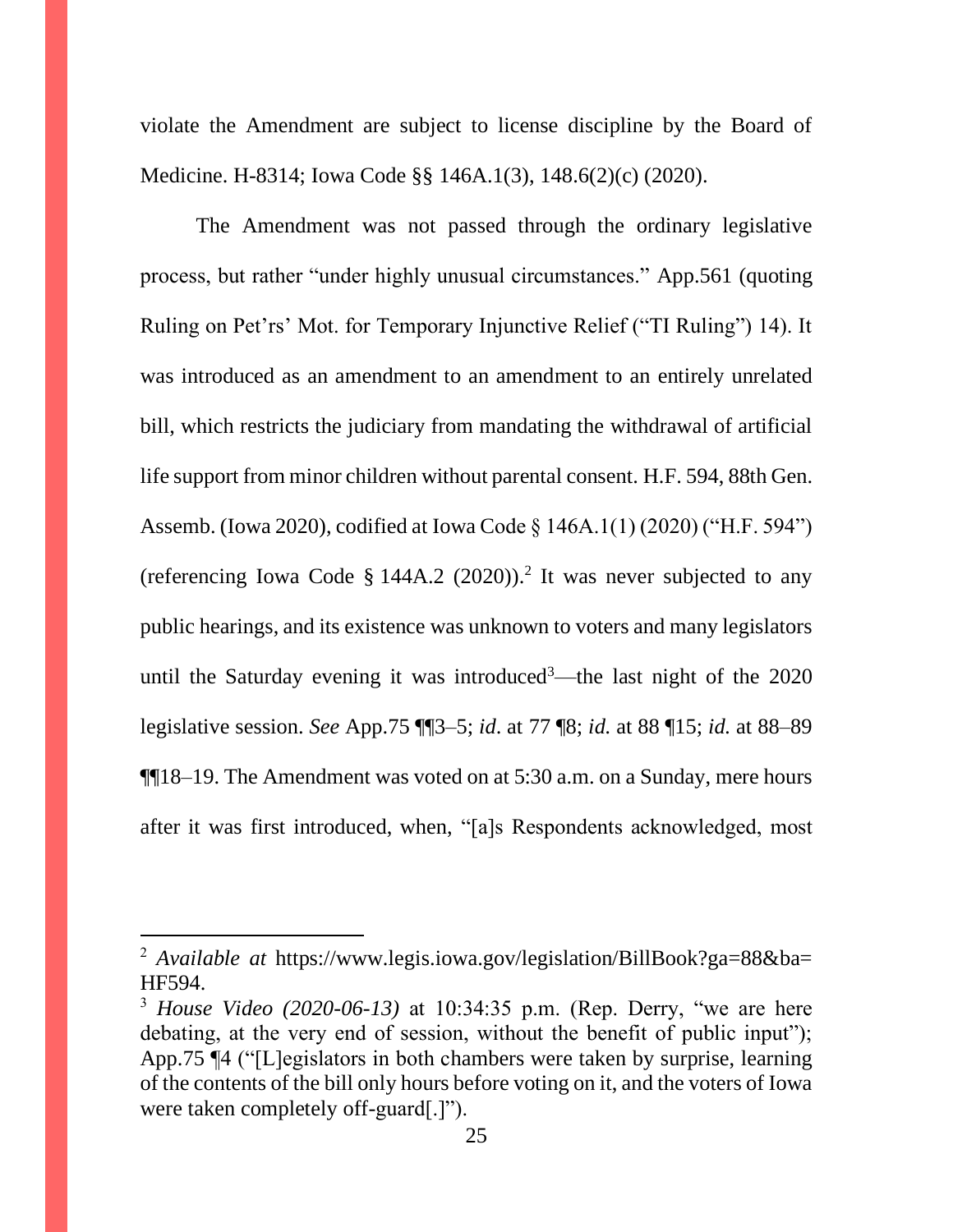violate the Amendment are subject to license discipline by the Board of Medicine. H-8314; Iowa Code §§ 146A.1(3), 148.6(2)(c) (2020).

The Amendment was not passed through the ordinary legislative process, but rather "under highly unusual circumstances." App.561 (quoting Ruling on Pet'rs' Mot. for Temporary Injunctive Relief ("TI Ruling") 14). It was introduced as an amendment to an amendment to an entirely unrelated bill, which restricts the judiciary from mandating the withdrawal of artificial life support from minor children without parental consent. H.F. 594, 88th Gen. Assemb. (Iowa 2020), codified at Iowa Code § 146A.1(1) (2020) ("H.F. 594") (referencing Iowa Code § 144A.2  $(2020)$ ).<sup>2</sup> It was never subjected to any public hearings, and its existence was unknown to voters and many legislators until the Saturday evening it was introduced<sup>3</sup>—the last night of the 2020 legislative session. *See* App.75 ¶¶3–5; *id*. at 77 ¶8; *id.* at 88 ¶15; *id.* at 88–89 ¶¶18–19. The Amendment was voted on at 5:30 a.m. on a Sunday, mere hours after it was first introduced, when, "[a]s Respondents acknowledged, most

<sup>&</sup>lt;sup>2</sup> *Available at https://www.legis.iowa.gov/legislation/BillBook?ga=88&ba=* HF594.

<sup>3</sup> *House Video (2020-06-13)* at 10:34:35 p.m. (Rep. Derry, "we are here debating, at the very end of session, without the benefit of public input"); App.75 ¶4 ("[L]egislators in both chambers were taken by surprise, learning of the contents of the bill only hours before voting on it, and the voters of Iowa were taken completely off-guard[.]").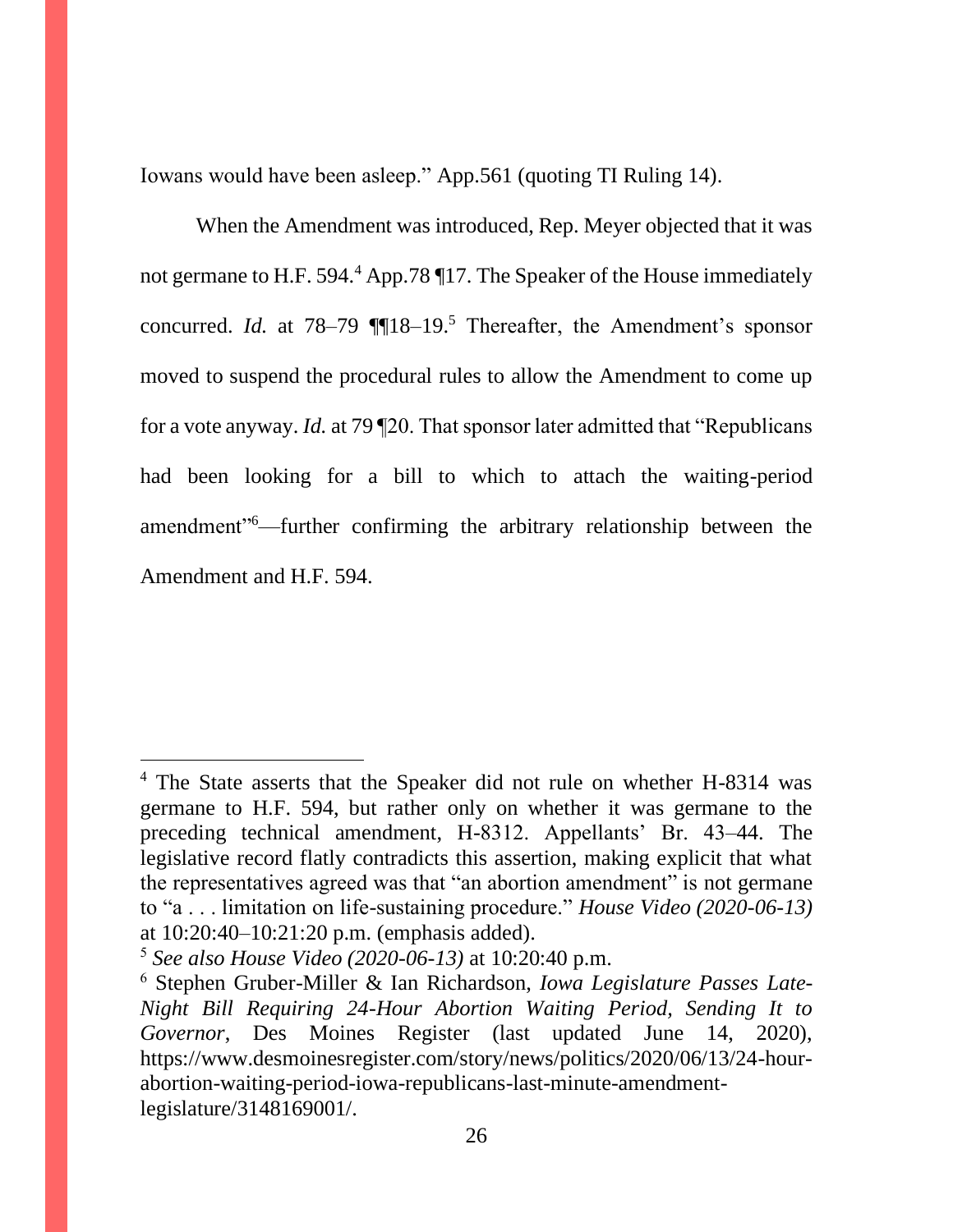Iowans would have been asleep." App.561 (quoting TI Ruling 14).

When the Amendment was introduced, Rep. Meyer objected that it was not germane to H.F. 594.<sup>4</sup> App.78 117. The Speaker of the House immediately concurred. *Id.* at 78–79 ¶¶18–19.<sup>5</sup> Thereafter, the Amendment's sponsor moved to suspend the procedural rules to allow the Amendment to come up for a vote anyway. *Id.* at 79 ¶20. That sponsor later admitted that "Republicans had been looking for a bill to which to attach the waiting-period amendment"<sup>6</sup>—further confirming the arbitrary relationship between the Amendment and H.F. 594.

<sup>&</sup>lt;sup>4</sup> The State asserts that the Speaker did not rule on whether H-8314 was germane to H.F. 594, but rather only on whether it was germane to the preceding technical amendment, H-8312. Appellants' Br. 43–44. The legislative record flatly contradicts this assertion, making explicit that what the representatives agreed was that "an abortion amendment" is not germane to "a . . . limitation on life-sustaining procedure." *House Video (2020-06-13)* at 10:20:40–10:21:20 p.m. (emphasis added).

<sup>5</sup> *See also House Video (2020-06-13)* at 10:20:40 p.m.

<sup>6</sup> Stephen Gruber-Miller & Ian Richardson, *Iowa Legislature Passes Late-Night Bill Requiring 24-Hour Abortion Waiting Period, Sending It to Governor*, Des Moines Register (last updated June 14, 2020), https://www.desmoinesregister.com/story/news/politics/2020/06/13/24-hourabortion-waiting-period-iowa-republicans-last-minute-amendmentlegislature/3148169001/.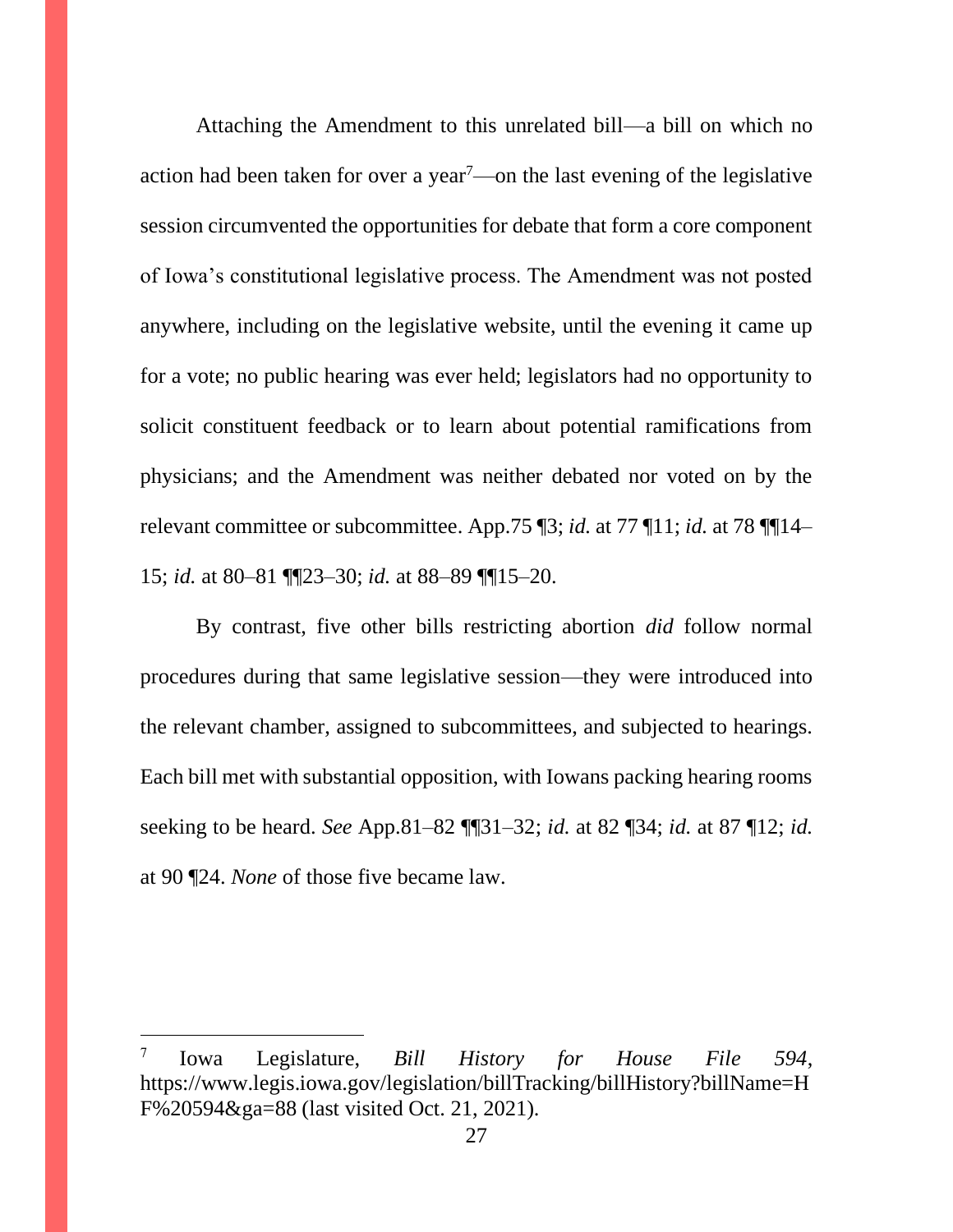Attaching the Amendment to this unrelated bill—a bill on which no action had been taken for over a year<sup>7</sup>—on the last evening of the legislative session circumvented the opportunities for debate that form a core component of Iowa's constitutional legislative process. The Amendment was not posted anywhere, including on the legislative website, until the evening it came up for a vote; no public hearing was ever held; legislators had no opportunity to solicit constituent feedback or to learn about potential ramifications from physicians; and the Amendment was neither debated nor voted on by the relevant committee or subcommittee. App.75 ¶3; *id.* at 77 ¶11; *id.* at 78 ¶¶14– 15; *id.* at 80–81 ¶¶23–30; *id.* at 88–89 ¶¶15–20.

By contrast, five other bills restricting abortion *did* follow normal procedures during that same legislative session—they were introduced into the relevant chamber, assigned to subcommittees, and subjected to hearings. Each bill met with substantial opposition, with Iowans packing hearing rooms seeking to be heard. *See* App.81–82 ¶¶31–32; *id.* at 82 ¶34; *id.* at 87 ¶12; *id.* at 90 ¶24. *None* of those five became law.

<sup>7</sup> Iowa Legislature, *Bill History for House File 594*, https://www.legis.iowa.gov/legislation/billTracking/billHistory?billName=H F%20594&ga=88 (last visited Oct. 21, 2021).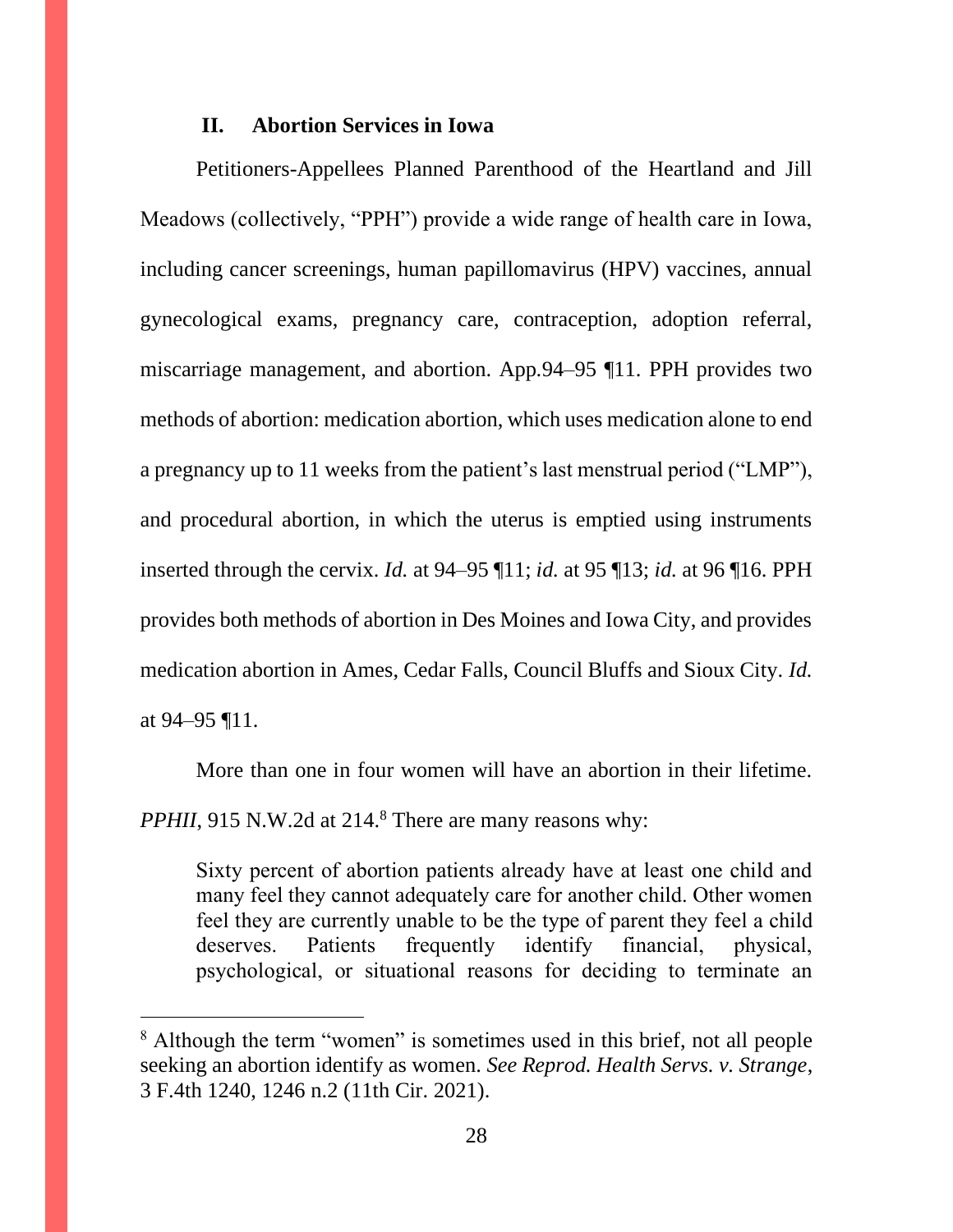### **II. Abortion Services in Iowa**

Petitioners-Appellees Planned Parenthood of the Heartland and Jill Meadows (collectively, "PPH") provide a wide range of health care in Iowa, including cancer screenings, human papillomavirus (HPV) vaccines, annual gynecological exams, pregnancy care, contraception, adoption referral, miscarriage management, and abortion. App.94–95 ¶11. PPH provides two methods of abortion: medication abortion, which uses medication alone to end a pregnancy up to 11 weeks from the patient's last menstrual period ("LMP"), and procedural abortion, in which the uterus is emptied using instruments inserted through the cervix. *Id.* at 94–95 ¶11; *id.* at 95 ¶13; *id.* at 96 ¶16. PPH provides both methods of abortion in Des Moines and Iowa City, and provides medication abortion in Ames, Cedar Falls, Council Bluffs and Sioux City. *Id.*  at 94–95 ¶11.

More than one in four women will have an abortion in their lifetime. *PPHII*, 915 N.W.2d at 214.<sup>8</sup> There are many reasons why:

Sixty percent of abortion patients already have at least one child and many feel they cannot adequately care for another child. Other women feel they are currently unable to be the type of parent they feel a child deserves. Patients frequently identify financial, physical, psychological, or situational reasons for deciding to terminate an

<sup>&</sup>lt;sup>8</sup> Although the term "women" is sometimes used in this brief, not all people seeking an abortion identify as women. *See Reprod. Health Servs. v. Strange*, 3 F.4th 1240, 1246 n.2 (11th Cir. 2021).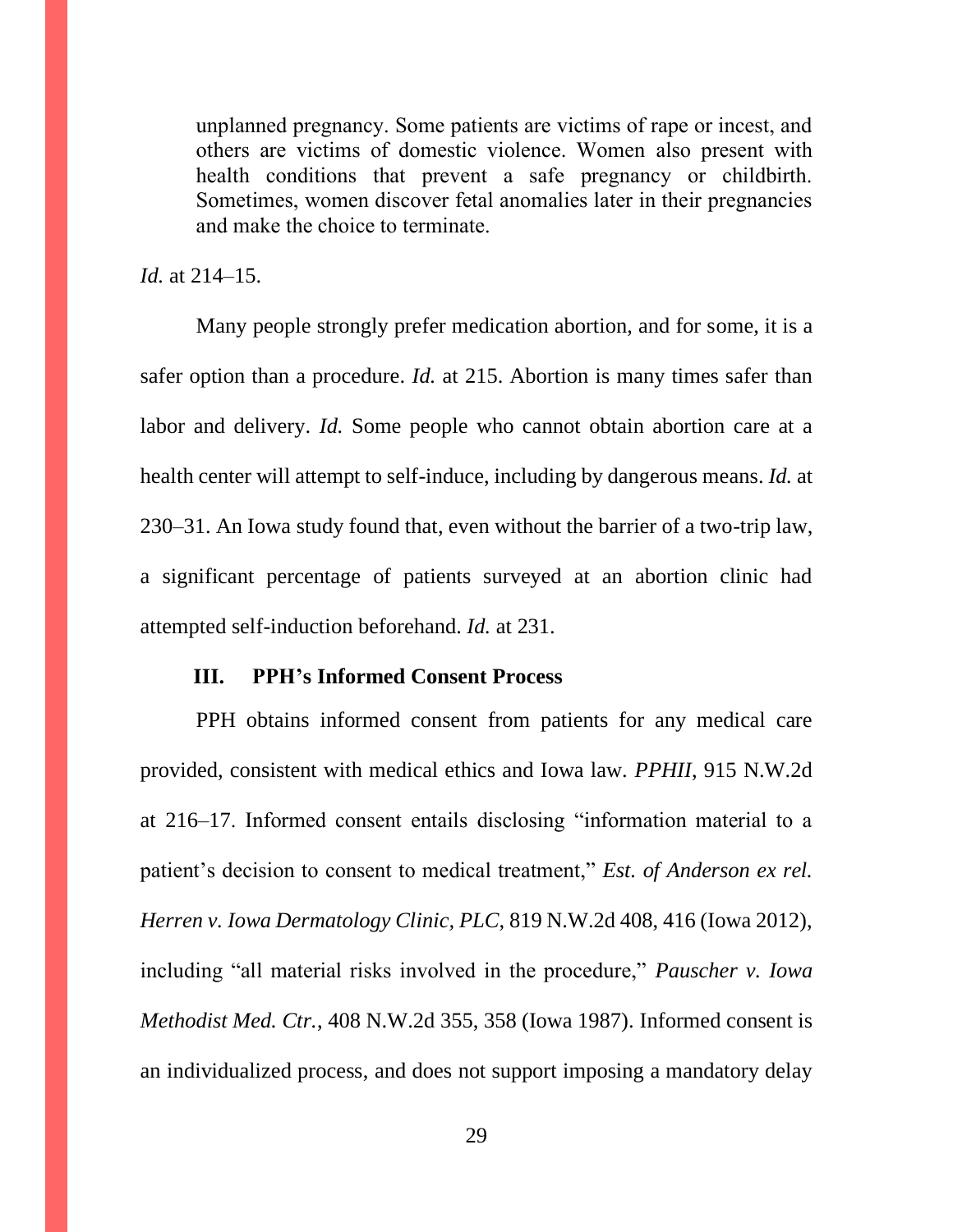unplanned pregnancy. Some patients are victims of rape or incest, and others are victims of domestic violence. Women also present with health conditions that prevent a safe pregnancy or childbirth. Sometimes, women discover fetal anomalies later in their pregnancies and make the choice to terminate.

*Id.* at 214–15.

Many people strongly prefer medication abortion, and for some, it is a safer option than a procedure. *Id.* at 215. Abortion is many times safer than labor and delivery. *Id.* Some people who cannot obtain abortion care at a health center will attempt to self-induce, including by dangerous means. *Id.* at 230–31. An Iowa study found that, even without the barrier of a two-trip law, a significant percentage of patients surveyed at an abortion clinic had attempted self-induction beforehand. *Id.* at 231.

### **III. PPH's Informed Consent Process**

PPH obtains informed consent from patients for any medical care provided, consistent with medical ethics and Iowa law. *PPHII*, 915 N.W.2d at 216–17. Informed consent entails disclosing "information material to a patient's decision to consent to medical treatment," *Est. of Anderson ex rel. Herren v. Iowa Dermatology Clinic, PLC*, 819 N.W.2d 408, 416 (Iowa 2012), including "all material risks involved in the procedure," *Pauscher v. Iowa Methodist Med. Ctr.*, 408 N.W.2d 355, 358 (Iowa 1987). Informed consent is an individualized process, and does not support imposing a mandatory delay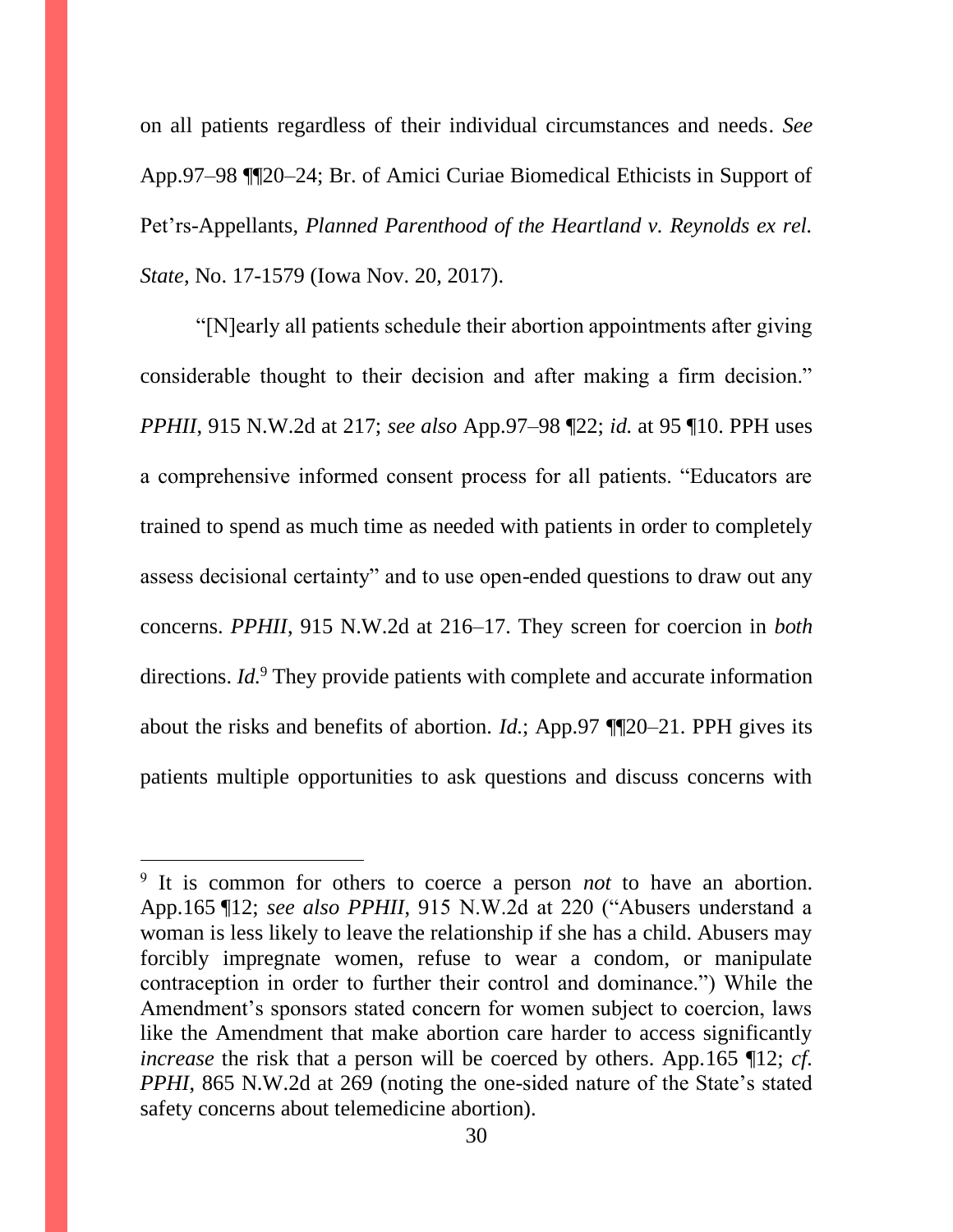on all patients regardless of their individual circumstances and needs. *See* App.97–98 ¶¶20–24; Br. of Amici Curiae Biomedical Ethicists in Support of Pet'rs-Appellants, *Planned Parenthood of the Heartland v. Reynolds ex rel. State*, No. 17-1579 (Iowa Nov. 20, 2017).

"[N]early all patients schedule their abortion appointments after giving considerable thought to their decision and after making a firm decision." *PPHII*, 915 N.W.2d at 217; *see also* App.97–98 ¶22; *id.* at 95 ¶10. PPH uses a comprehensive informed consent process for all patients. "Educators are trained to spend as much time as needed with patients in order to completely assess decisional certainty" and to use open-ended questions to draw out any concerns. *PPHII*, 915 N.W.2d at 216–17. They screen for coercion in *both* directions. *Id.*<sup>9</sup> They provide patients with complete and accurate information about the risks and benefits of abortion. *Id.*; App.97 ¶¶20–21. PPH gives its patients multiple opportunities to ask questions and discuss concerns with

<sup>&</sup>lt;sup>9</sup> It is common for others to coerce a person *not* to have an abortion. App.165 ¶12; *see also PPHII*, 915 N.W.2d at 220 ("Abusers understand a woman is less likely to leave the relationship if she has a child. Abusers may forcibly impregnate women, refuse to wear a condom, or manipulate contraception in order to further their control and dominance.") While the Amendment's sponsors stated concern for women subject to coercion, laws like the Amendment that make abortion care harder to access significantly *increase* the risk that a person will be coerced by others. App.165 ¶12; *cf. PPHI*, 865 N.W.2d at 269 (noting the one-sided nature of the State's stated safety concerns about telemedicine abortion).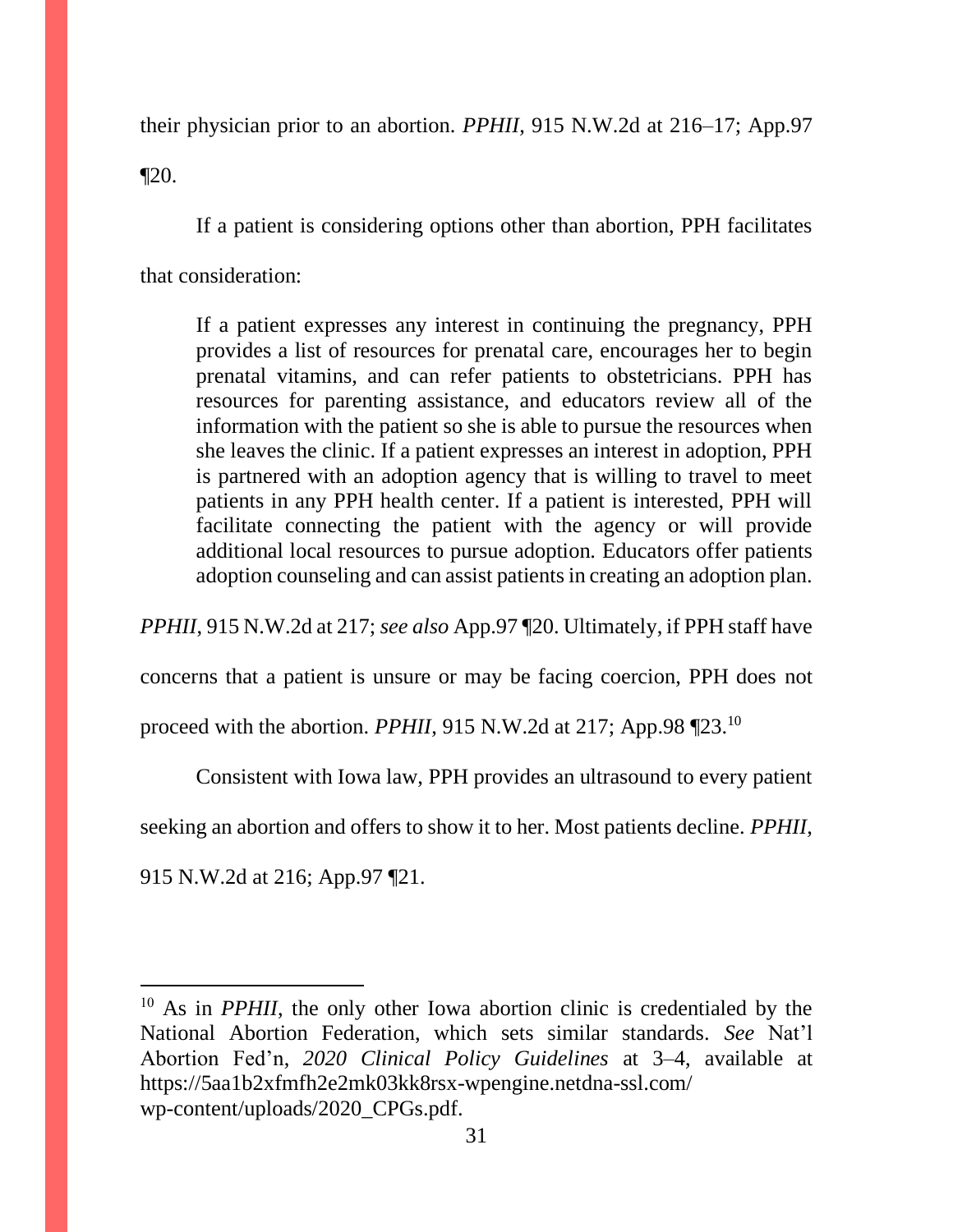their physician prior to an abortion. *PPHII*, 915 N.W.2d at 216–17; App.97

 $\P$ 20.

If a patient is considering options other than abortion, PPH facilitates that consideration:

If a patient expresses any interest in continuing the pregnancy, PPH provides a list of resources for prenatal care, encourages her to begin prenatal vitamins, and can refer patients to obstetricians. PPH has resources for parenting assistance, and educators review all of the information with the patient so she is able to pursue the resources when she leaves the clinic. If a patient expresses an interest in adoption, PPH is partnered with an adoption agency that is willing to travel to meet patients in any PPH health center. If a patient is interested, PPH will facilitate connecting the patient with the agency or will provide additional local resources to pursue adoption. Educators offer patients adoption counseling and can assist patients in creating an adoption plan.

*PPHII*, 915 N.W.2d at 217; *see also* App.97 ¶20. Ultimately, if PPH staff have

concerns that a patient is unsure or may be facing coercion, PPH does not

proceed with the abortion. *PPHII*, 915 N.W.2d at 217; App.98 ¶23.<sup>10</sup>

Consistent with Iowa law, PPH provides an ultrasound to every patient

seeking an abortion and offers to show it to her. Most patients decline. *PPHII*,

915 N.W.2d at 216; App.97 ¶21.

<sup>&</sup>lt;sup>10</sup> As in *PPHII*, the only other Iowa abortion clinic is credentialed by the National Abortion Federation, which sets similar standards. *See* Nat'l Abortion Fed'n, *2020 Clinical Policy Guidelines* at 3–4, available at https://5aa1b2xfmfh2e2mk03kk8rsx-wpengine.netdna-ssl.com/ wp-content/uploads/2020\_CPGs.pdf.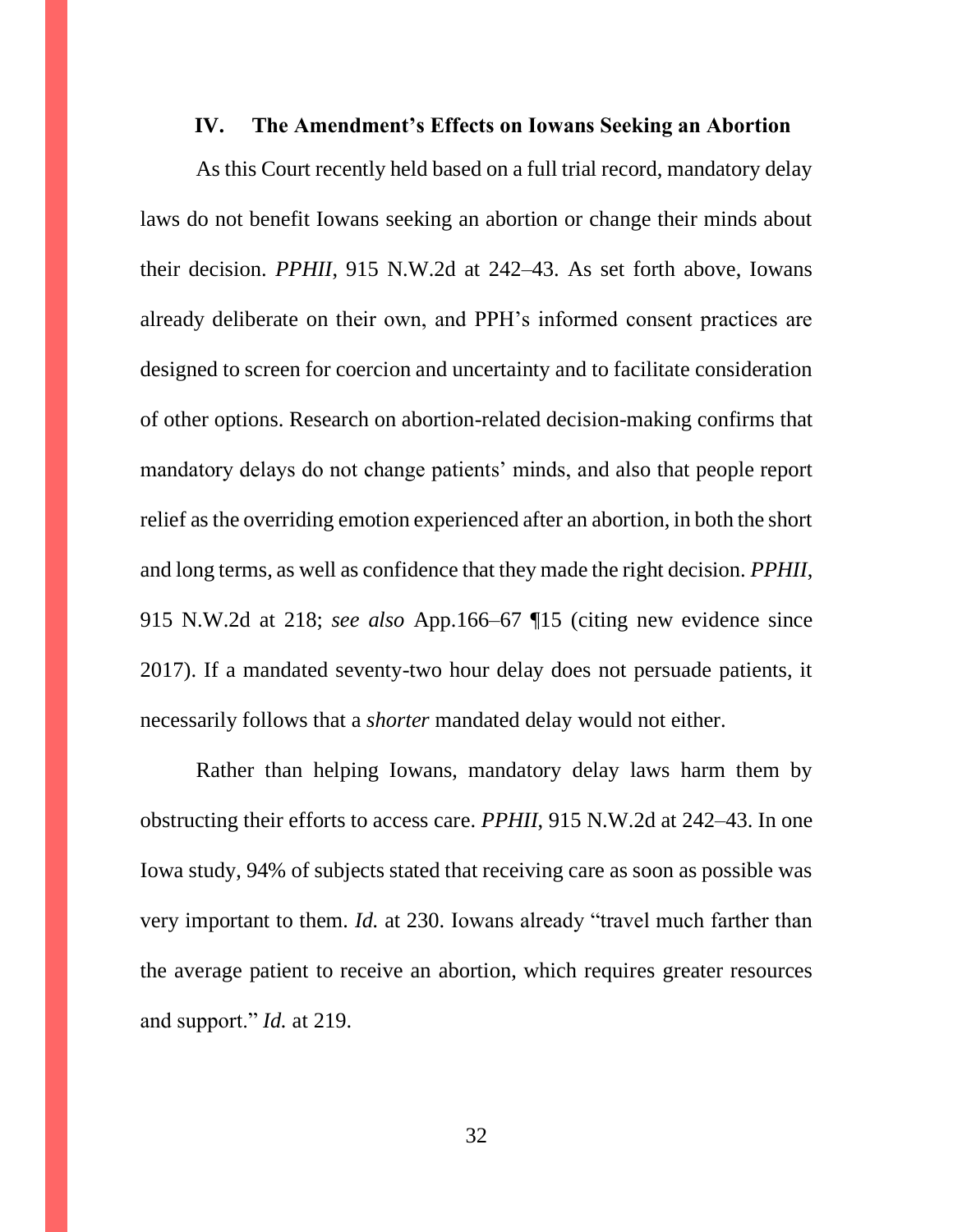#### **IV. The Amendment's Effects on Iowans Seeking an Abortion**

As this Court recently held based on a full trial record, mandatory delay laws do not benefit Iowans seeking an abortion or change their minds about their decision. *PPHII*, 915 N.W.2d at 242–43. As set forth above, Iowans already deliberate on their own, and PPH's informed consent practices are designed to screen for coercion and uncertainty and to facilitate consideration of other options. Research on abortion-related decision-making confirms that mandatory delays do not change patients' minds, and also that people report relief as the overriding emotion experienced after an abortion, in both the short and long terms, as well as confidence that they made the right decision. *PPHII*, 915 N.W.2d at 218; *see also* App.166–67 ¶15 (citing new evidence since 2017). If a mandated seventy-two hour delay does not persuade patients, it necessarily follows that a *shorter* mandated delay would not either.

Rather than helping Iowans, mandatory delay laws harm them by obstructing their efforts to access care. *PPHII*, 915 N.W.2d at 242–43. In one Iowa study, 94% of subjects stated that receiving care as soon as possible was very important to them. *Id.* at 230. Iowans already "travel much farther than the average patient to receive an abortion, which requires greater resources and support." *Id.* at 219.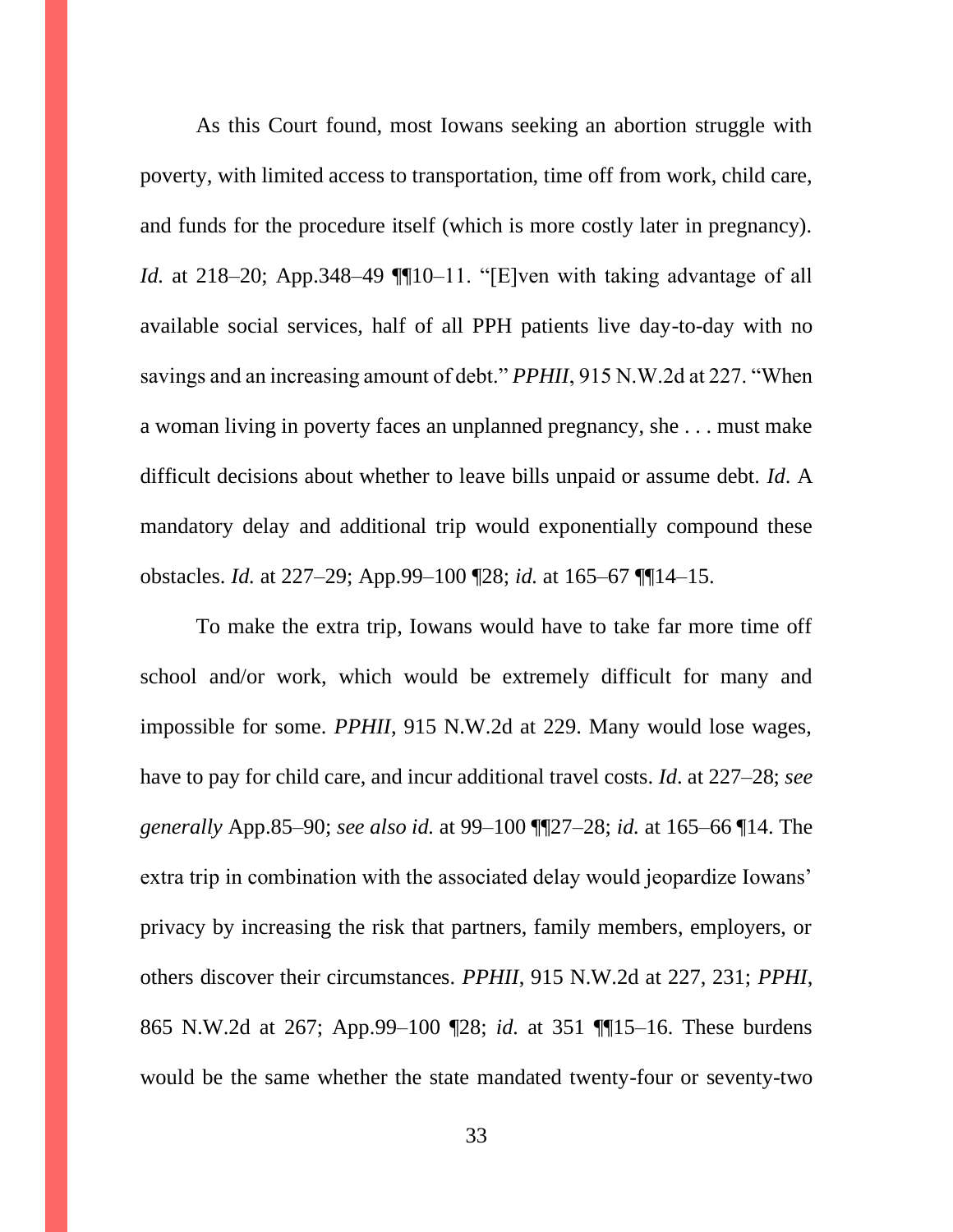As this Court found, most Iowans seeking an abortion struggle with poverty, with limited access to transportation, time off from work, child care, and funds for the procedure itself (which is more costly later in pregnancy). *Id.* at 218–20; App. 348–49 ¶[10–11. "[E]ven with taking advantage of all available social services, half of all PPH patients live day-to-day with no savings and an increasing amount of debt." *PPHII*, 915 N.W.2d at 227. "When a woman living in poverty faces an unplanned pregnancy, she . . . must make difficult decisions about whether to leave bills unpaid or assume debt. *Id*. A mandatory delay and additional trip would exponentially compound these obstacles. *Id.* at 227–29; App.99–100 ¶28; *id.* at 165–67 ¶¶14–15.

To make the extra trip, Iowans would have to take far more time off school and/or work, which would be extremely difficult for many and impossible for some. *PPHII*, 915 N.W.2d at 229. Many would lose wages, have to pay for child care, and incur additional travel costs. *Id*. at 227–28; *see generally* App.85–90; *see also id.* at 99–100 ¶¶27–28; *id.* at 165–66 ¶14. The extra trip in combination with the associated delay would jeopardize Iowans' privacy by increasing the risk that partners, family members, employers, or others discover their circumstances. *PPHII*, 915 N.W.2d at 227, 231; *PPHI*, 865 N.W.2d at 267; App.99–100 ¶28; *id.* at 351 ¶¶15–16. These burdens would be the same whether the state mandated twenty-four or seventy-two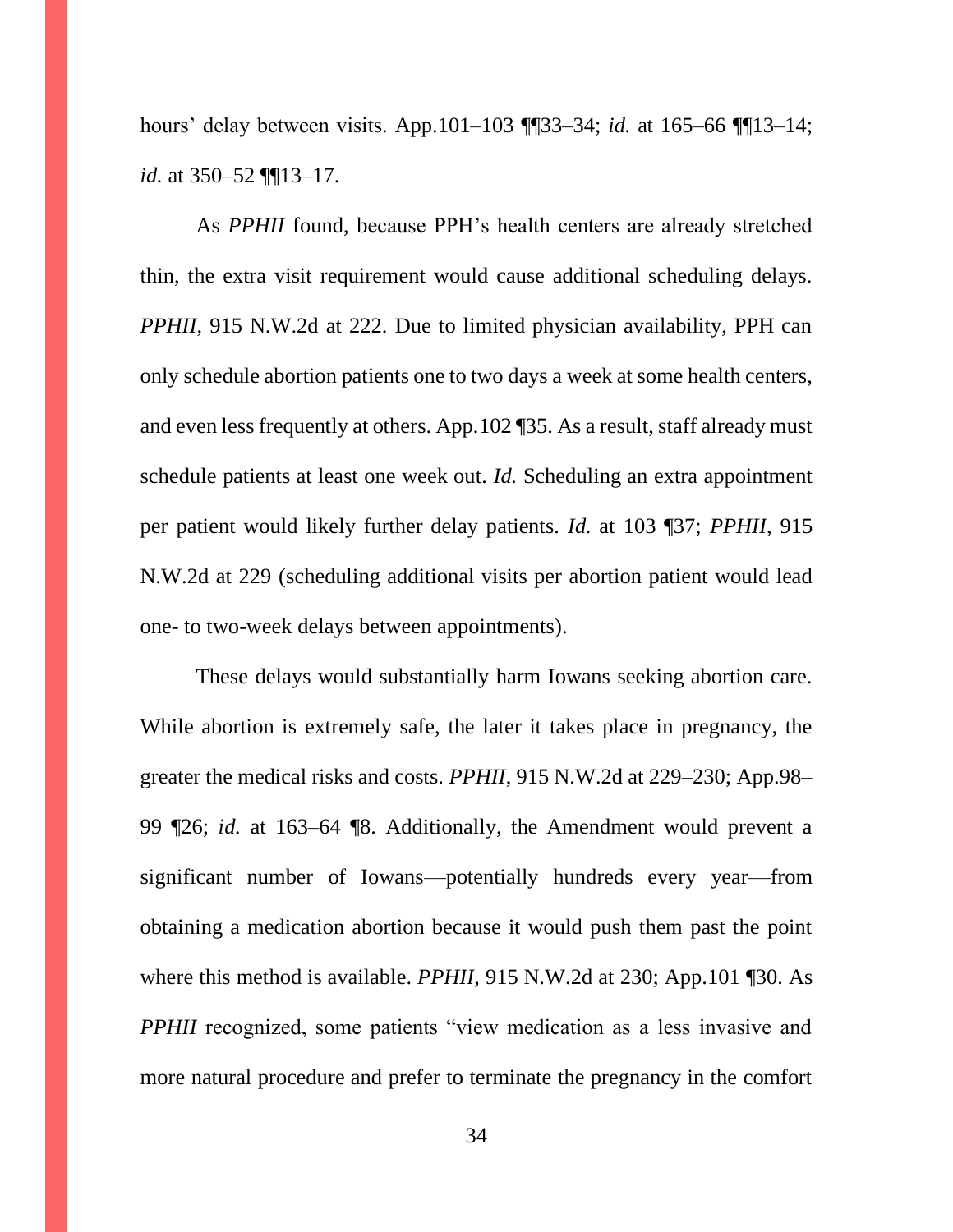hours' delay between visits. App.101–103 ¶¶33–34; *id.* at 165–66 ¶¶13–14; *id.* at 350–52 ¶¶13–17.

As *PPHII* found, because PPH's health centers are already stretched thin, the extra visit requirement would cause additional scheduling delays. *PPHII*, 915 N.W.2d at 222. Due to limited physician availability, PPH can only schedule abortion patients one to two days a week at some health centers, and even less frequently at others. App.102 ¶35. As a result, staff already must schedule patients at least one week out. *Id.* Scheduling an extra appointment per patient would likely further delay patients. *Id.* at 103 ¶37; *PPHII*, 915 N.W.2d at 229 (scheduling additional visits per abortion patient would lead one- to two-week delays between appointments).

These delays would substantially harm Iowans seeking abortion care. While abortion is extremely safe, the later it takes place in pregnancy, the greater the medical risks and costs. *PPHII*, 915 N.W.2d at 229–230; App.98– 99 ¶26; *id.* at 163–64 ¶8. Additionally, the Amendment would prevent a significant number of Iowans—potentially hundreds every year—from obtaining a medication abortion because it would push them past the point where this method is available. *PPHII*, 915 N.W.2d at 230; App.101 ¶30. As *PPHII* recognized, some patients "view medication as a less invasive and more natural procedure and prefer to terminate the pregnancy in the comfort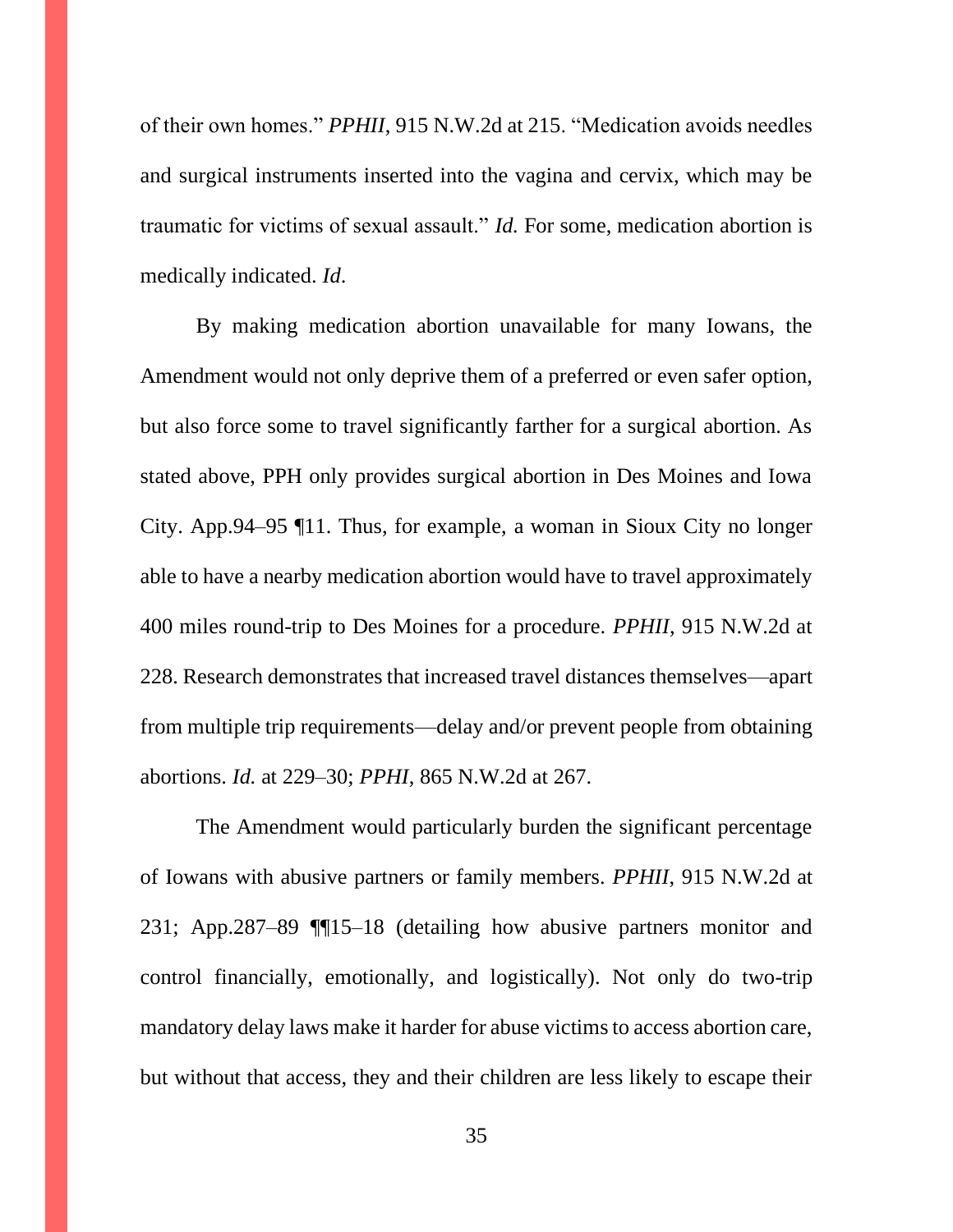of their own homes." *PPHII*, 915 N.W.2d at 215. "Medication avoids needles and surgical instruments inserted into the vagina and cervix, which may be traumatic for victims of sexual assault." *Id.* For some, medication abortion is medically indicated. *Id*.

By making medication abortion unavailable for many Iowans, the Amendment would not only deprive them of a preferred or even safer option, but also force some to travel significantly farther for a surgical abortion. As stated above, PPH only provides surgical abortion in Des Moines and Iowa City. App.94–95 ¶11. Thus, for example, a woman in Sioux City no longer able to have a nearby medication abortion would have to travel approximately 400 miles round-trip to Des Moines for a procedure. *PPHII*, 915 N.W.2d at 228. Research demonstrates that increased travel distances themselves—apart from multiple trip requirements—delay and/or prevent people from obtaining abortions. *Id.* at 229–30; *PPHI*, 865 N.W.2d at 267.

The Amendment would particularly burden the significant percentage of Iowans with abusive partners or family members. *PPHII*, 915 N.W.2d at 231; App.287–89 ¶¶15–18 (detailing how abusive partners monitor and control financially, emotionally, and logistically). Not only do two-trip mandatory delay laws make it harder for abuse victims to access abortion care, but without that access, they and their children are less likely to escape their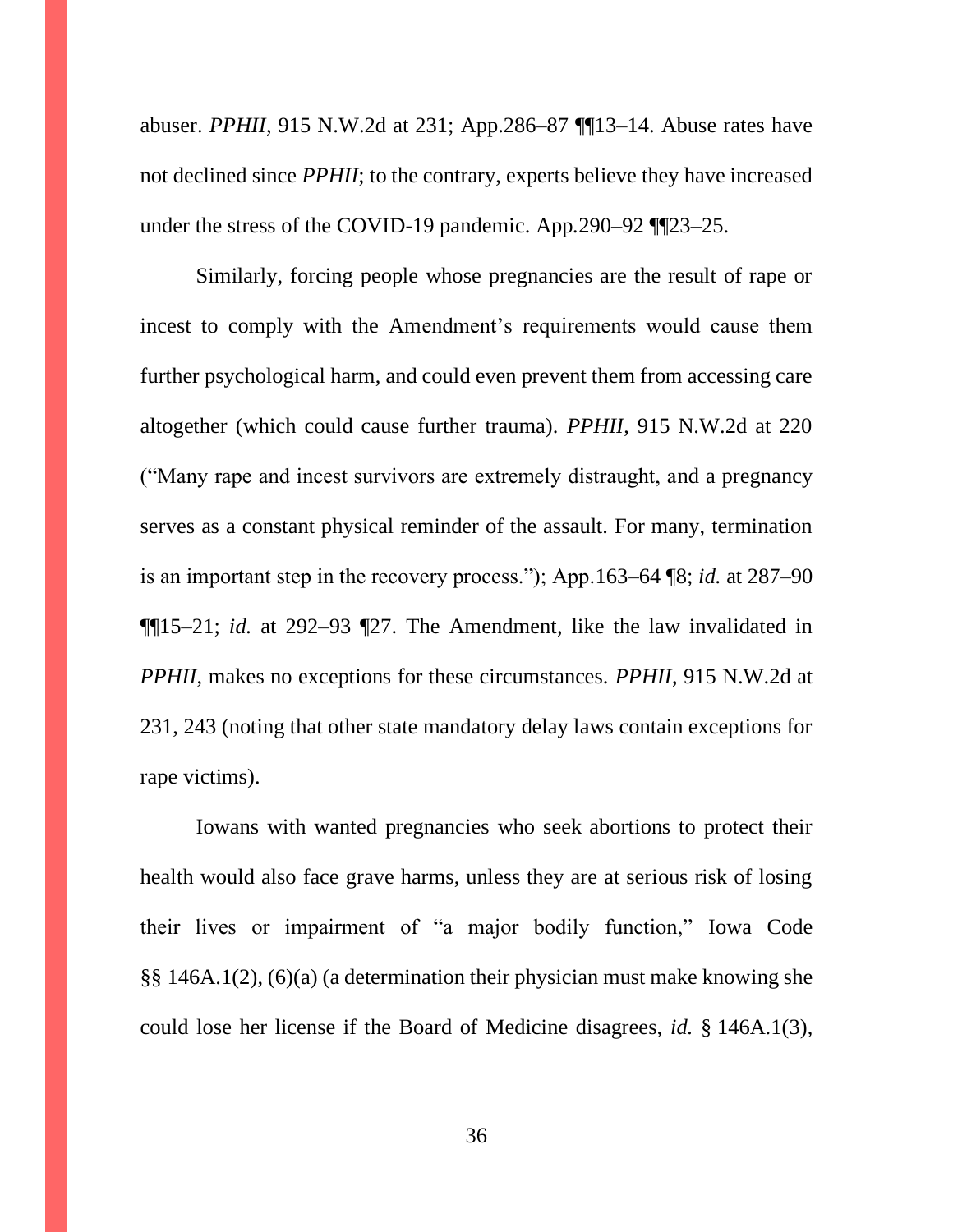abuser. *PPHII*, 915 N.W.2d at 231; App.286–87 ¶¶13–14. Abuse rates have not declined since *PPHII*; to the contrary, experts believe they have increased under the stress of the COVID-19 pandemic. App*.*290–92 ¶¶23–25.

Similarly, forcing people whose pregnancies are the result of rape or incest to comply with the Amendment's requirements would cause them further psychological harm, and could even prevent them from accessing care altogether (which could cause further trauma). *PPHII*, 915 N.W.2d at 220 ("Many rape and incest survivors are extremely distraught, and a pregnancy serves as a constant physical reminder of the assault. For many, termination is an important step in the recovery process."); App.163–64 ¶8; *id.* at 287–90 ¶¶15–21; *id.* at 292–93 ¶27. The Amendment, like the law invalidated in *PPHII*, makes no exceptions for these circumstances. *PPHII*, 915 N.W.2d at 231, 243 (noting that other state mandatory delay laws contain exceptions for rape victims).

Iowans with wanted pregnancies who seek abortions to protect their health would also face grave harms, unless they are at serious risk of losing their lives or impairment of "a major bodily function," Iowa Code §§ 146A.1(2), (6)(a) (a determination their physician must make knowing she could lose her license if the Board of Medicine disagrees, *id.* § 146A.1(3),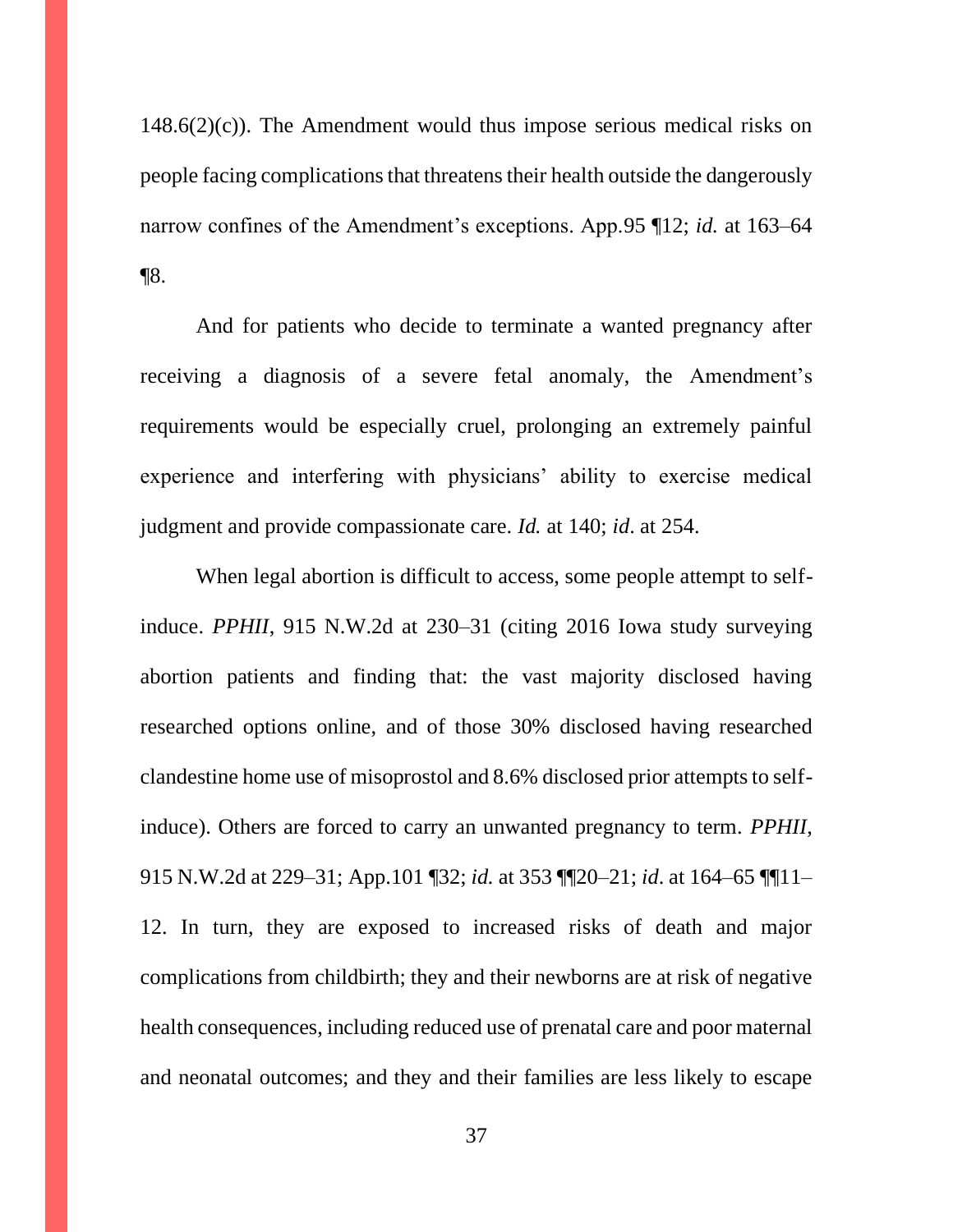$148.6(2)(c)$ . The Amendment would thus impose serious medical risks on people facing complications that threatens their health outside the dangerously narrow confines of the Amendment's exceptions. App.95 ¶12; *id.* at 163–64 ¶8.

And for patients who decide to terminate a wanted pregnancy after receiving a diagnosis of a severe fetal anomaly, the Amendment's requirements would be especially cruel, prolonging an extremely painful experience and interfering with physicians' ability to exercise medical judgment and provide compassionate care. *Id.* at 140; *id*. at 254.

When legal abortion is difficult to access, some people attempt to selfinduce. *PPHII*, 915 N.W.2d at 230–31 (citing 2016 Iowa study surveying abortion patients and finding that: the vast majority disclosed having researched options online, and of those 30% disclosed having researched clandestine home use of misoprostol and 8.6% disclosed prior attempts to selfinduce). Others are forced to carry an unwanted pregnancy to term. *PPHII*, 915 N.W.2d at 229–31; App.101 ¶32; *id.* at 353 ¶¶20–21; *id*. at 164–65 ¶¶11– 12. In turn, they are exposed to increased risks of death and major complications from childbirth; they and their newborns are at risk of negative health consequences, including reduced use of prenatal care and poor maternal and neonatal outcomes; and they and their families are less likely to escape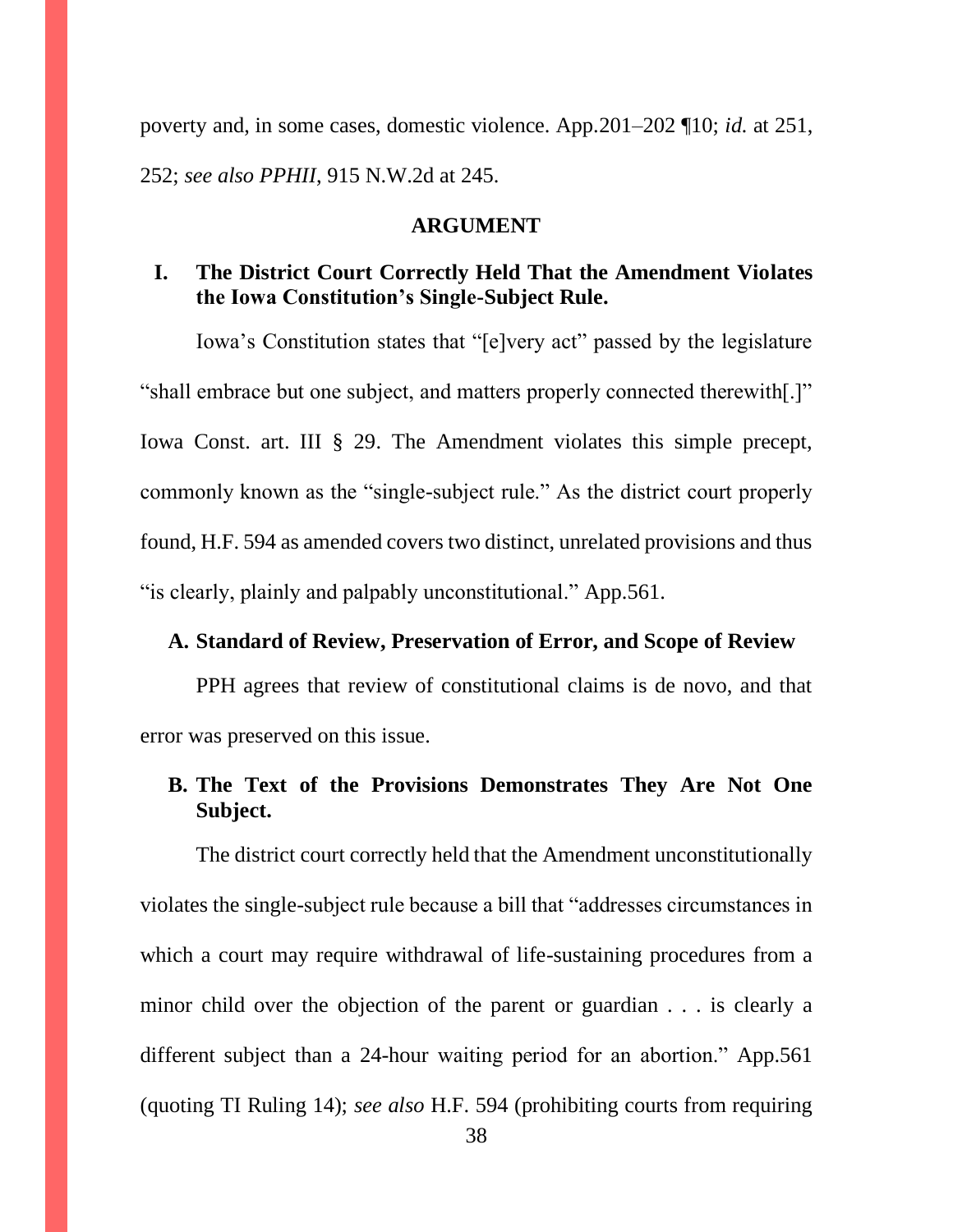poverty and, in some cases, domestic violence. App.201–202 ¶10; *id.* at 251, 252; *see also PPHII*, 915 N.W.2d at 245.

#### **ARGUMENT**

# **I. The District Court Correctly Held That the Amendment Violates the Iowa Constitution's Single-Subject Rule.**

Iowa's Constitution states that "[e]very act" passed by the legislature "shall embrace but one subject, and matters properly connected therewith[.]" Iowa Const. art. III § 29. The Amendment violates this simple precept, commonly known as the "single-subject rule." As the district court properly found, H.F. 594 as amended covers two distinct, unrelated provisions and thus "is clearly, plainly and palpably unconstitutional." App.561.

### **A. Standard of Review, Preservation of Error, and Scope of Review**

PPH agrees that review of constitutional claims is de novo, and that error was preserved on this issue.

# **B. The Text of the Provisions Demonstrates They Are Not One Subject.**

The district court correctly held that the Amendment unconstitutionally violates the single-subject rule because a bill that "addresses circumstances in which a court may require withdrawal of life-sustaining procedures from a minor child over the objection of the parent or guardian . . . is clearly a different subject than a 24-hour waiting period for an abortion." App.561 (quoting TI Ruling 14); *see also* H.F. 594 (prohibiting courts from requiring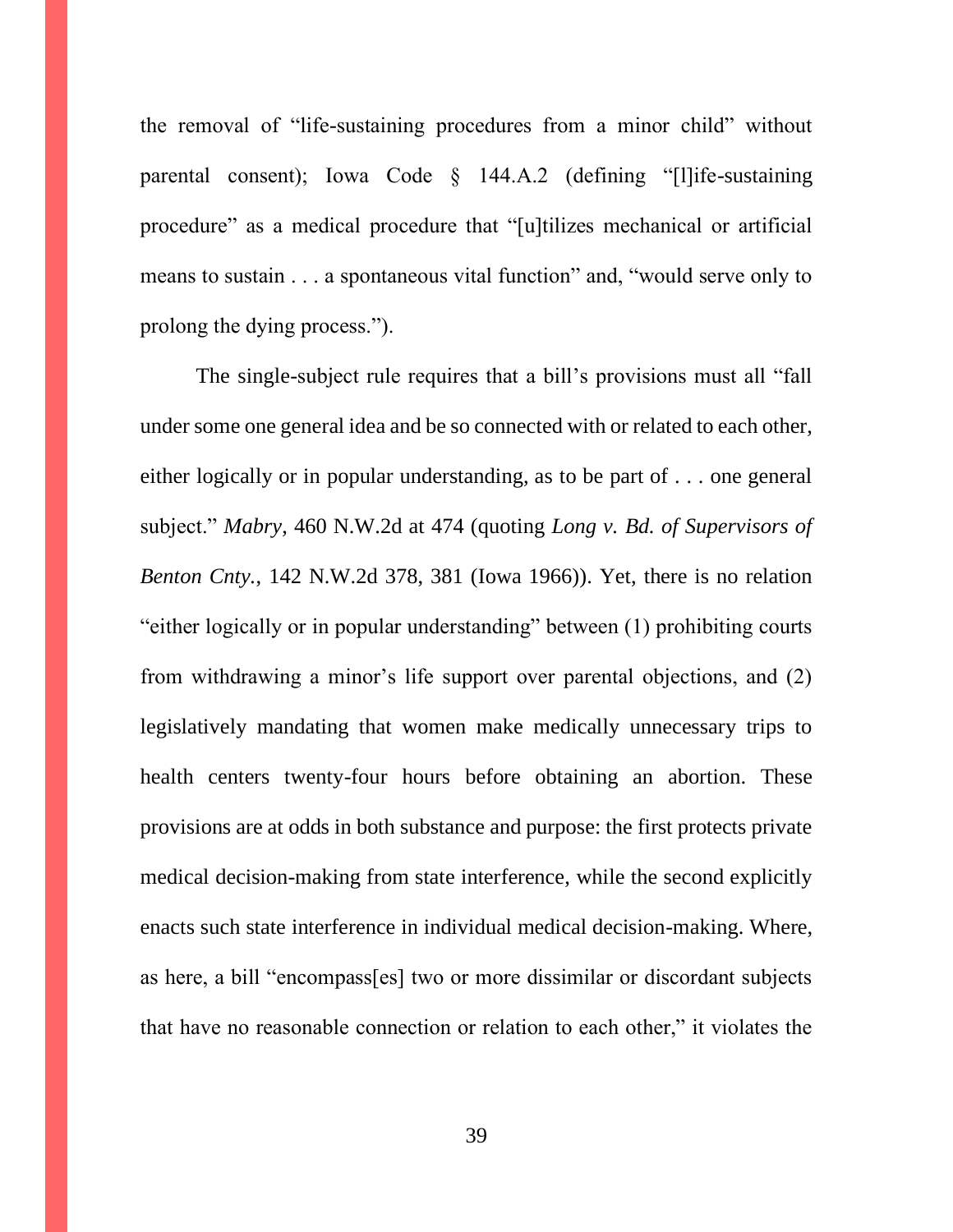the removal of "life-sustaining procedures from a minor child" without parental consent); Iowa Code § 144.A.2 (defining "[l]ife-sustaining procedure" as a medical procedure that "[u]tilizes mechanical or artificial means to sustain . . . a spontaneous vital function" and, "would serve only to prolong the dying process.").

The single-subject rule requires that a bill's provisions must all "fall under some one general idea and be so connected with or related to each other, either logically or in popular understanding, as to be part of . . . one general subject." *Mabry*, 460 N.W.2d at 474 (quoting *Long v. Bd. of Supervisors of Benton Cnty.*, 142 N.W.2d 378, 381 (Iowa 1966)). Yet, there is no relation "either logically or in popular understanding" between (1) prohibiting courts from withdrawing a minor's life support over parental objections, and (2) legislatively mandating that women make medically unnecessary trips to health centers twenty-four hours before obtaining an abortion. These provisions are at odds in both substance and purpose: the first protects private medical decision-making from state interference, while the second explicitly enacts such state interference in individual medical decision-making. Where, as here, a bill "encompass[es] two or more dissimilar or discordant subjects that have no reasonable connection or relation to each other," it violates the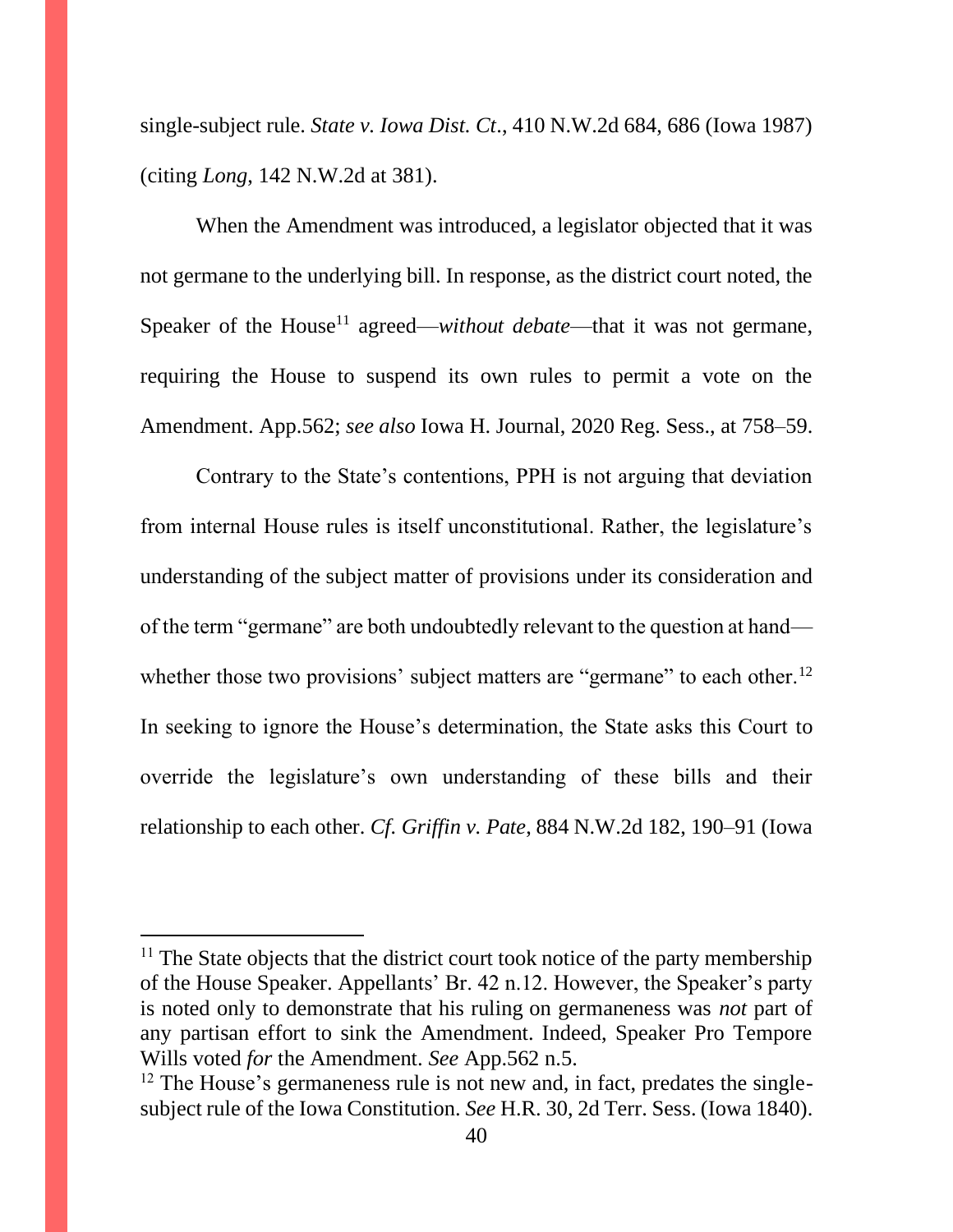single-subject rule. *State v. Iowa Dist. Ct*., 410 N.W.2d 684, 686 (Iowa 1987) (citing *Long*, 142 N.W.2d at 381).

When the Amendment was introduced, a legislator objected that it was not germane to the underlying bill. In response, as the district court noted, the Speaker of the House<sup>11</sup> agreed—*without debate*—that it was not germane, requiring the House to suspend its own rules to permit a vote on the Amendment. App.562; *see also* Iowa H. Journal, 2020 Reg. Sess., at 758–59.

Contrary to the State's contentions, PPH is not arguing that deviation from internal House rules is itself unconstitutional. Rather, the legislature's understanding of the subject matter of provisions under its consideration and of the term "germane" are both undoubtedly relevant to the question at hand whether those two provisions' subject matters are "germane" to each other.<sup>12</sup> In seeking to ignore the House's determination, the State asks this Court to override the legislature's own understanding of these bills and their relationship to each other. *Cf. Griffin v. Pate*, 884 N.W.2d 182, 190–91 (Iowa

 $11$  The State objects that the district court took notice of the party membership of the House Speaker. Appellants' Br. 42 n.12. However, the Speaker's party is noted only to demonstrate that his ruling on germaneness was *not* part of any partisan effort to sink the Amendment. Indeed, Speaker Pro Tempore Wills voted *for* the Amendment. *See* App.562 n.5.

<sup>&</sup>lt;sup>12</sup> The House's germaneness rule is not new and, in fact, predates the singlesubject rule of the Iowa Constitution. *See* H.R. 30, 2d Terr. Sess. (Iowa 1840).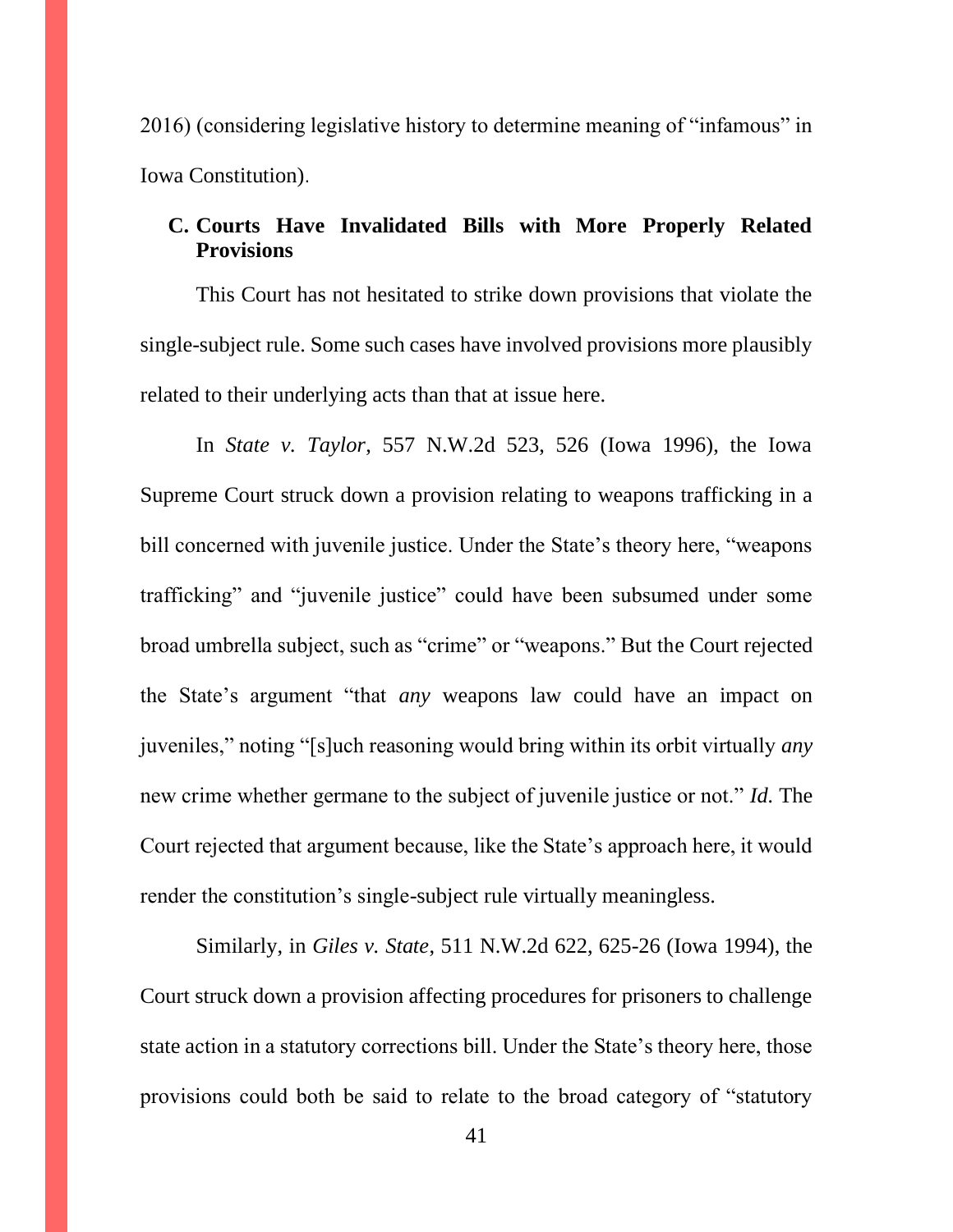2016) (considering legislative history to determine meaning of "infamous" in Iowa Constitution).

# **C. Courts Have Invalidated Bills with More Properly Related Provisions**

This Court has not hesitated to strike down provisions that violate the single-subject rule. Some such cases have involved provisions more plausibly related to their underlying acts than that at issue here.

In *State v. Taylor*, 557 N.W.2d 523, 526 (Iowa 1996), the Iowa Supreme Court struck down a provision relating to weapons trafficking in a bill concerned with juvenile justice. Under the State's theory here, "weapons trafficking" and "juvenile justice" could have been subsumed under some broad umbrella subject, such as "crime" or "weapons." But the Court rejected the State's argument "that *any* weapons law could have an impact on juveniles," noting "[s]uch reasoning would bring within its orbit virtually *any* new crime whether germane to the subject of juvenile justice or not." *Id.* The Court rejected that argument because, like the State's approach here, it would render the constitution's single-subject rule virtually meaningless.

Similarly, in *Giles v. State*, 511 N.W.2d 622, 625-26 (Iowa 1994), the Court struck down a provision affecting procedures for prisoners to challenge state action in a statutory corrections bill. Under the State's theory here, those provisions could both be said to relate to the broad category of "statutory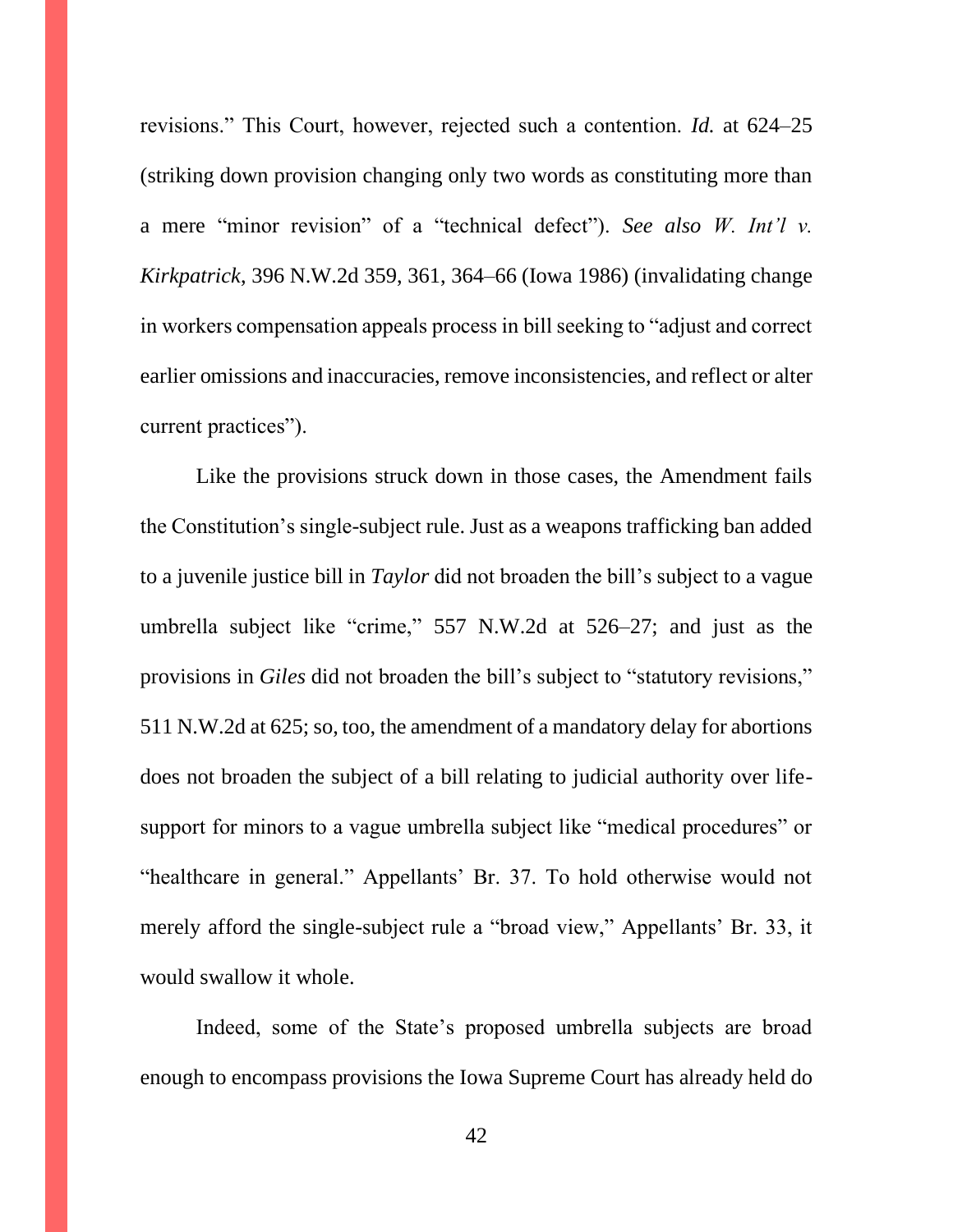revisions." This Court, however, rejected such a contention. *Id.* at 624–25 (striking down provision changing only two words as constituting more than a mere "minor revision" of a "technical defect"). *See also W. Int'l v. Kirkpatrick*, 396 N.W.2d 359, 361, 364–66 (Iowa 1986) (invalidating change in workers compensation appeals process in bill seeking to "adjust and correct earlier omissions and inaccuracies, remove inconsistencies, and reflect or alter current practices").

Like the provisions struck down in those cases, the Amendment fails the Constitution's single-subject rule. Just as a weapons trafficking ban added to a juvenile justice bill in *Taylor* did not broaden the bill's subject to a vague umbrella subject like "crime," 557 N.W.2d at 526–27; and just as the provisions in *Giles* did not broaden the bill's subject to "statutory revisions," 511 N.W.2d at 625; so, too, the amendment of a mandatory delay for abortions does not broaden the subject of a bill relating to judicial authority over lifesupport for minors to a vague umbrella subject like "medical procedures" or "healthcare in general." Appellants' Br. 37. To hold otherwise would not merely afford the single-subject rule a "broad view," Appellants' Br. 33, it would swallow it whole.

Indeed, some of the State's proposed umbrella subjects are broad enough to encompass provisions the Iowa Supreme Court has already held do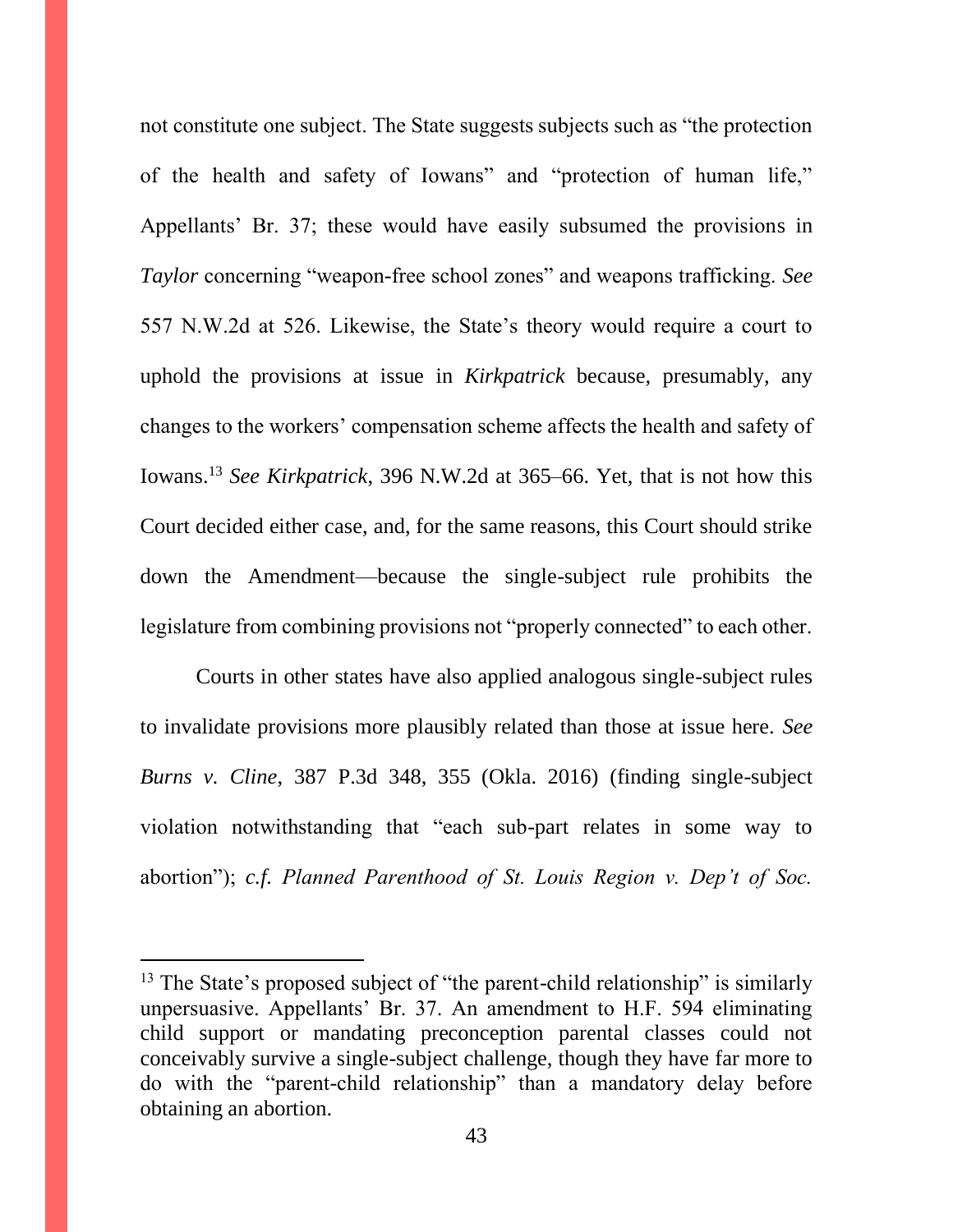not constitute one subject. The State suggests subjects such as "the protection of the health and safety of Iowans" and "protection of human life," Appellants' Br. 37; these would have easily subsumed the provisions in *Taylor* concerning "weapon-free school zones" and weapons trafficking. *See*  557 N.W.2d at 526. Likewise, the State's theory would require a court to uphold the provisions at issue in *Kirkpatrick* because, presumably, any changes to the workers' compensation scheme affects the health and safety of Iowans.<sup>13</sup> *See Kirkpatrick*, 396 N.W.2d at 365–66. Yet, that is not how this Court decided either case, and, for the same reasons, this Court should strike down the Amendment—because the single-subject rule prohibits the legislature from combining provisions not "properly connected" to each other.

Courts in other states have also applied analogous single-subject rules to invalidate provisions more plausibly related than those at issue here. *See Burns v. Cline*, 387 P.3d 348, 355 (Okla. 2016) (finding single-subject violation notwithstanding that "each sub-part relates in some way to abortion"); *c.f. Planned Parenthood of St. Louis Region v. Dep't of Soc.* 

<sup>&</sup>lt;sup>13</sup> The State's proposed subject of "the parent-child relationship" is similarly unpersuasive. Appellants' Br. 37. An amendment to H.F. 594 eliminating child support or mandating preconception parental classes could not conceivably survive a single-subject challenge, though they have far more to do with the "parent-child relationship" than a mandatory delay before obtaining an abortion.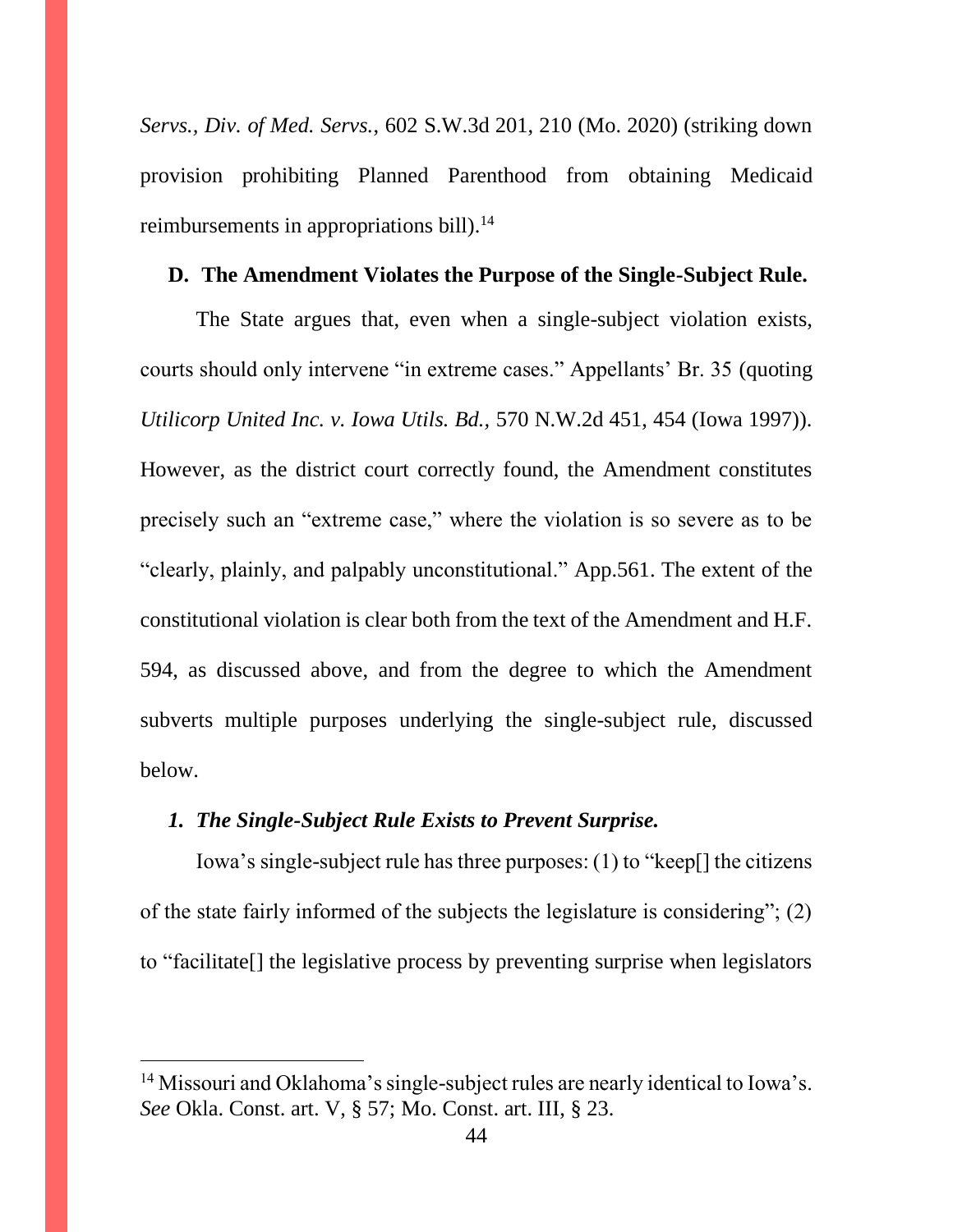*Servs., Div. of Med. Servs.*, 602 S.W.3d 201, 210 (Mo. 2020) (striking down provision prohibiting Planned Parenthood from obtaining Medicaid reimbursements in appropriations bill).<sup>14</sup>

# **D. The Amendment Violates the Purpose of the Single-Subject Rule.**

The State argues that, even when a single-subject violation exists, courts should only intervene "in extreme cases." Appellants' Br. 35 (quoting *Utilicorp United Inc. v. Iowa Utils. Bd.,* 570 N.W.2d 451, 454 (Iowa 1997)). However, as the district court correctly found, the Amendment constitutes precisely such an "extreme case," where the violation is so severe as to be "clearly, plainly, and palpably unconstitutional." App.561. The extent of the constitutional violation is clear both from the text of the Amendment and H.F. 594, as discussed above, and from the degree to which the Amendment subverts multiple purposes underlying the single-subject rule, discussed below.

#### *1. The Single-Subject Rule Exists to Prevent Surprise.*

Iowa's single-subject rule has three purposes: (1) to "keep[] the citizens of the state fairly informed of the subjects the legislature is considering"; (2) to "facilitate[] the legislative process by preventing surprise when legislators

<sup>&</sup>lt;sup>14</sup> Missouri and Oklahoma's single-subject rules are nearly identical to Iowa's. *See* Okla. Const. art. V, § 57; Mo. Const. art. III, § 23.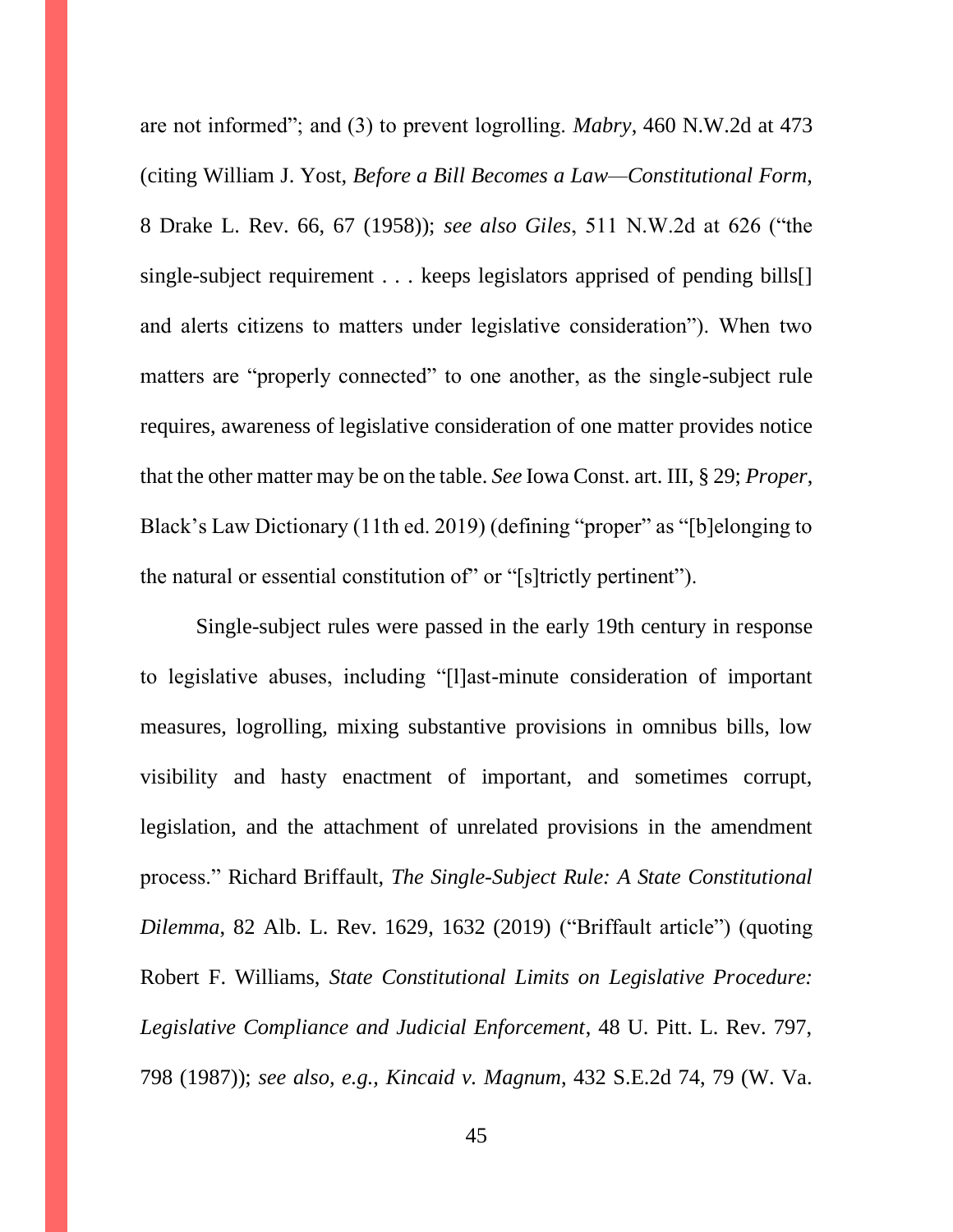are not informed"; and (3) to prevent logrolling. *Mabry*, 460 N.W.2d at 473 (citing William J. Yost, *Before a Bill Becomes a Law—Constitutional Form*, 8 Drake L. Rev. 66, 67 (1958)); *see also Giles*, 511 N.W.2d at 626 ("the single-subject requirement . . . keeps legislators apprised of pending bills<sup>[]</sup> and alerts citizens to matters under legislative consideration"). When two matters are "properly connected" to one another, as the single-subject rule requires, awareness of legislative consideration of one matter provides notice that the other matter may be on the table. *See* Iowa Const. art. III, § 29; *Proper*, Black's Law Dictionary (11th ed. 2019) (defining "proper" as "[b]elonging to the natural or essential constitution of" or "[s]trictly pertinent").

Single-subject rules were passed in the early 19th century in response to legislative abuses, including "[l]ast-minute consideration of important measures, logrolling, mixing substantive provisions in omnibus bills, low visibility and hasty enactment of important, and sometimes corrupt, legislation, and the attachment of unrelated provisions in the amendment process." Richard Briffault, *The Single-Subject Rule: A State Constitutional Dilemma*, 82 Alb. L. Rev. 1629, 1632 (2019) ("Briffault article") (quoting Robert F. Williams, *State Constitutional Limits on Legislative Procedure: Legislative Compliance and Judicial Enforcement*, 48 U. Pitt. L. Rev. 797, 798 (1987)); *see also, e.g., Kincaid v. Magnum*, 432 S.E.2d 74, 79 (W. Va.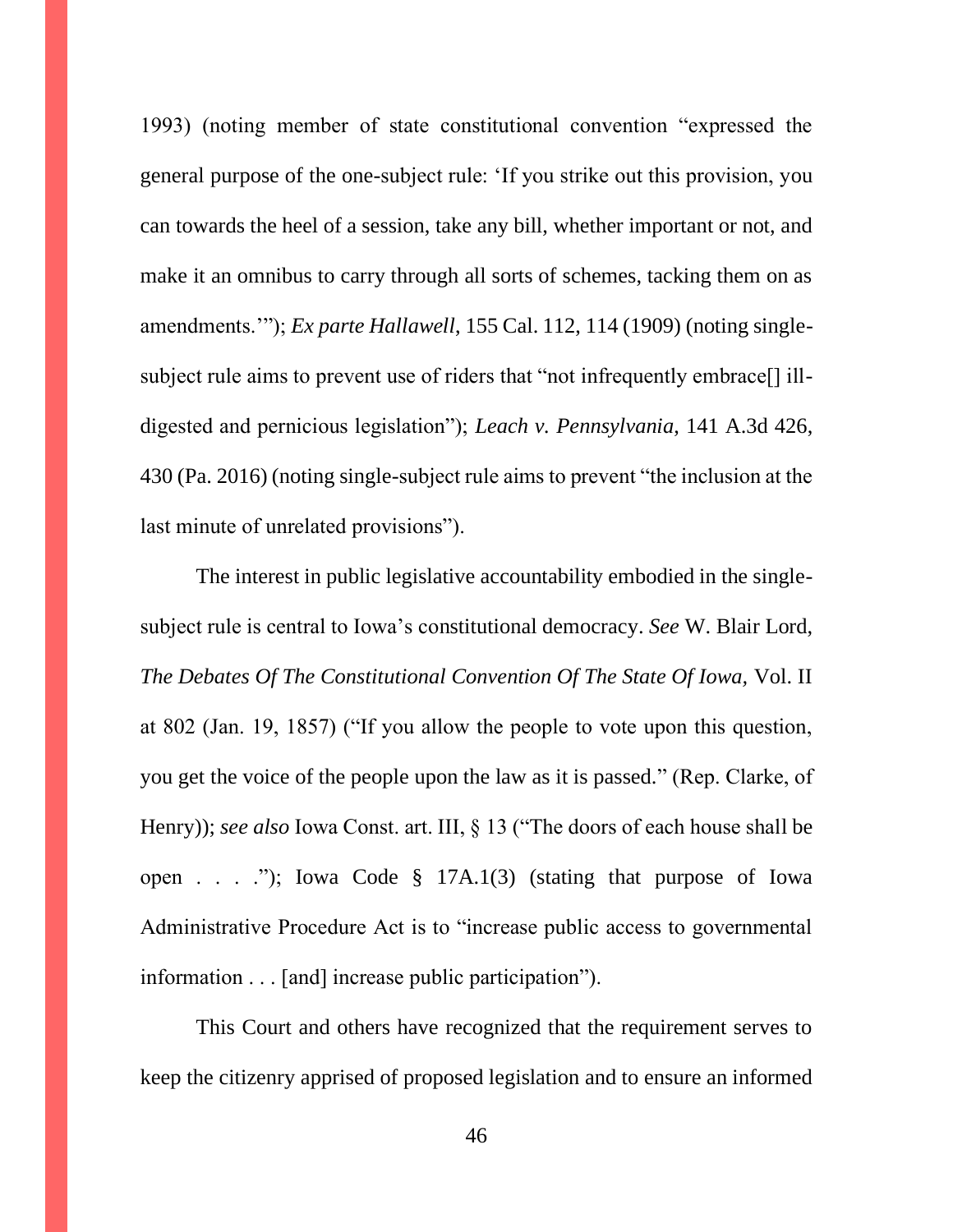1993) (noting member of state constitutional convention "expressed the general purpose of the one-subject rule: 'If you strike out this provision, you can towards the heel of a session, take any bill, whether important or not, and make it an omnibus to carry through all sorts of schemes, tacking them on as amendments.'"); *Ex parte Hallawell*, 155 Cal. 112, 114 (1909) (noting singlesubject rule aims to prevent use of riders that "not infrequently embrace[] illdigested and pernicious legislation"); *Leach v. Pennsylvania*, 141 A.3d 426, 430 (Pa. 2016) (noting single-subject rule aims to prevent "the inclusion at the last minute of unrelated provisions").

The interest in public legislative accountability embodied in the singlesubject rule is central to Iowa's constitutional democracy. *See* W. Blair Lord, *The Debates Of The Constitutional Convention Of The State Of Iowa,* Vol. II at 802 (Jan. 19, 1857) ("If you allow the people to vote upon this question, you get the voice of the people upon the law as it is passed." (Rep. Clarke, of Henry)); *see also* Iowa Const. art. III, § 13 ("The doors of each house shall be open . . . ."); Iowa Code § 17A.1(3) (stating that purpose of Iowa Administrative Procedure Act is to "increase public access to governmental information . . . [and] increase public participation").

This Court and others have recognized that the requirement serves to keep the citizenry apprised of proposed legislation and to ensure an informed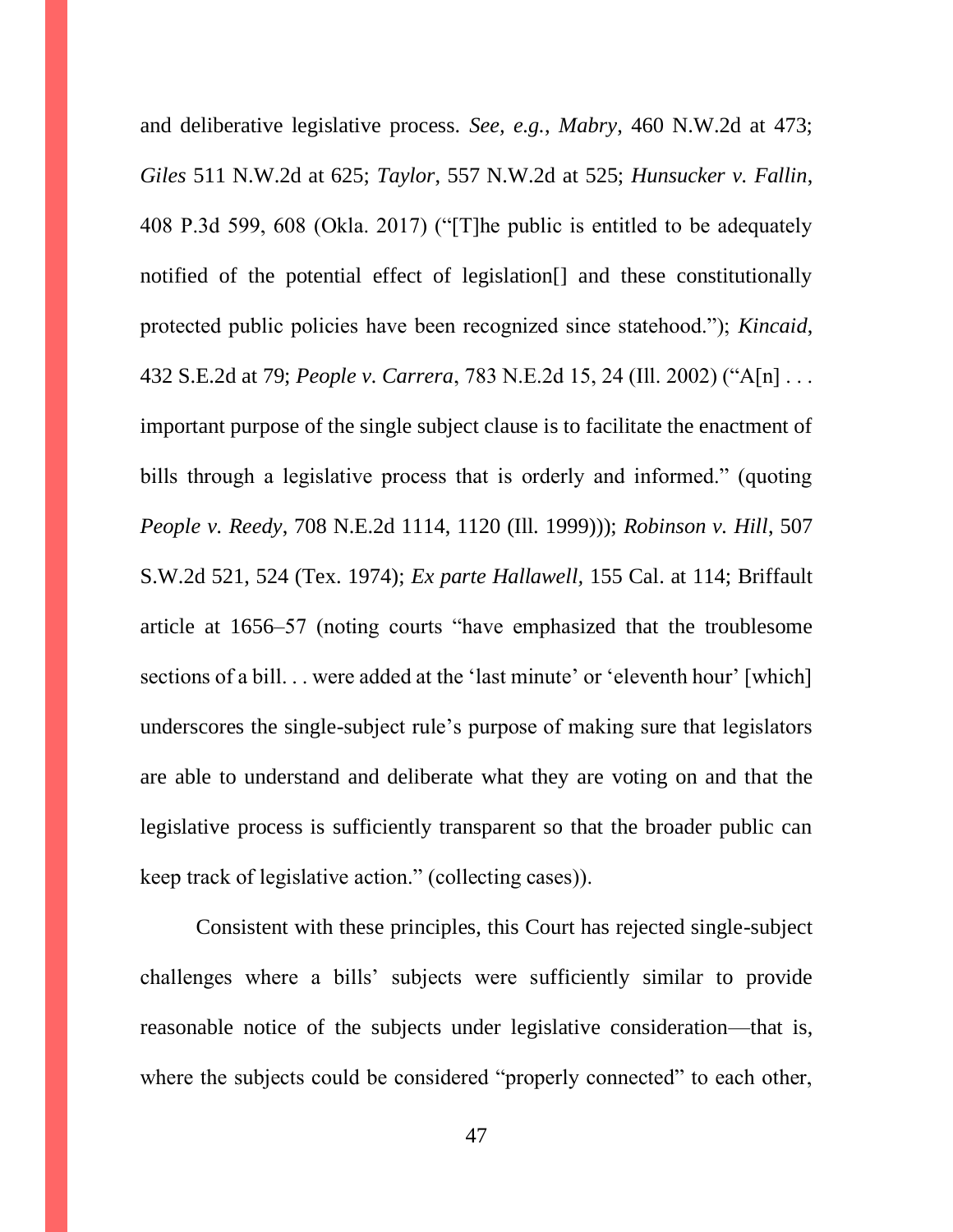and deliberative legislative process. *See, e.g.*, *Mabry*, 460 N.W.2d at 473; *Giles* 511 N.W.2d at 625; *Taylor*, 557 N.W.2d at 525; *Hunsucker v. Fallin*, 408 P.3d 599, 608 (Okla. 2017) ("[T]he public is entitled to be adequately notified of the potential effect of legislation[] and these constitutionally protected public policies have been recognized since statehood."); *Kincaid*, 432 S.E.2d at 79; *People v. Carrera*, 783 N.E.2d 15, 24 (Ill. 2002) ("A[n] . . . important purpose of the single subject clause is to facilitate the enactment of bills through a legislative process that is orderly and informed." (quoting *People v. Reedy*, 708 N.E.2d 1114, 1120 (Ill. 1999))); *Robinson v. Hill*, 507 S.W.2d 521, 524 (Tex. 1974); *Ex parte Hallawell,* 155 Cal. at 114; Briffault article at 1656–57 (noting courts "have emphasized that the troublesome sections of a bill. . . were added at the 'last minute' or 'eleventh hour' [which] underscores the single-subject rule's purpose of making sure that legislators are able to understand and deliberate what they are voting on and that the legislative process is sufficiently transparent so that the broader public can keep track of legislative action." (collecting cases)).

Consistent with these principles, this Court has rejected single-subject challenges where a bills' subjects were sufficiently similar to provide reasonable notice of the subjects under legislative consideration—that is, where the subjects could be considered "properly connected" to each other,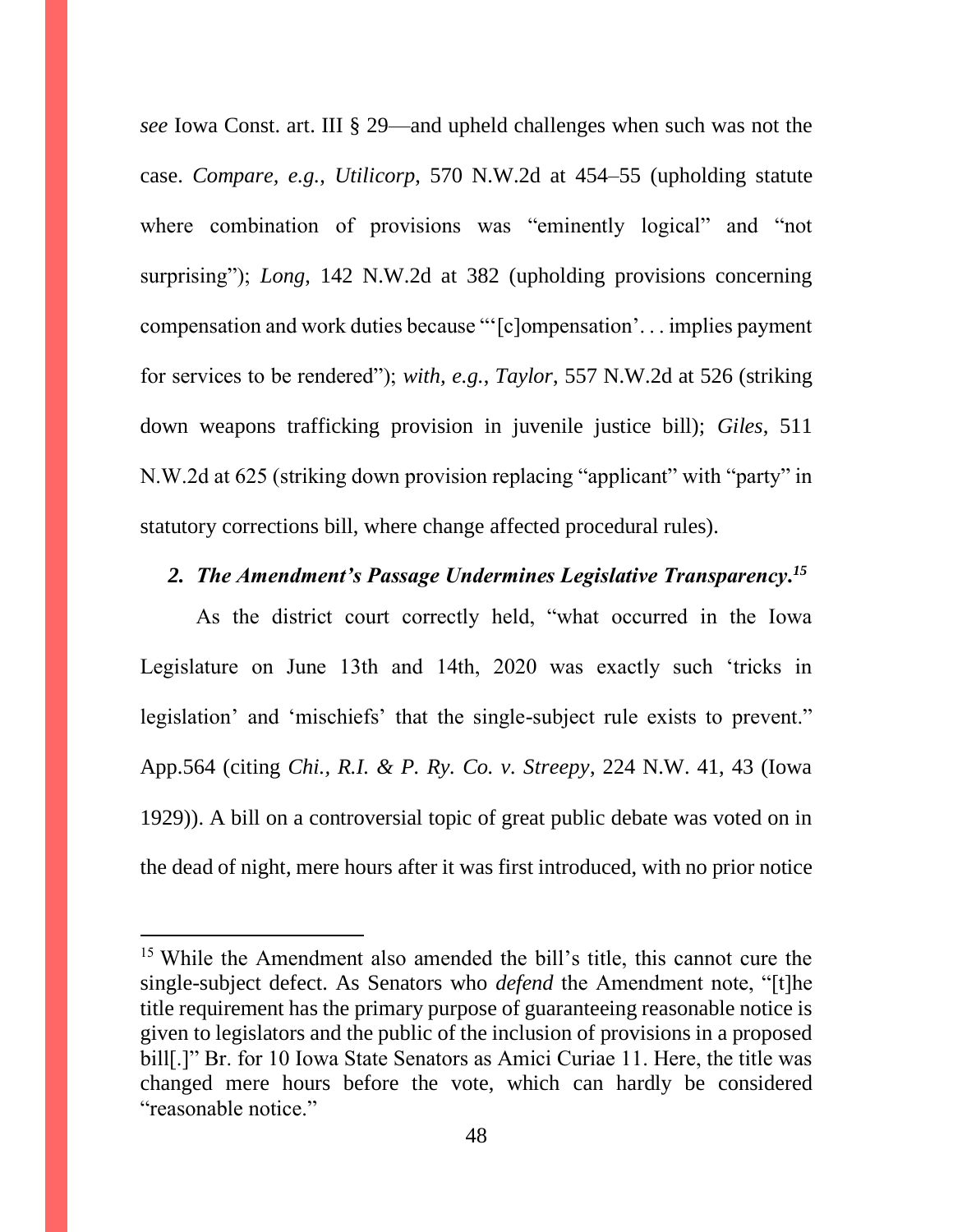*see* Iowa Const. art. III § 29—and upheld challenges when such was not the case. *Compare, e.g.*, *Utilicorp*, 570 N.W.2d at 454–55 (upholding statute where combination of provisions was "eminently logical" and "not surprising"); *Long*, 142 N.W.2d at 382 (upholding provisions concerning compensation and work duties because "'[c]ompensation'. . . implies payment for services to be rendered"); *with, e.g.*, *Taylor*, 557 N.W.2d at 526 (striking down weapons trafficking provision in juvenile justice bill); *Giles*, 511 N.W.2d at 625 (striking down provision replacing "applicant" with "party" in statutory corrections bill, where change affected procedural rules).

# *2. The Amendment's Passage Undermines Legislative Transparency. 15*

As the district court correctly held, "what occurred in the Iowa Legislature on June 13th and 14th, 2020 was exactly such 'tricks in legislation' and 'mischiefs' that the single-subject rule exists to prevent." App.564 (citing *Chi., R.I. & P. Ry. Co. v. Streepy*, 224 N.W. 41, 43 (Iowa 1929)). A bill on a controversial topic of great public debate was voted on in the dead of night, mere hours after it was first introduced, with no prior notice

<sup>&</sup>lt;sup>15</sup> While the Amendment also amended the bill's title, this cannot cure the single-subject defect. As Senators who *defend* the Amendment note, "[t]he title requirement has the primary purpose of guaranteeing reasonable notice is given to legislators and the public of the inclusion of provisions in a proposed bill<sup>[1]</sup>.]" Br. for 10 Iowa State Senators as Amici Curiae 11. Here, the title was changed mere hours before the vote, which can hardly be considered "reasonable notice."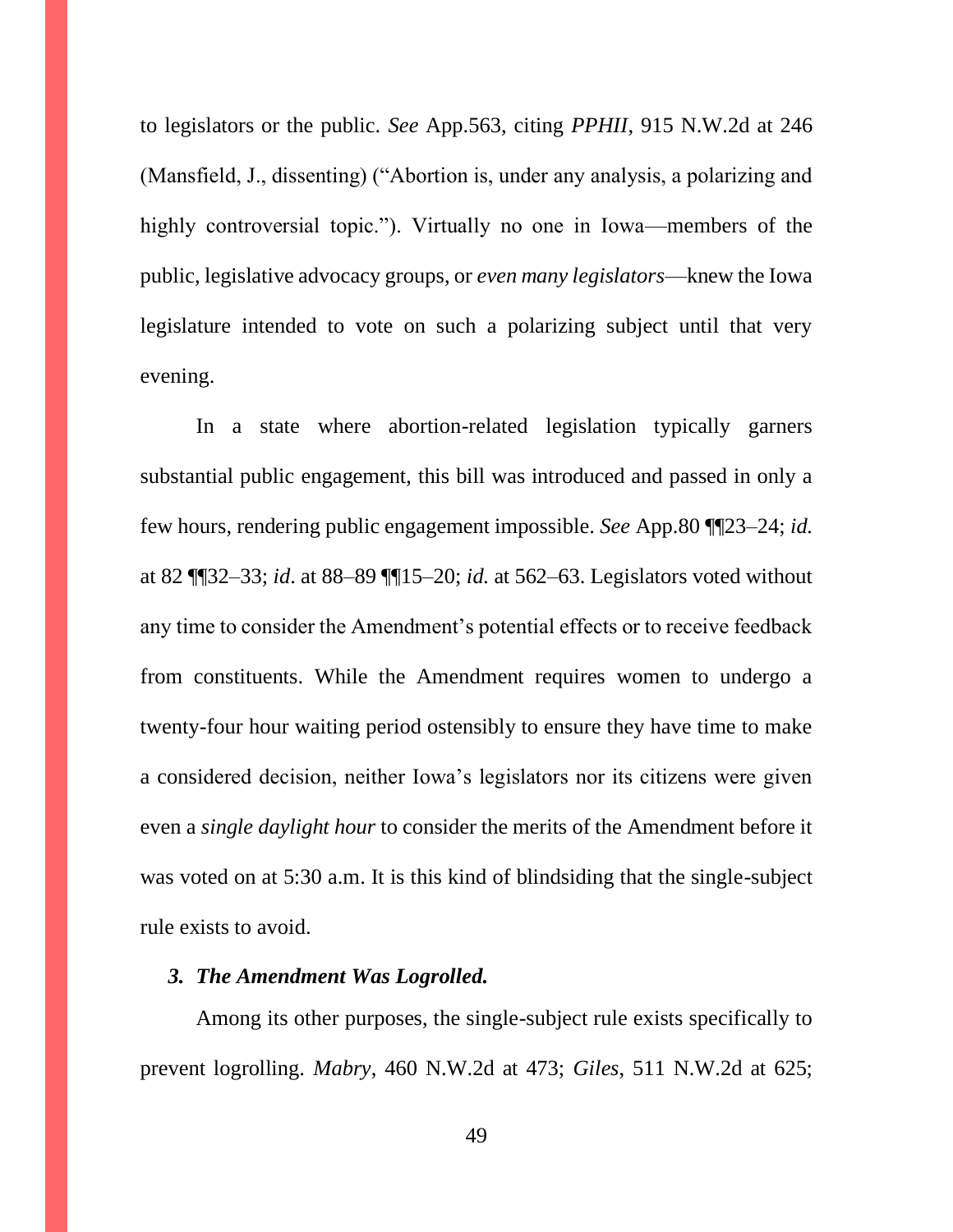to legislators or the public. *See* App.563, citing *PPHII*, 915 N.W.2d at 246 (Mansfield, J., dissenting) ("Abortion is, under any analysis, a polarizing and highly controversial topic."). Virtually no one in Iowa—members of the public, legislative advocacy groups, or *even many legislators*—knew the Iowa legislature intended to vote on such a polarizing subject until that very evening.

In a state where abortion-related legislation typically garners substantial public engagement, this bill was introduced and passed in only a few hours, rendering public engagement impossible. *See* App.80 ¶¶23–24; *id.*  at 82 ¶¶32–33; *id*. at 88–89 ¶¶15–20; *id.* at 562–63. Legislators voted without any time to consider the Amendment's potential effects or to receive feedback from constituents. While the Amendment requires women to undergo a twenty-four hour waiting period ostensibly to ensure they have time to make a considered decision, neither Iowa's legislators nor its citizens were given even a *single daylight hour* to consider the merits of the Amendment before it was voted on at 5:30 a.m. It is this kind of blindsiding that the single-subject rule exists to avoid.

# *3. The Amendment Was Logrolled.*

Among its other purposes, the single-subject rule exists specifically to prevent logrolling. *Mabry*, 460 N.W.2d at 473; *Giles*, 511 N.W.2d at 625;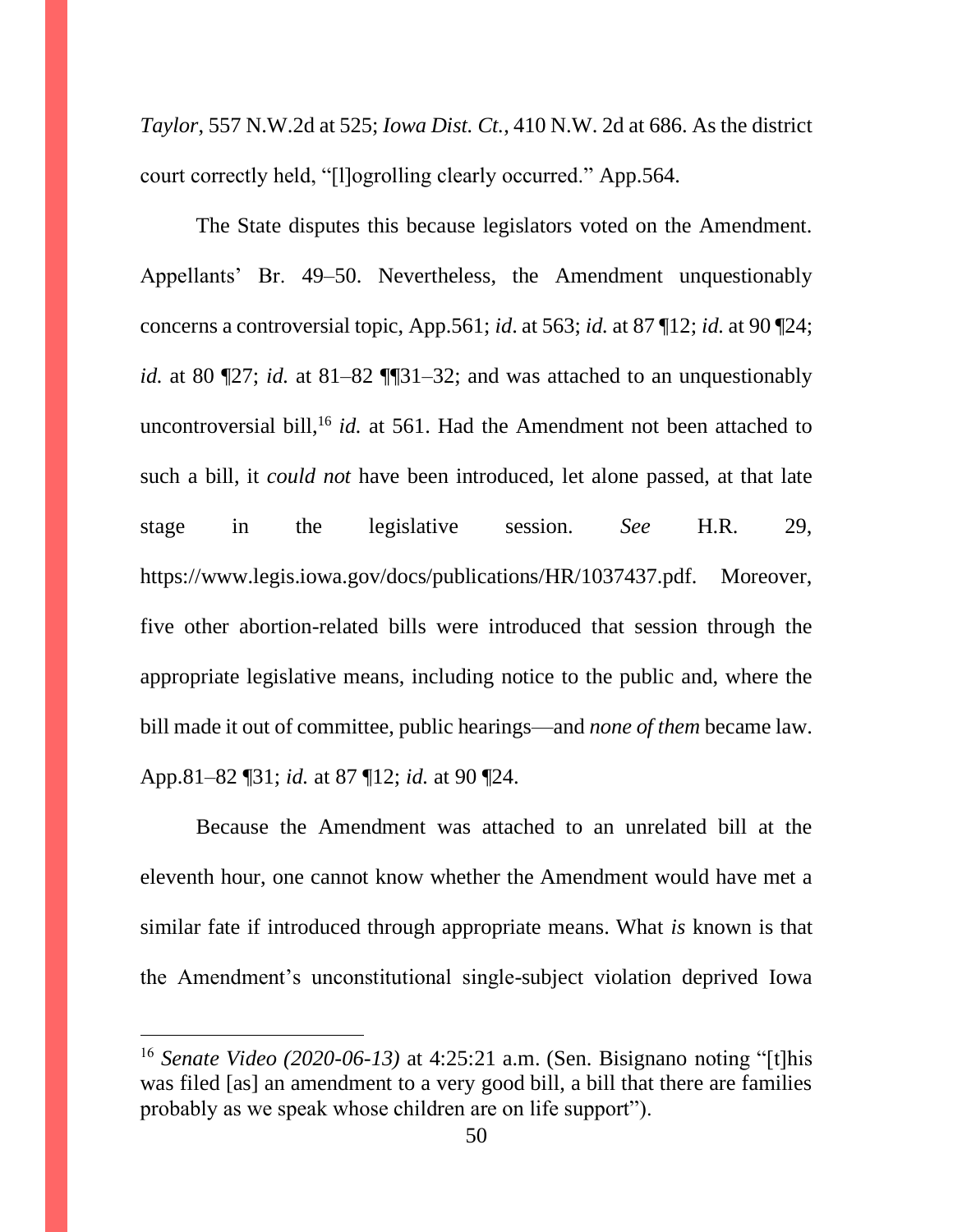*Taylor*, 557 N.W.2d at 525; *Iowa Dist. Ct.*, 410 N.W. 2d at 686. As the district court correctly held, "[l]ogrolling clearly occurred." App.564.

The State disputes this because legislators voted on the Amendment. Appellants' Br. 49–50. Nevertheless, the Amendment unquestionably concerns a controversial topic, App.561; *id*. at 563; *id.* at 87 ¶12; *id.* at 90 ¶24; *id.* at 80 ¶27; *id.* at 81–82 ¶¶31–32; and was attached to an unquestionably uncontroversial bill,<sup>16</sup> *id.* at 561. Had the Amendment not been attached to such a bill, it *could not* have been introduced, let alone passed, at that late stage in the legislative session. *See* H.R. 29, https://www.legis.iowa.gov/docs/publications/HR/1037437.pdf. Moreover, five other abortion-related bills were introduced that session through the appropriate legislative means, including notice to the public and, where the bill made it out of committee, public hearings—and *none of them* became law. App.81–82 ¶31; *id.* at 87 ¶12; *id.* at 90 ¶24.

Because the Amendment was attached to an unrelated bill at the eleventh hour, one cannot know whether the Amendment would have met a similar fate if introduced through appropriate means. What *is* known is that the Amendment's unconstitutional single-subject violation deprived Iowa

<sup>16</sup> *Senate Video (2020-06-13)* at 4:25:21 a.m. (Sen. Bisignano noting "[t]his was filed [as] an amendment to a very good bill, a bill that there are families probably as we speak whose children are on life support").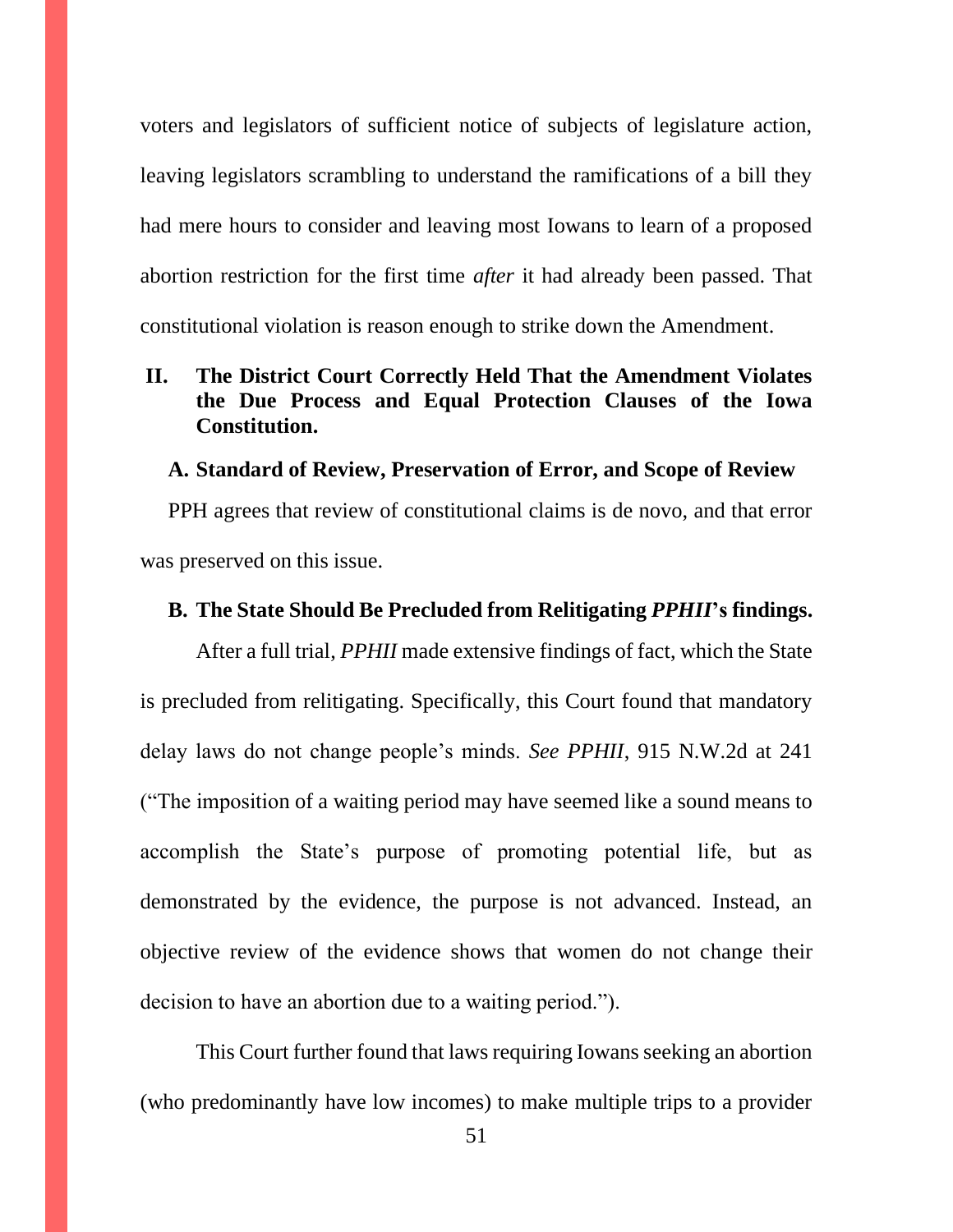voters and legislators of sufficient notice of subjects of legislature action, leaving legislators scrambling to understand the ramifications of a bill they had mere hours to consider and leaving most Iowans to learn of a proposed abortion restriction for the first time *after* it had already been passed. That constitutional violation is reason enough to strike down the Amendment.

# **II. The District Court Correctly Held That the Amendment Violates the Due Process and Equal Protection Clauses of the Iowa Constitution.**

#### **A. Standard of Review, Preservation of Error, and Scope of Review**

PPH agrees that review of constitutional claims is de novo, and that error was preserved on this issue.

#### **B. The State Should Be Precluded from Relitigating** *PPHII***'s findings.**

After a full trial, *PPHII* made extensive findings of fact, which the State is precluded from relitigating. Specifically, this Court found that mandatory delay laws do not change people's minds. *See PPHII*, 915 N.W.2d at 241 ("The imposition of a waiting period may have seemed like a sound means to accomplish the State's purpose of promoting potential life, but as demonstrated by the evidence, the purpose is not advanced. Instead, an objective review of the evidence shows that women do not change their decision to have an abortion due to a waiting period.").

This Court further found that laws requiring Iowans seeking an abortion (who predominantly have low incomes) to make multiple trips to a provider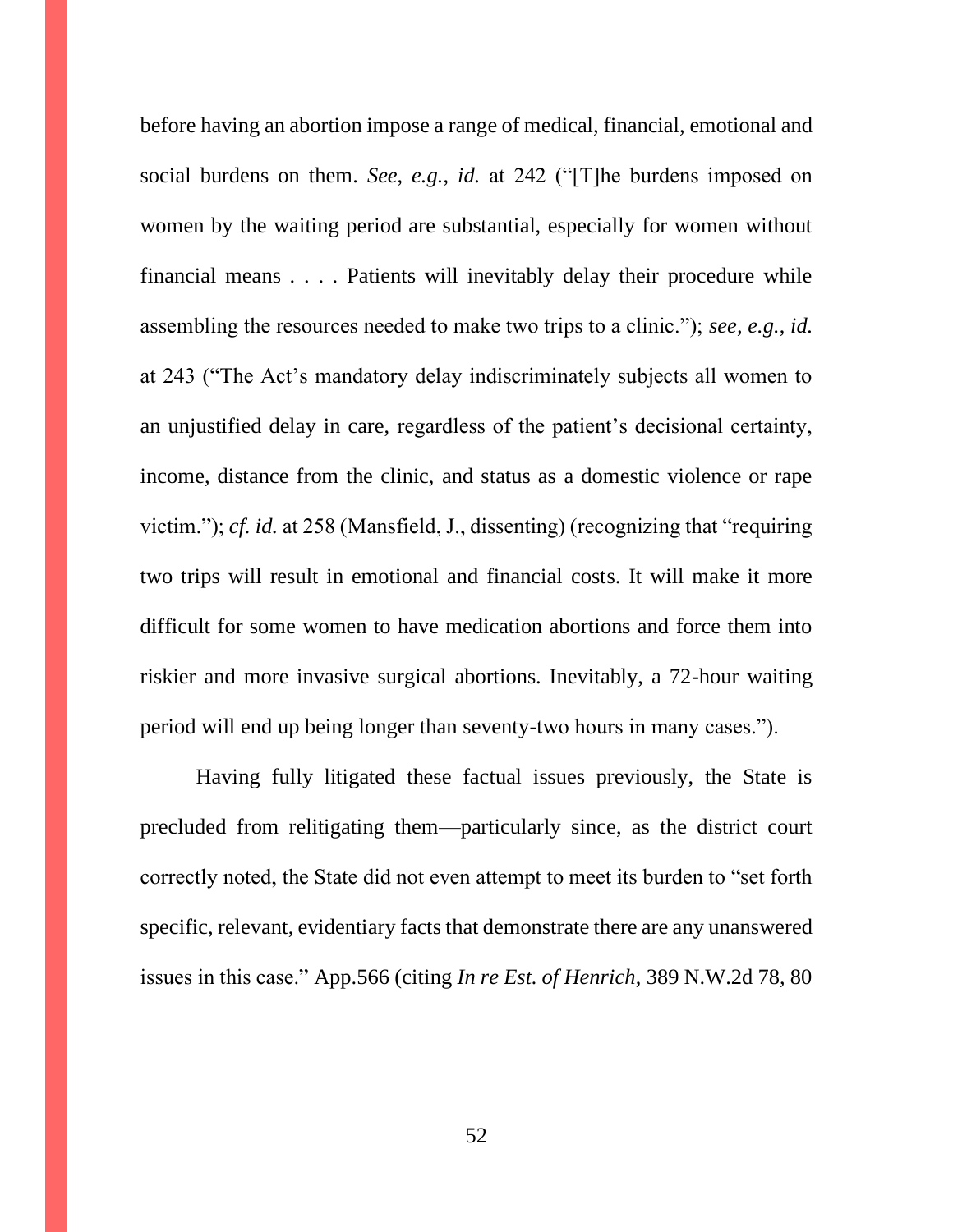before having an abortion impose a range of medical, financial, emotional and social burdens on them. *See*, *e.g.*, *id.* at 242 ("[T]he burdens imposed on women by the waiting period are substantial, especially for women without financial means . . . . Patients will inevitably delay their procedure while assembling the resources needed to make two trips to a clinic."); *see, e.g.*, *id.*  at 243 ("The Act's mandatory delay indiscriminately subjects all women to an unjustified delay in care, regardless of the patient's decisional certainty, income, distance from the clinic, and status as a domestic violence or rape victim."); *cf. id.* at 258 (Mansfield, J., dissenting) (recognizing that "requiring two trips will result in emotional and financial costs. It will make it more difficult for some women to have medication abortions and force them into riskier and more invasive surgical abortions. Inevitably, a 72-hour waiting period will end up being longer than seventy-two hours in many cases.").

Having fully litigated these factual issues previously, the State is precluded from relitigating them—particularly since, as the district court correctly noted, the State did not even attempt to meet its burden to "set forth specific, relevant, evidentiary facts that demonstrate there are any unanswered issues in this case." App.566 (citing *In re Est. of Henrich*, 389 N.W.2d 78, 80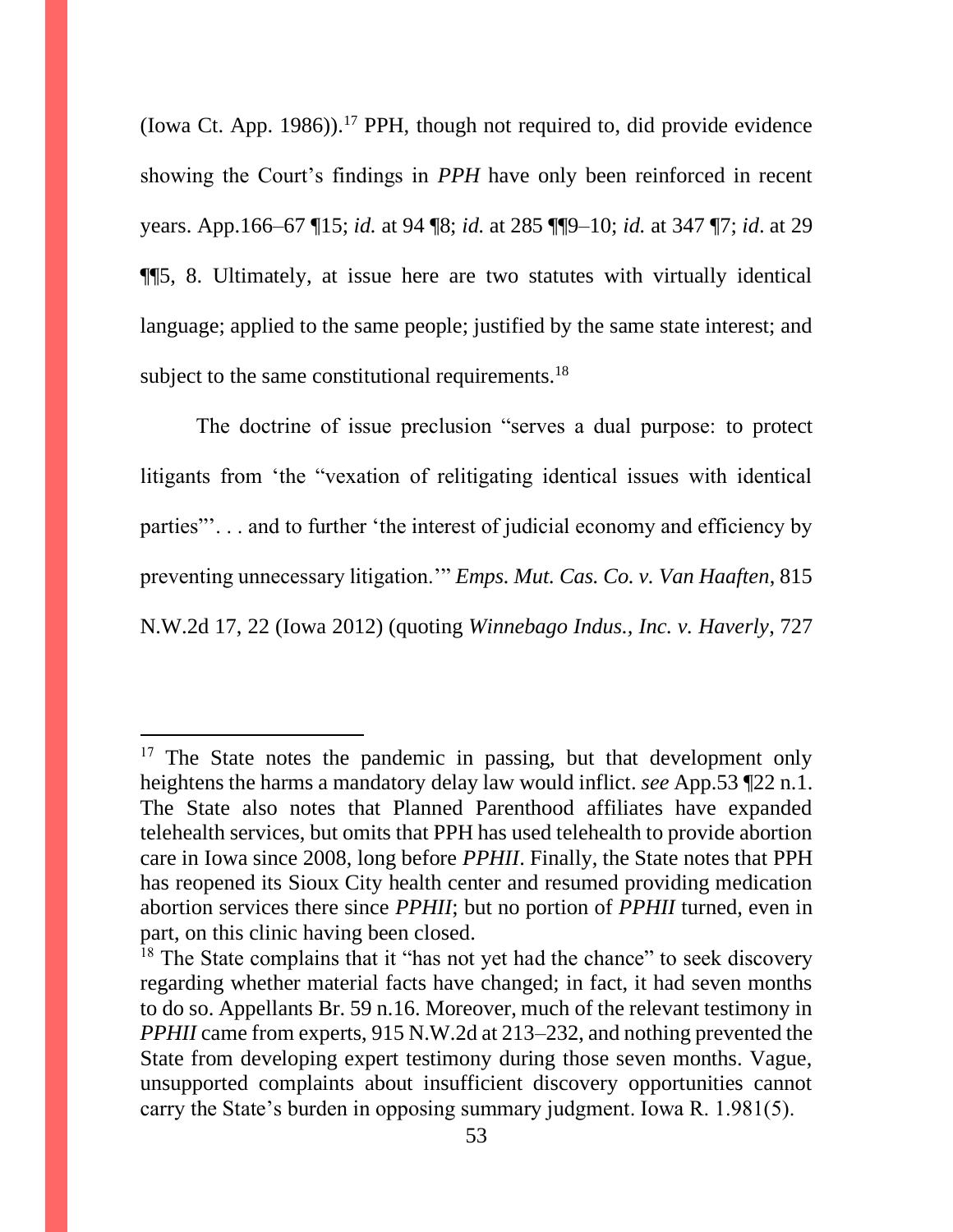(Iowa Ct. App. 1986)).<sup>17</sup> PPH, though not required to, did provide evidence showing the Court's findings in *PPH* have only been reinforced in recent years. App.166–67 ¶15; *id.* at 94 ¶8; *id.* at 285 ¶¶9–10; *id.* at 347 ¶7; *id*. at 29 ¶¶5, 8. Ultimately, at issue here are two statutes with virtually identical language; applied to the same people; justified by the same state interest; and subject to the same constitutional requirements.<sup>18</sup>

The doctrine of issue preclusion "serves a dual purpose: to protect litigants from 'the "vexation of relitigating identical issues with identical parties"'. . . and to further 'the interest of judicial economy and efficiency by preventing unnecessary litigation.'" *Emps. Mut. Cas. Co. v. Van Haaften*, 815 N.W.2d 17, 22 (Iowa 2012) (quoting *Winnebago Indus., Inc. v. Haverly*, 727

<sup>&</sup>lt;sup>17</sup> The State notes the pandemic in passing, but that development only heightens the harms a mandatory delay law would inflict. *see* App.53 ¶22 n.1. The State also notes that Planned Parenthood affiliates have expanded telehealth services, but omits that PPH has used telehealth to provide abortion care in Iowa since 2008, long before *PPHII*. Finally, the State notes that PPH has reopened its Sioux City health center and resumed providing medication abortion services there since *PPHII*; but no portion of *PPHII* turned, even in part, on this clinic having been closed.

 $18$  The State complains that it "has not yet had the chance" to seek discovery regarding whether material facts have changed; in fact, it had seven months to do so. Appellants Br. 59 n.16. Moreover, much of the relevant testimony in *PPHII* came from experts, 915 N.W.2d at 213–232, and nothing prevented the State from developing expert testimony during those seven months. Vague, unsupported complaints about insufficient discovery opportunities cannot carry the State's burden in opposing summary judgment. Iowa R. 1.981(5).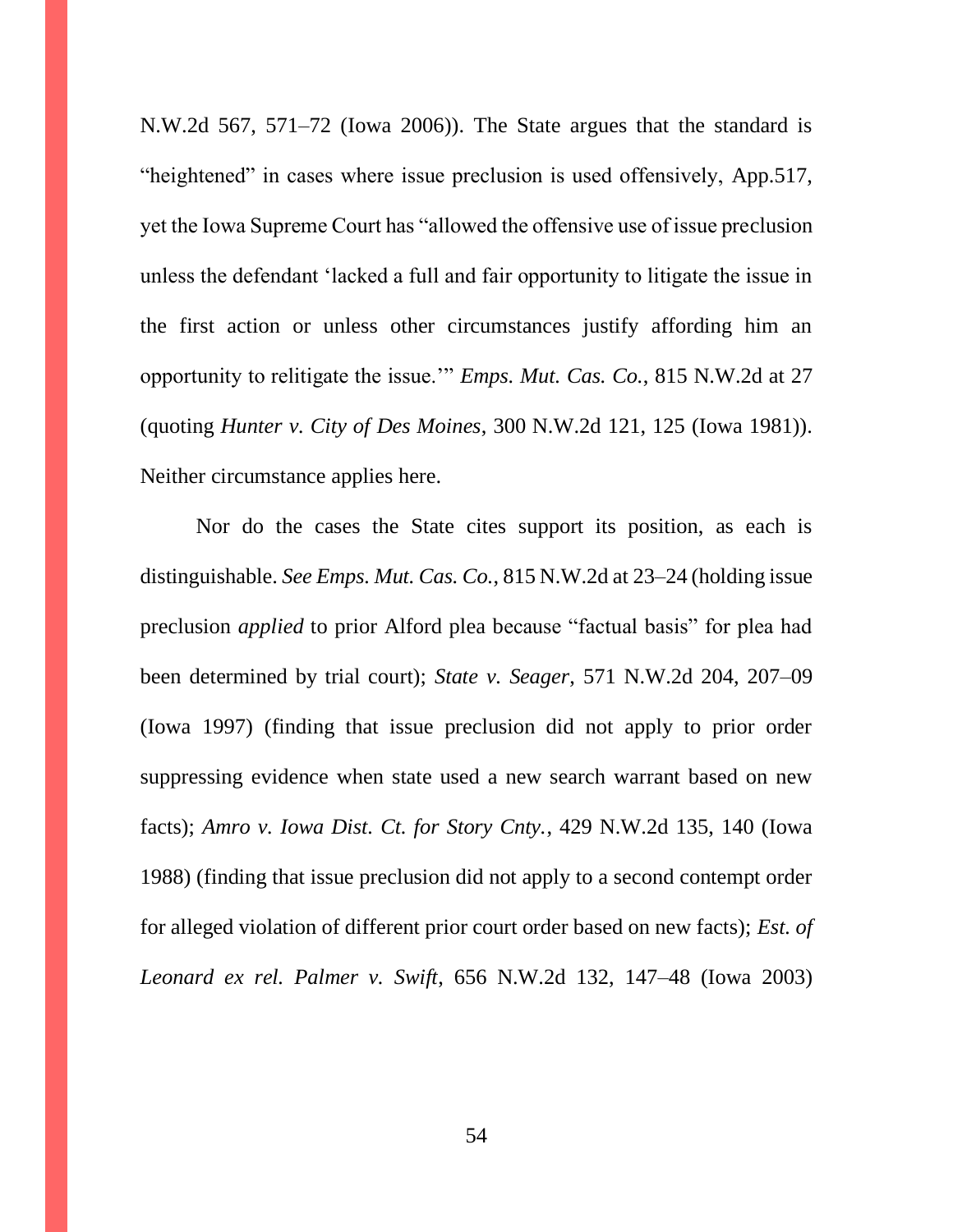N.W.2d 567, 571–72 (Iowa 2006)). The State argues that the standard is "heightened" in cases where issue preclusion is used offensively, App.517, yet the Iowa Supreme Court has "allowed the offensive use of issue preclusion unless the defendant 'lacked a full and fair opportunity to litigate the issue in the first action or unless other circumstances justify affording him an opportunity to relitigate the issue.'" *Emps. Mut. Cas. Co.*, 815 N.W.2d at 27 (quoting *Hunter v. City of Des Moines*, 300 N.W.2d 121, 125 (Iowa 1981)). Neither circumstance applies here.

Nor do the cases the State cites support its position, as each is distinguishable. *See Emps. Mut. Cas. Co.*, 815 N.W.2d at 23–24 (holding issue preclusion *applied* to prior Alford plea because "factual basis" for plea had been determined by trial court); *State v. Seager*, 571 N.W.2d 204, 207–09 (Iowa 1997) (finding that issue preclusion did not apply to prior order suppressing evidence when state used a new search warrant based on new facts); *Amro v. Iowa Dist. Ct. for Story Cnty.*, 429 N.W.2d 135, 140 (Iowa 1988) (finding that issue preclusion did not apply to a second contempt order for alleged violation of different prior court order based on new facts); *Est. of Leonard ex rel. Palmer v. Swift*, 656 N.W.2d 132, 147–48 (Iowa 2003)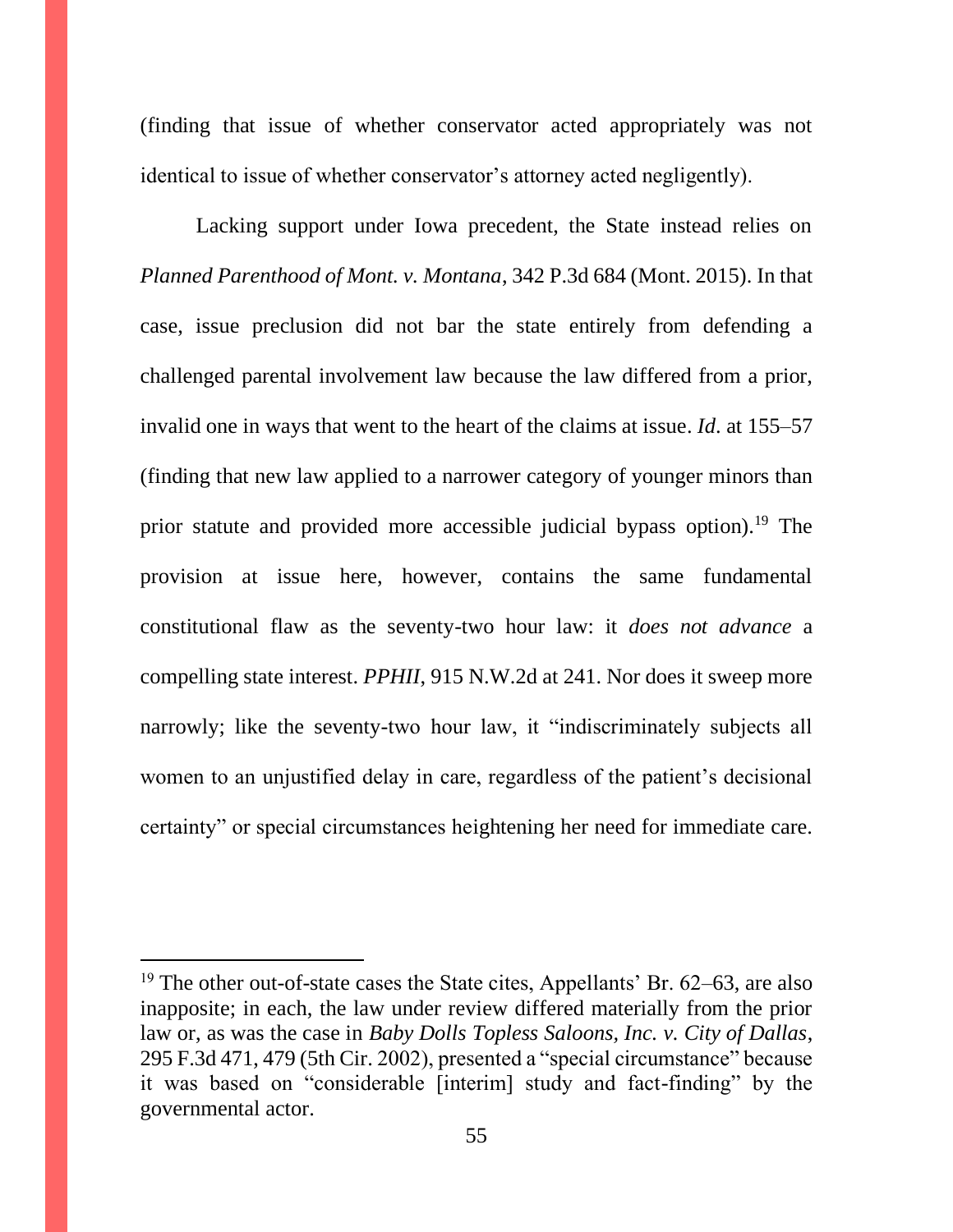(finding that issue of whether conservator acted appropriately was not identical to issue of whether conservator's attorney acted negligently).

Lacking support under Iowa precedent, the State instead relies on *Planned Parenthood of Mont. v. Montana*, 342 P.3d 684 (Mont. 2015). In that case, issue preclusion did not bar the state entirely from defending a challenged parental involvement law because the law differed from a prior, invalid one in ways that went to the heart of the claims at issue. *Id*. at 155–57 (finding that new law applied to a narrower category of younger minors than prior statute and provided more accessible judicial bypass option).<sup>19</sup> The provision at issue here, however, contains the same fundamental constitutional flaw as the seventy-two hour law: it *does not advance* a compelling state interest. *PPHII*, 915 N.W.2d at 241. Nor does it sweep more narrowly; like the seventy-two hour law, it "indiscriminately subjects all women to an unjustified delay in care, regardless of the patient's decisional certainty" or special circumstances heightening her need for immediate care.

<sup>&</sup>lt;sup>19</sup> The other out-of-state cases the State cites, Appellants' Br.  $62-63$ , are also inapposite; in each, the law under review differed materially from the prior law or, as was the case in *Baby Dolls Topless Saloons, Inc. v. City of Dallas*, 295 F.3d 471, 479 (5th Cir. 2002), presented a "special circumstance" because it was based on "considerable [interim] study and fact-finding" by the governmental actor.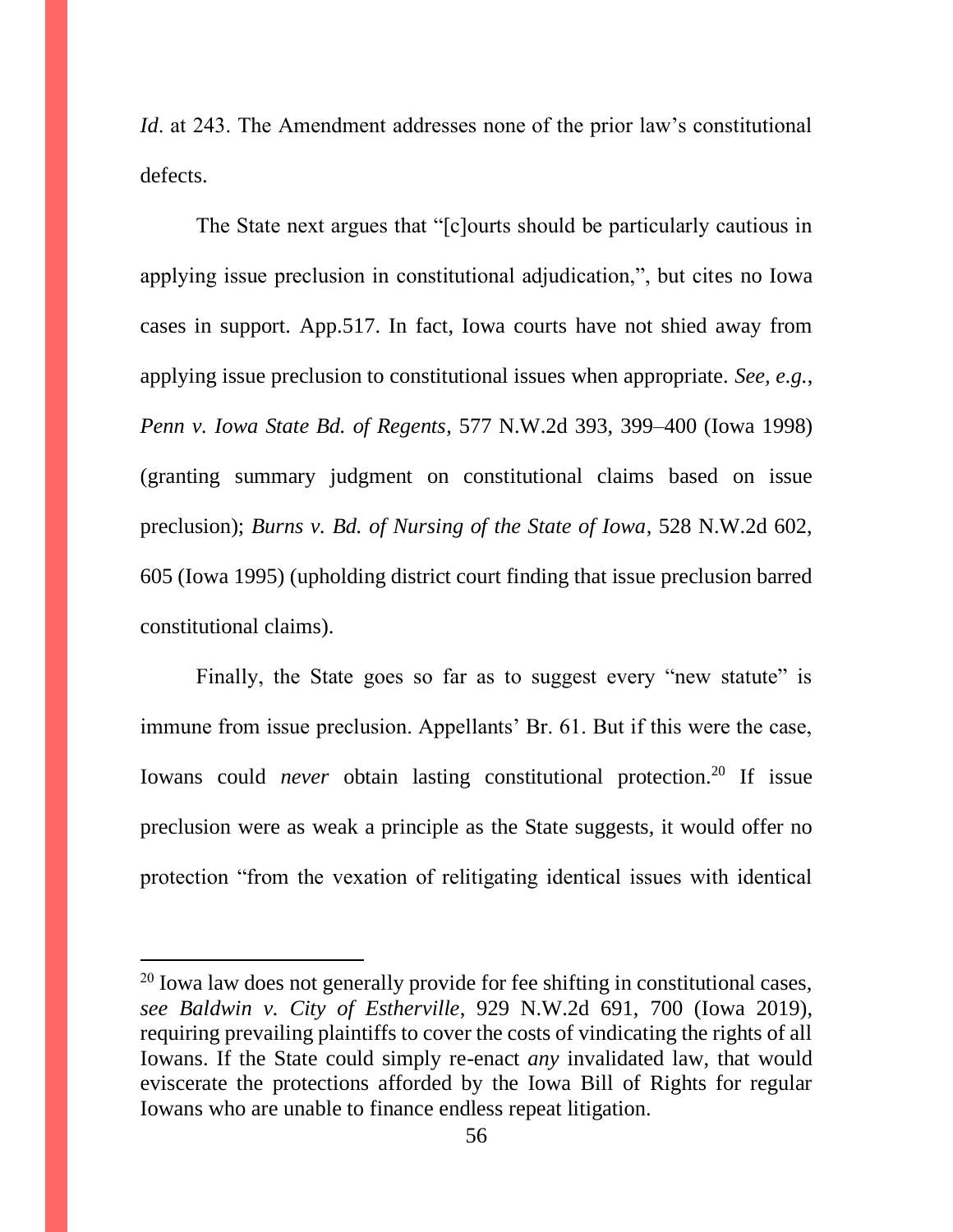*Id.* at 243. The Amendment addresses none of the prior law's constitutional defects.

The State next argues that "[c]ourts should be particularly cautious in applying issue preclusion in constitutional adjudication,", but cites no Iowa cases in support. App.517. In fact, Iowa courts have not shied away from applying issue preclusion to constitutional issues when appropriate. *See, e.g.*, *Penn v. Iowa State Bd. of Regents*, 577 N.W.2d 393, 399–400 (Iowa 1998) (granting summary judgment on constitutional claims based on issue preclusion); *Burns v. Bd. of Nursing of the State of Iowa*, 528 N.W.2d 602, 605 (Iowa 1995) (upholding district court finding that issue preclusion barred constitutional claims).

Finally, the State goes so far as to suggest every "new statute" is immune from issue preclusion. Appellants' Br. 61. But if this were the case, Iowans could *never* obtain lasting constitutional protection.<sup>20</sup> If issue preclusion were as weak a principle as the State suggests, it would offer no protection "from the vexation of relitigating identical issues with identical

 $20$  Iowa law does not generally provide for fee shifting in constitutional cases, *see Baldwin v. City of Estherville*, 929 N.W.2d 691, 700 (Iowa 2019), requiring prevailing plaintiffs to cover the costs of vindicating the rights of all Iowans. If the State could simply re-enact *any* invalidated law, that would eviscerate the protections afforded by the Iowa Bill of Rights for regular Iowans who are unable to finance endless repeat litigation.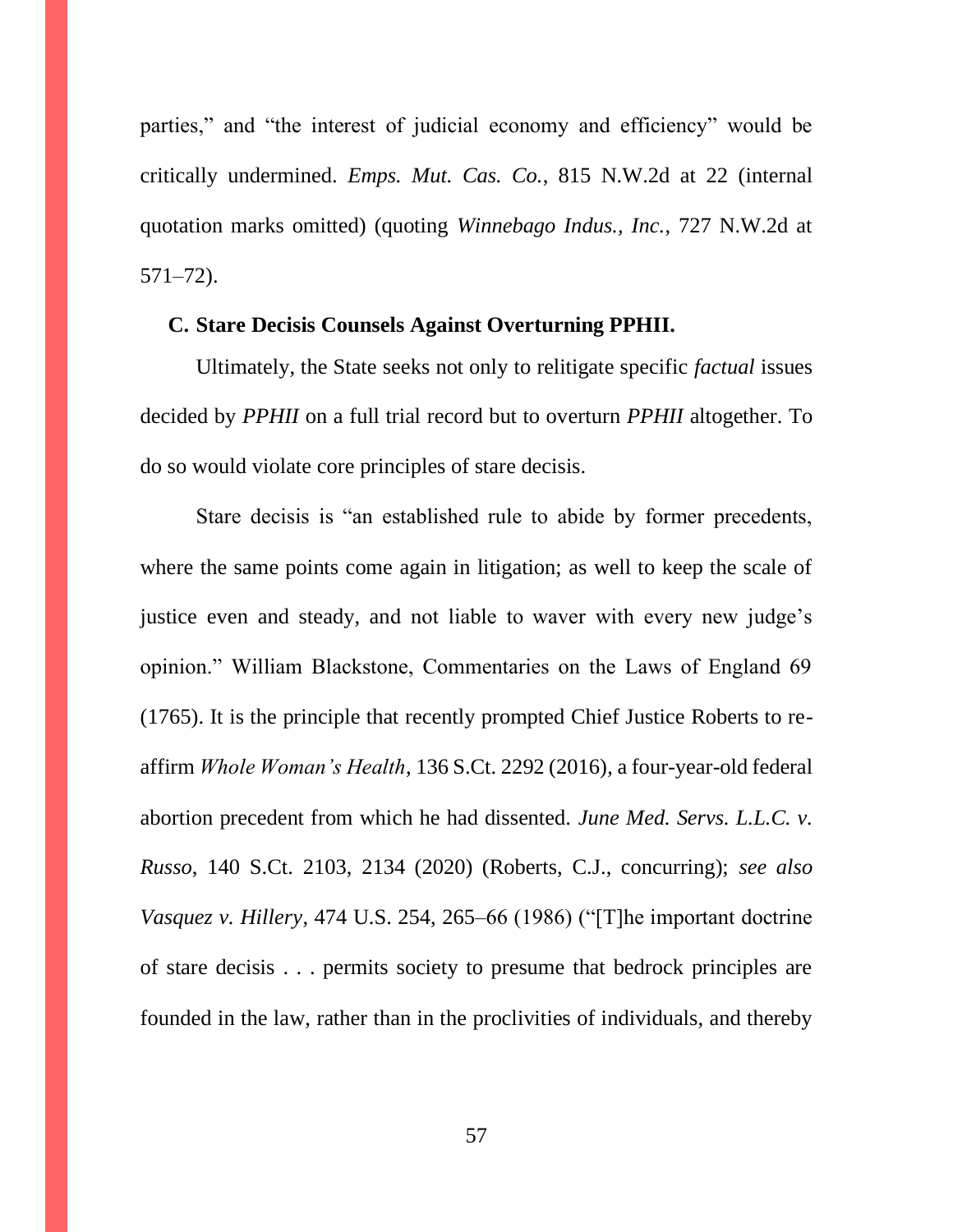parties," and "the interest of judicial economy and efficiency" would be critically undermined. *Emps. Mut. Cas. Co.*, 815 N.W.2d at 22 (internal quotation marks omitted) (quoting *Winnebago Indus., Inc.*, 727 N.W.2d at 571–72).

#### **C. Stare Decisis Counsels Against Overturning PPHII.**

Ultimately, the State seeks not only to relitigate specific *factual* issues decided by *PPHII* on a full trial record but to overturn *PPHII* altogether. To do so would violate core principles of stare decisis.

Stare decisis is "an established rule to abide by former precedents, where the same points come again in litigation; as well to keep the scale of justice even and steady, and not liable to waver with every new judge's opinion." William Blackstone, Commentaries on the Laws of England 69 (1765). It is the principle that recently prompted Chief Justice Roberts to reaffirm *Whole Woman's Health*, 136 S.Ct. 2292 (2016), a four-year-old federal abortion precedent from which he had dissented. *June Med. Servs. L.L.C. v. Russo*, 140 S.Ct. 2103, 2134 (2020) (Roberts, C.J., concurring); *see also Vasquez v. Hillery*, 474 U.S. 254, 265–66 (1986) ("[T]he important doctrine of stare decisis . . . permits society to presume that bedrock principles are founded in the law, rather than in the proclivities of individuals, and thereby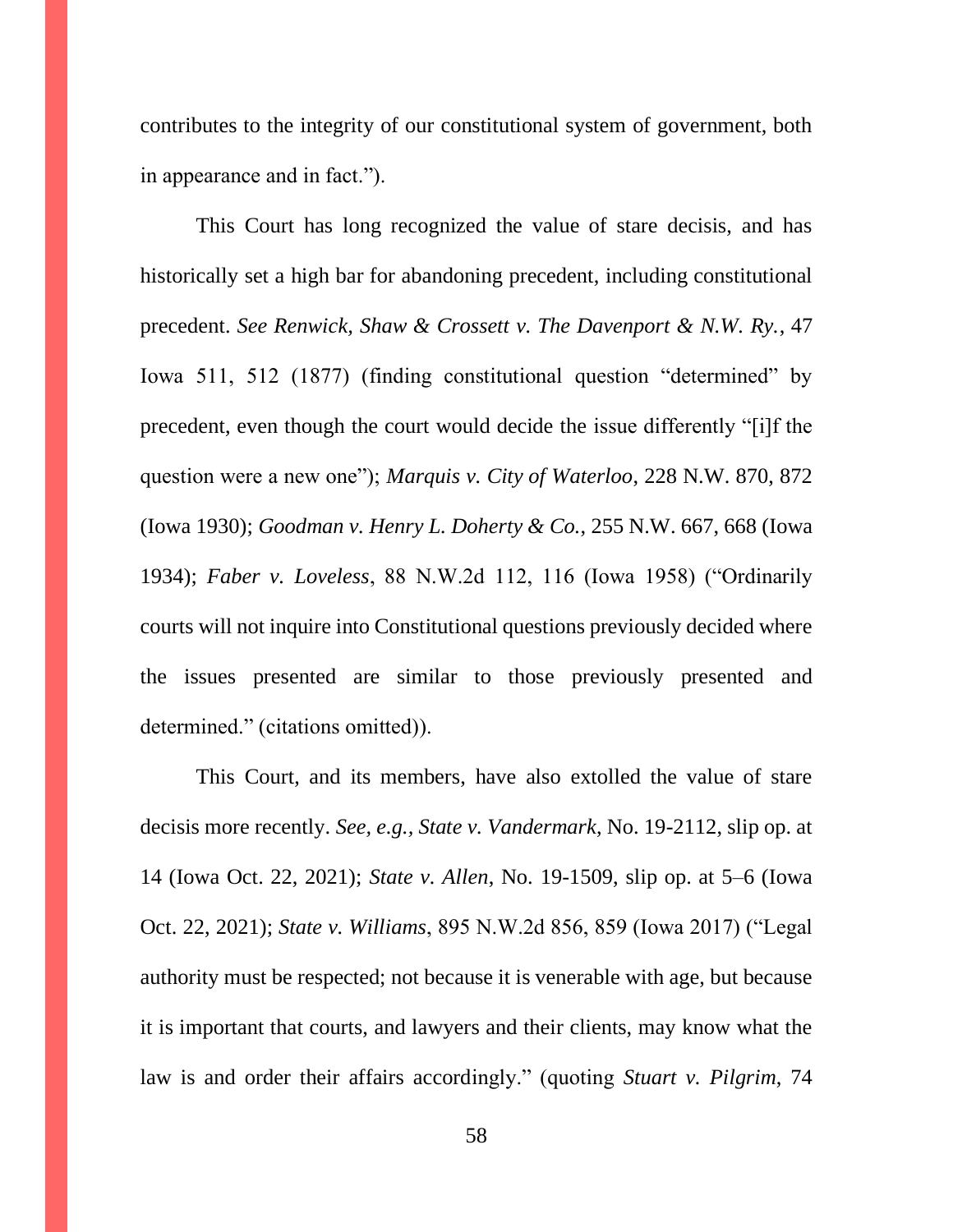contributes to the integrity of our constitutional system of government, both in appearance and in fact.").

This Court has long recognized the value of stare decisis, and has historically set a high bar for abandoning precedent, including constitutional precedent. *See Renwick, Shaw & Crossett v. The Davenport & N.W. Ry.*, 47 Iowa 511, 512 (1877) (finding constitutional question "determined" by precedent, even though the court would decide the issue differently "[i]f the question were a new one"); *Marquis v. City of Waterloo*, 228 N.W. 870, 872 (Iowa 1930); *Goodman v. Henry L. Doherty & Co.*, 255 N.W. 667, 668 (Iowa 1934); *Faber v. Loveless*, 88 N.W.2d 112, 116 (Iowa 1958) ("Ordinarily courts will not inquire into Constitutional questions previously decided where the issues presented are similar to those previously presented and determined." (citations omitted)).

This Court, and its members, have also extolled the value of stare decisis more recently. *See, e.g., State v. Vandermark*, No. 19-2112, slip op. at 14 (Iowa Oct. 22, 2021); *State v. Allen*, No. 19-1509, slip op. at 5–6 (Iowa Oct. 22, 2021); *State v. Williams*, 895 N.W.2d 856, 859 (Iowa 2017) ("Legal authority must be respected; not because it is venerable with age, but because it is important that courts, and lawyers and their clients, may know what the law is and order their affairs accordingly." (quoting *Stuart v. Pilgrim*, 74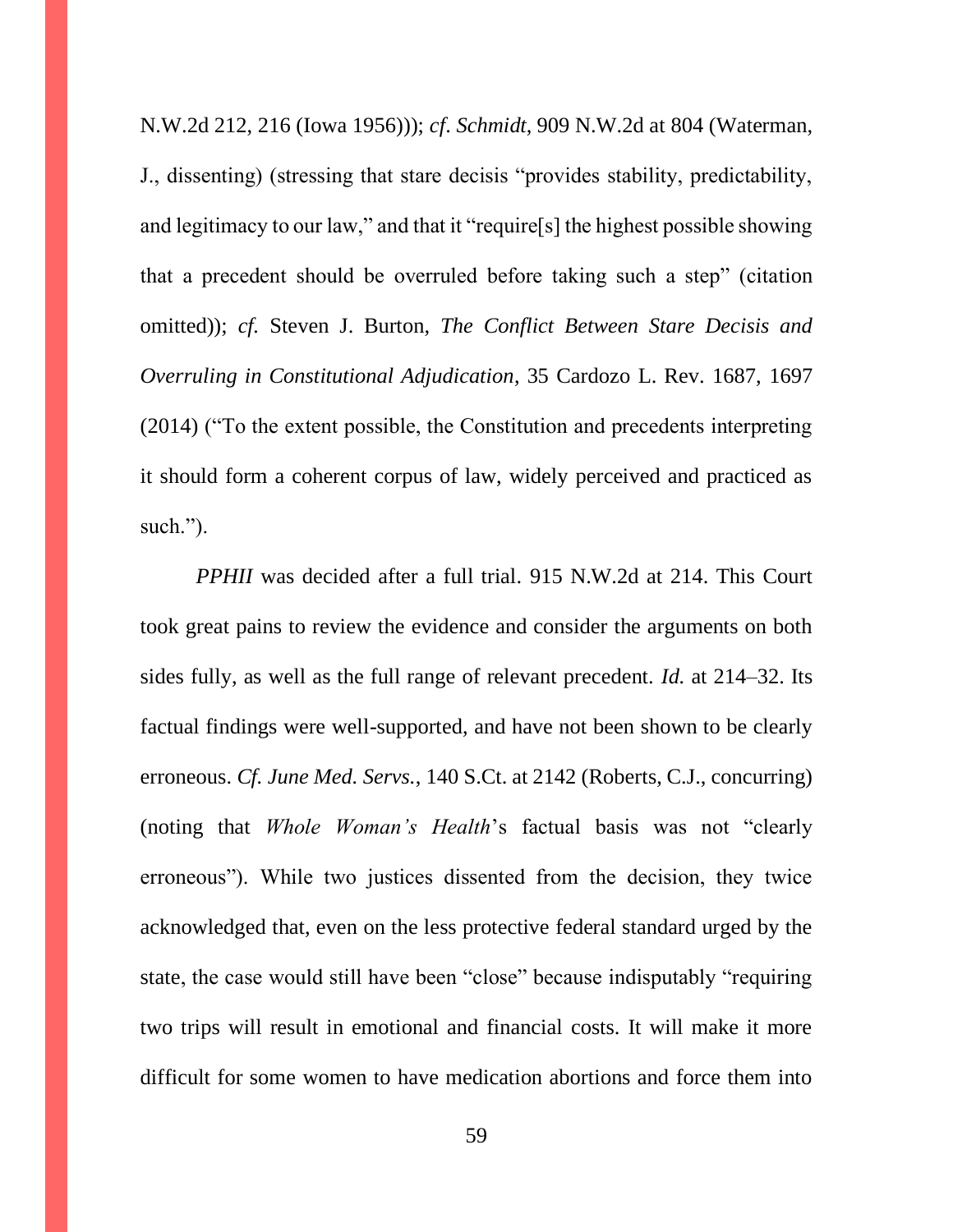N.W.2d 212, 216 (Iowa 1956))); *cf*. *Schmidt*, 909 N.W.2d at 804 (Waterman, J., dissenting) (stressing that stare decisis "provides stability, predictability, and legitimacy to our law," and that it "require[s] the highest possible showing that a precedent should be overruled before taking such a step" (citation omitted)); *cf.* Steven J. Burton, *The Conflict Between Stare Decisis and Overruling in Constitutional Adjudication*, 35 Cardozo L. Rev. 1687, 1697 (2014) ("To the extent possible, the Constitution and precedents interpreting it should form a coherent corpus of law, widely perceived and practiced as such.").

*PPHII* was decided after a full trial. 915 N.W.2d at 214. This Court took great pains to review the evidence and consider the arguments on both sides fully, as well as the full range of relevant precedent. *Id.* at 214–32. Its factual findings were well-supported, and have not been shown to be clearly erroneous. *Cf. June Med. Servs.*, 140 S.Ct. at 2142 (Roberts, C.J., concurring) (noting that *Whole Woman's Health*'s factual basis was not "clearly erroneous"). While two justices dissented from the decision, they twice acknowledged that, even on the less protective federal standard urged by the state, the case would still have been "close" because indisputably "requiring two trips will result in emotional and financial costs. It will make it more difficult for some women to have medication abortions and force them into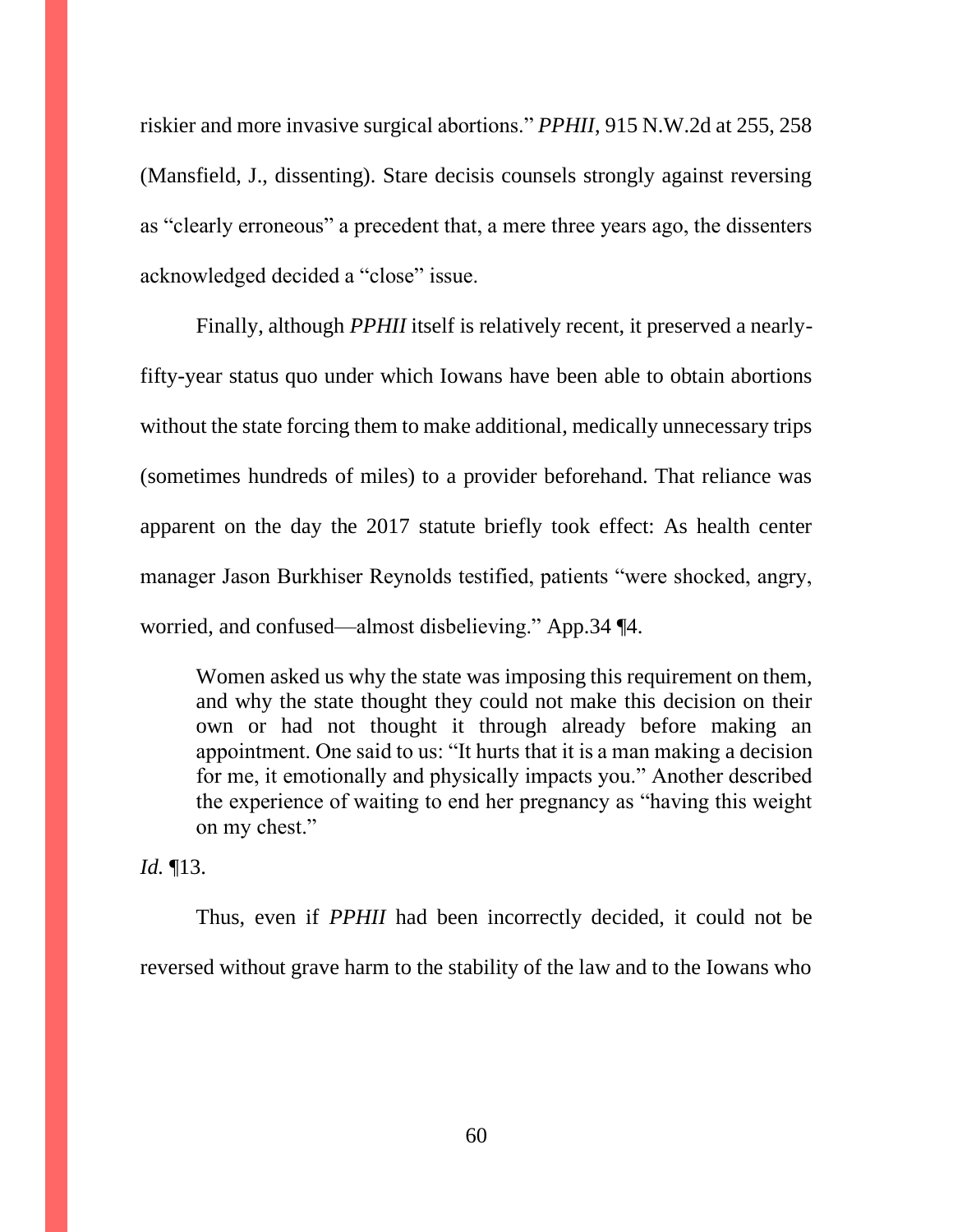riskier and more invasive surgical abortions." *PPHII*, 915 N.W.2d at 255, 258 (Mansfield, J., dissenting). Stare decisis counsels strongly against reversing as "clearly erroneous" a precedent that, a mere three years ago, the dissenters acknowledged decided a "close" issue.

Finally, although *PPHII* itself is relatively recent, it preserved a nearlyfifty-year status quo under which Iowans have been able to obtain abortions without the state forcing them to make additional, medically unnecessary trips (sometimes hundreds of miles) to a provider beforehand. That reliance was apparent on the day the 2017 statute briefly took effect: As health center manager Jason Burkhiser Reynolds testified, patients "were shocked, angry, worried, and confused—almost disbelieving." App.34 ¶4.

Women asked us why the state was imposing this requirement on them, and why the state thought they could not make this decision on their own or had not thought it through already before making an appointment. One said to us: "It hurts that it is a man making a decision for me, it emotionally and physically impacts you." Another described the experience of waiting to end her pregnancy as "having this weight on my chest."

*Id.* ¶13.

Thus, even if *PPHII* had been incorrectly decided, it could not be reversed without grave harm to the stability of the law and to the Iowans who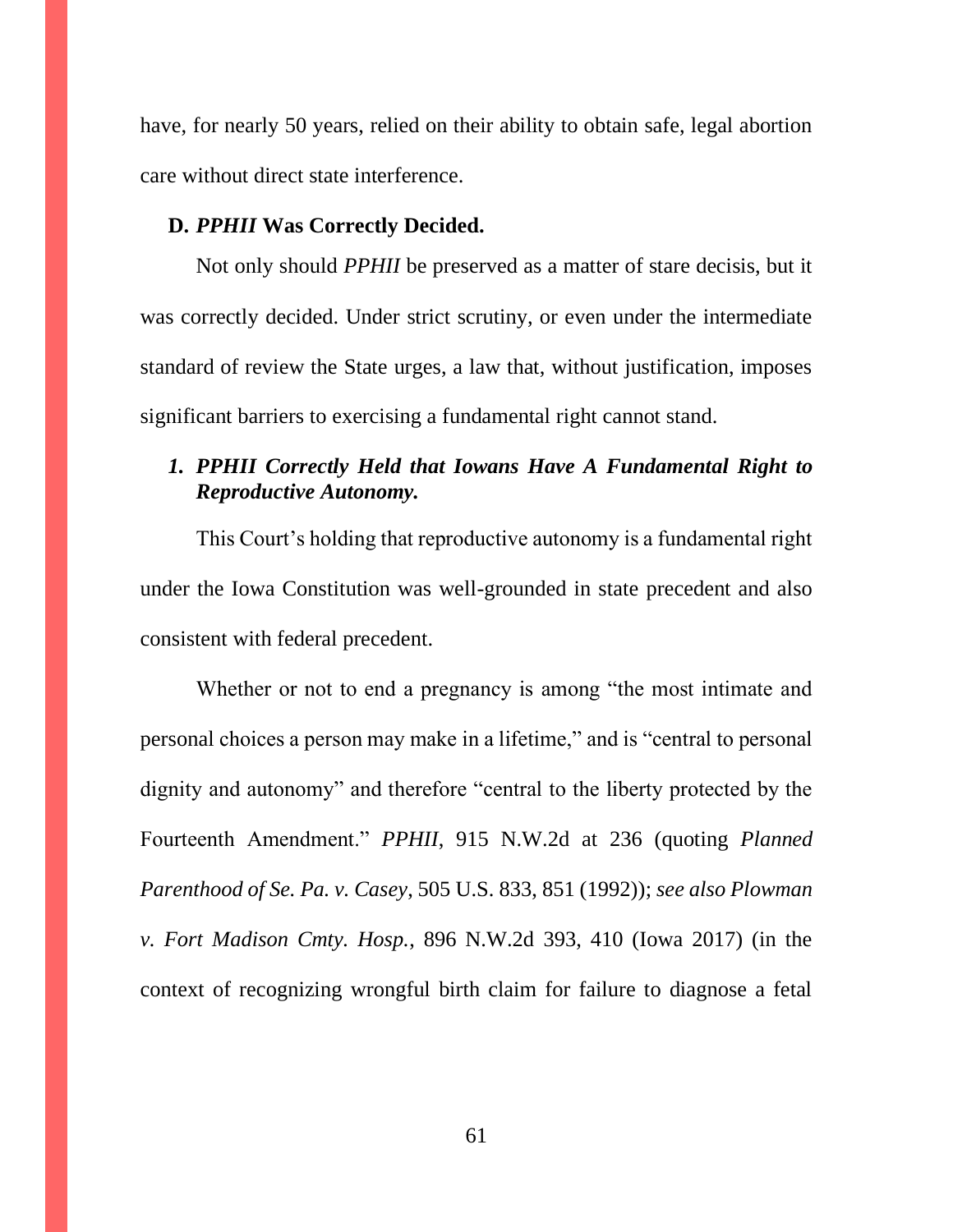have, for nearly 50 years, relied on their ability to obtain safe, legal abortion care without direct state interference.

#### **D.** *PPHII* **Was Correctly Decided.**

Not only should *PPHII* be preserved as a matter of stare decisis, but it was correctly decided. Under strict scrutiny, or even under the intermediate standard of review the State urges, a law that, without justification, imposes significant barriers to exercising a fundamental right cannot stand.

# *1. PPHII Correctly Held that Iowans Have A Fundamental Right to Reproductive Autonomy.*

This Court's holding that reproductive autonomy is a fundamental right under the Iowa Constitution was well-grounded in state precedent and also consistent with federal precedent.

Whether or not to end a pregnancy is among "the most intimate and personal choices a person may make in a lifetime," and is "central to personal dignity and autonomy" and therefore "central to the liberty protected by the Fourteenth Amendment." *PPHII*, 915 N.W.2d at 236 (quoting *Planned Parenthood of Se. Pa. v. Casey*, 505 U.S. 833, 851 (1992)); *see also Plowman v. Fort Madison Cmty. Hosp.*, 896 N.W.2d 393, 410 (Iowa 2017) (in the context of recognizing wrongful birth claim for failure to diagnose a fetal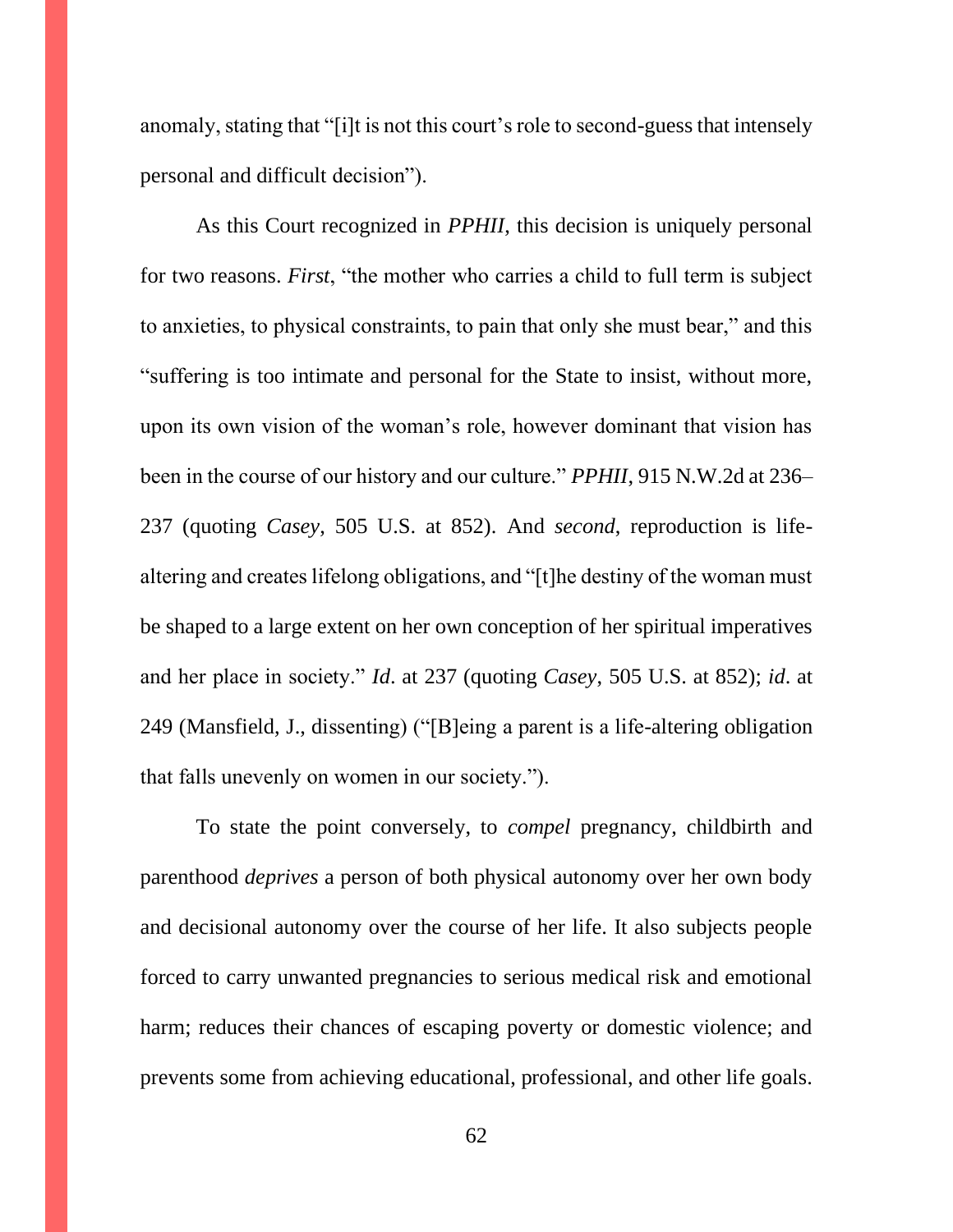anomaly, stating that "[i]t is not this court's role to second-guess that intensely personal and difficult decision").

As this Court recognized in *PPHII*, this decision is uniquely personal for two reasons. *First*, "the mother who carries a child to full term is subject to anxieties, to physical constraints, to pain that only she must bear," and this "suffering is too intimate and personal for the State to insist, without more, upon its own vision of the woman's role, however dominant that vision has been in the course of our history and our culture." *PPHII*, 915 N.W.2d at 236– 237 (quoting *Casey*, 505 U.S. at 852). And *second*, reproduction is lifealtering and creates lifelong obligations, and "[t]he destiny of the woman must be shaped to a large extent on her own conception of her spiritual imperatives and her place in society." *Id*. at 237 (quoting *Casey*, 505 U.S. at 852); *id*. at 249 (Mansfield, J., dissenting) ("[B]eing a parent is a life-altering obligation that falls unevenly on women in our society.").

To state the point conversely, to *compel* pregnancy, childbirth and parenthood *deprives* a person of both physical autonomy over her own body and decisional autonomy over the course of her life. It also subjects people forced to carry unwanted pregnancies to serious medical risk and emotional harm; reduces their chances of escaping poverty or domestic violence; and prevents some from achieving educational, professional, and other life goals.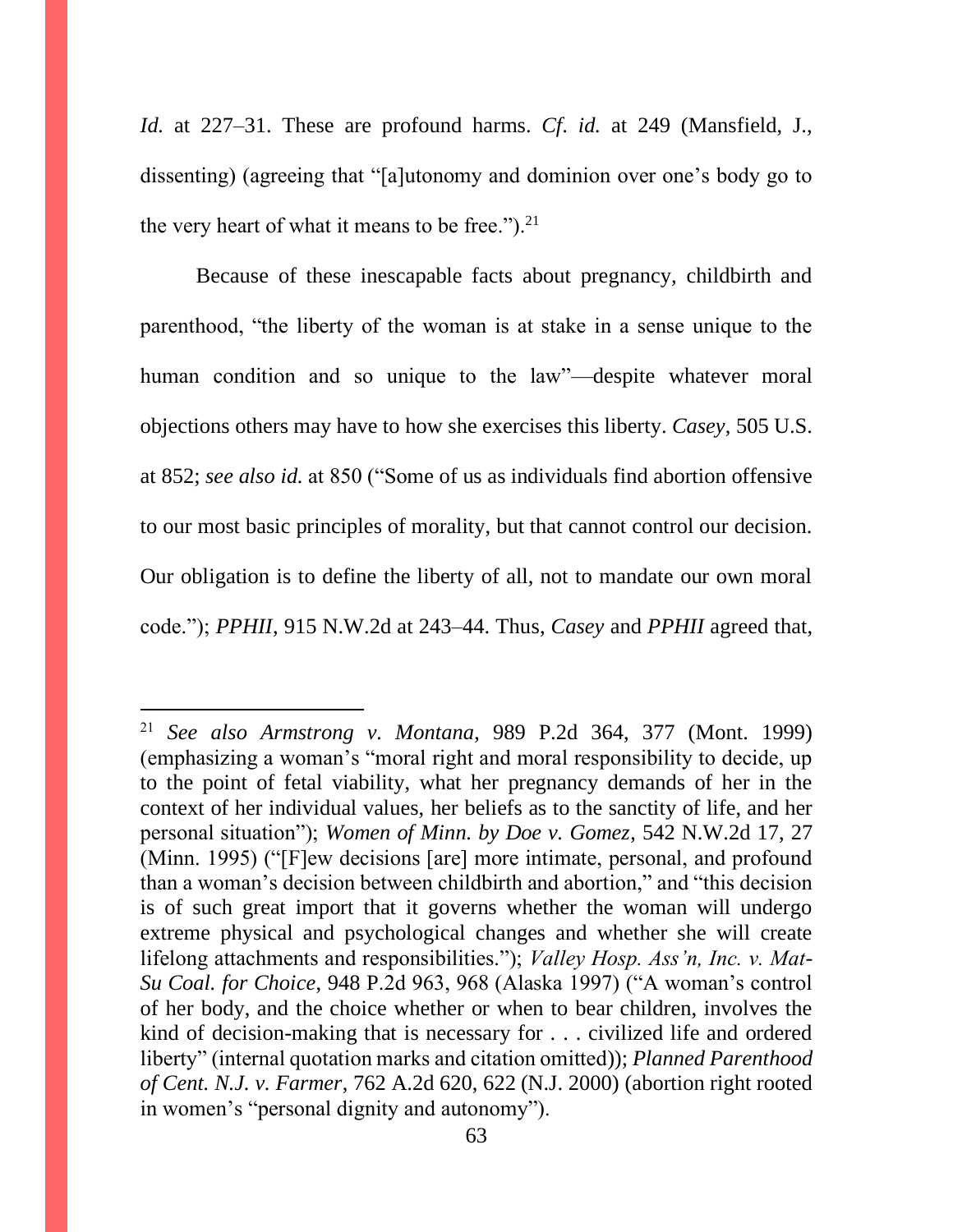*Id.* at 227–31. These are profound harms. *Cf*. *id.* at 249 (Mansfield, J., dissenting) (agreeing that "[a]utonomy and dominion over one's body go to the very heart of what it means to be free." $)$ .<sup>21</sup>

Because of these inescapable facts about pregnancy, childbirth and parenthood, "the liberty of the woman is at stake in a sense unique to the human condition and so unique to the law"—despite whatever moral objections others may have to how she exercises this liberty. *Casey*, 505 U.S. at 852; *see also id.* at 850 ("Some of us as individuals find abortion offensive to our most basic principles of morality, but that cannot control our decision. Our obligation is to define the liberty of all, not to mandate our own moral code."); *PPHII*, 915 N.W.2d at 243–44. Thus, *Casey* and *PPHII* agreed that,

<sup>21</sup> *See also Armstrong v. Montana*, 989 P.2d 364, 377 (Mont. 1999) (emphasizing a woman's "moral right and moral responsibility to decide, up to the point of fetal viability, what her pregnancy demands of her in the context of her individual values, her beliefs as to the sanctity of life, and her personal situation"); *Women of Minn. by Doe v. Gomez*, 542 N.W.2d 17, 27 (Minn. 1995) ("[F]ew decisions [are] more intimate, personal, and profound than a woman's decision between childbirth and abortion," and "this decision is of such great import that it governs whether the woman will undergo extreme physical and psychological changes and whether she will create lifelong attachments and responsibilities."); *Valley Hosp. Ass'n, Inc. v. Mat-Su Coal. for Choice*, 948 P.2d 963, 968 (Alaska 1997) ("A woman's control of her body, and the choice whether or when to bear children, involves the kind of decision-making that is necessary for . . . civilized life and ordered liberty" (internal quotation marks and citation omitted)); *Planned Parenthood of Cent. N.J. v. Farmer*, 762 A.2d 620, 622 (N.J. 2000) (abortion right rooted in women's "personal dignity and autonomy").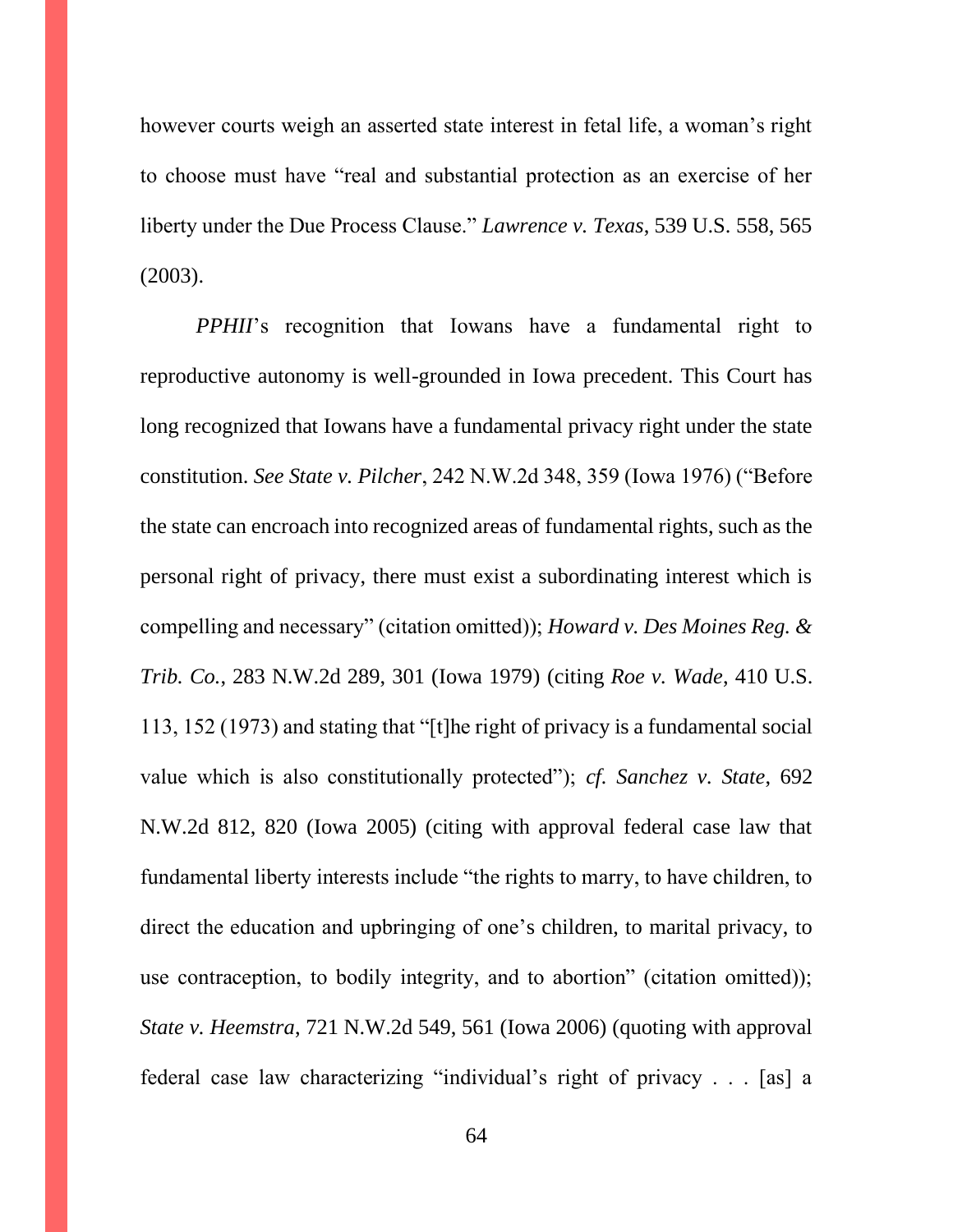however courts weigh an asserted state interest in fetal life, a woman's right to choose must have "real and substantial protection as an exercise of her liberty under the Due Process Clause." *Lawrence v. Texas*, 539 U.S. 558, 565 (2003).

*PPHII*'s recognition that Iowans have a fundamental right to reproductive autonomy is well-grounded in Iowa precedent. This Court has long recognized that Iowans have a fundamental privacy right under the state constitution. *See State v. Pilcher*, 242 N.W.2d 348, 359 (Iowa 1976) ("Before the state can encroach into recognized areas of fundamental rights, such as the personal right of privacy, there must exist a subordinating interest which is compelling and necessary" (citation omitted)); *Howard v. Des Moines Reg. & Trib. Co.*, 283 N.W.2d 289, 301 (Iowa 1979) (citing *Roe v. Wade*, 410 U.S. 113, 152 (1973) and stating that "[t]he right of privacy is a fundamental social value which is also constitutionally protected"); *cf. Sanchez v. State*, 692 N.W.2d 812, 820 (Iowa 2005) (citing with approval federal case law that fundamental liberty interests include "the rights to marry, to have children, to direct the education and upbringing of one's children, to marital privacy, to use contraception, to bodily integrity, and to abortion" (citation omitted)); *State v. Heemstra*, 721 N.W.2d 549, 561 (Iowa 2006) (quoting with approval federal case law characterizing "individual's right of privacy . . . [as] a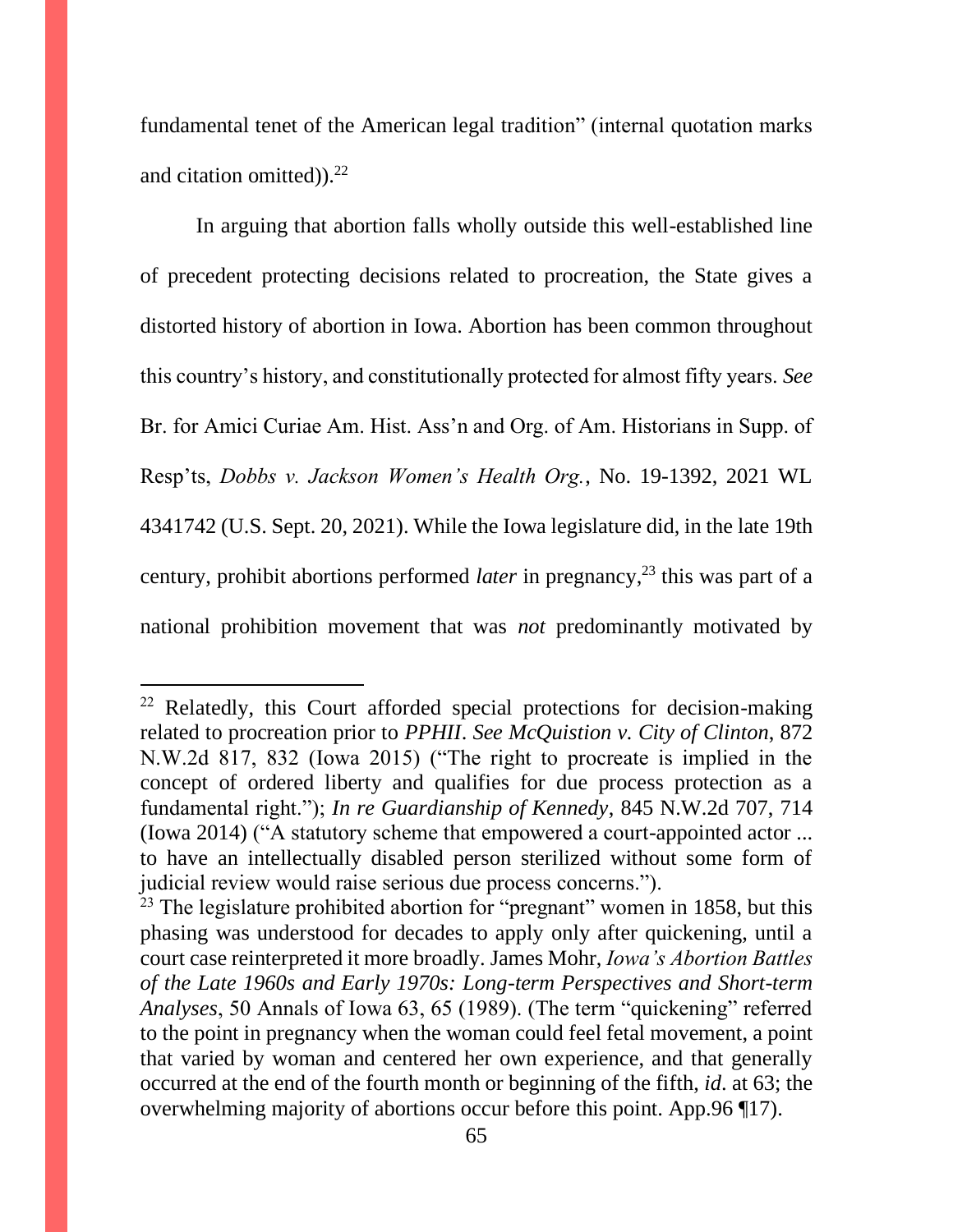fundamental tenet of the American legal tradition" (internal quotation marks and citation omitted)). $22$ 

In arguing that abortion falls wholly outside this well-established line of precedent protecting decisions related to procreation, the State gives a distorted history of abortion in Iowa. Abortion has been common throughout this country's history, and constitutionally protected for almost fifty years. *See*  Br. for Amici Curiae Am. Hist. Ass'n and Org. of Am. Historians in Supp. of Resp'ts, *Dobbs v. Jackson Women's Health Org.*, No. 19-1392, 2021 WL 4341742 (U.S. Sept. 20, 2021). While the Iowa legislature did, in the late 19th century, prohibit abortions performed *later* in pregnancy,<sup>23</sup> this was part of a national prohibition movement that was *not* predominantly motivated by

<sup>&</sup>lt;sup>22</sup> Relatedly, this Court afforded special protections for decision-making related to procreation prior to *PPHII*. *See McQuistion v. City of Clinton*, 872 N.W.2d 817, 832 (Iowa 2015) ("The right to procreate is implied in the concept of ordered liberty and qualifies for due process protection as a fundamental right."); *In re Guardianship of Kennedy*, 845 N.W.2d 707, 714 (Iowa 2014) ("A statutory scheme that empowered a court-appointed actor ... to have an intellectually disabled person sterilized without some form of judicial review would raise serious due process concerns.").

 $23$  The legislature prohibited abortion for "pregnant" women in 1858, but this phasing was understood for decades to apply only after quickening, until a court case reinterpreted it more broadly. James Mohr, *Iowa's Abortion Battles of the Late 1960s and Early 1970s: Long-term Perspectives and Short-term Analyses*, 50 Annals of Iowa 63, 65 (1989). (The term "quickening" referred to the point in pregnancy when the woman could feel fetal movement, a point that varied by woman and centered her own experience, and that generally occurred at the end of the fourth month or beginning of the fifth, *id*. at 63; the overwhelming majority of abortions occur before this point. App.96 ¶17).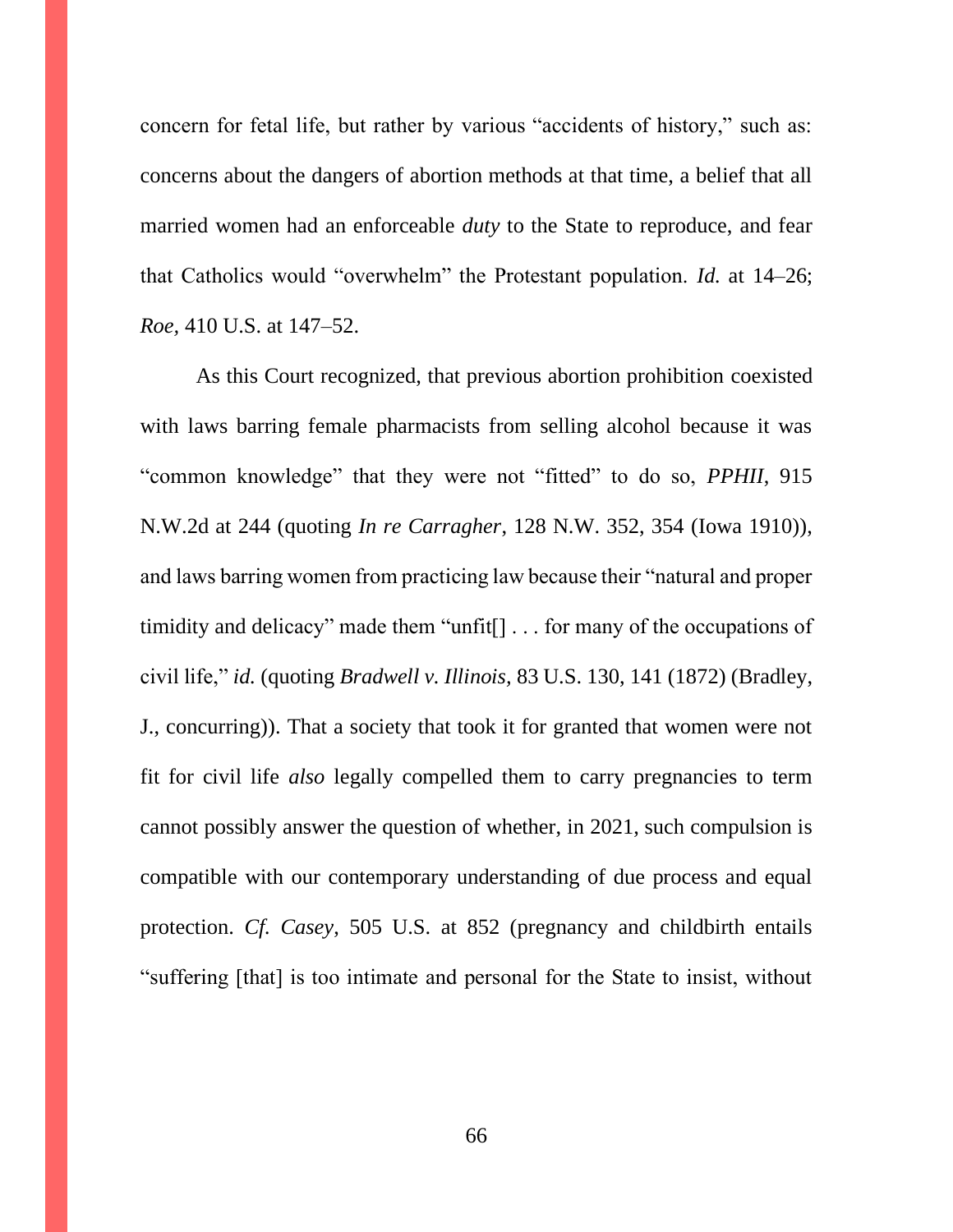concern for fetal life, but rather by various "accidents of history," such as: concerns about the dangers of abortion methods at that time, a belief that all married women had an enforceable *duty* to the State to reproduce, and fear that Catholics would "overwhelm" the Protestant population. *Id.* at 14–26; *Roe,* 410 U.S. at 147–52.

As this Court recognized, that previous abortion prohibition coexisted with laws barring female pharmacists from selling alcohol because it was "common knowledge" that they were not "fitted" to do so, *PPHII*, 915 N.W.2d at 244 (quoting *In re Carragher*, 128 N.W. 352, 354 (Iowa 1910)), and laws barring women from practicing law because their "natural and proper timidity and delicacy" made them "unfit[] . . . for many of the occupations of civil life," *id.* (quoting *Bradwell v. Illinois,* 83 U.S. 130, 141 (1872) (Bradley, J., concurring)). That a society that took it for granted that women were not fit for civil life *also* legally compelled them to carry pregnancies to term cannot possibly answer the question of whether, in 2021, such compulsion is compatible with our contemporary understanding of due process and equal protection. *Cf. Casey*, 505 U.S. at 852 (pregnancy and childbirth entails "suffering [that] is too intimate and personal for the State to insist, without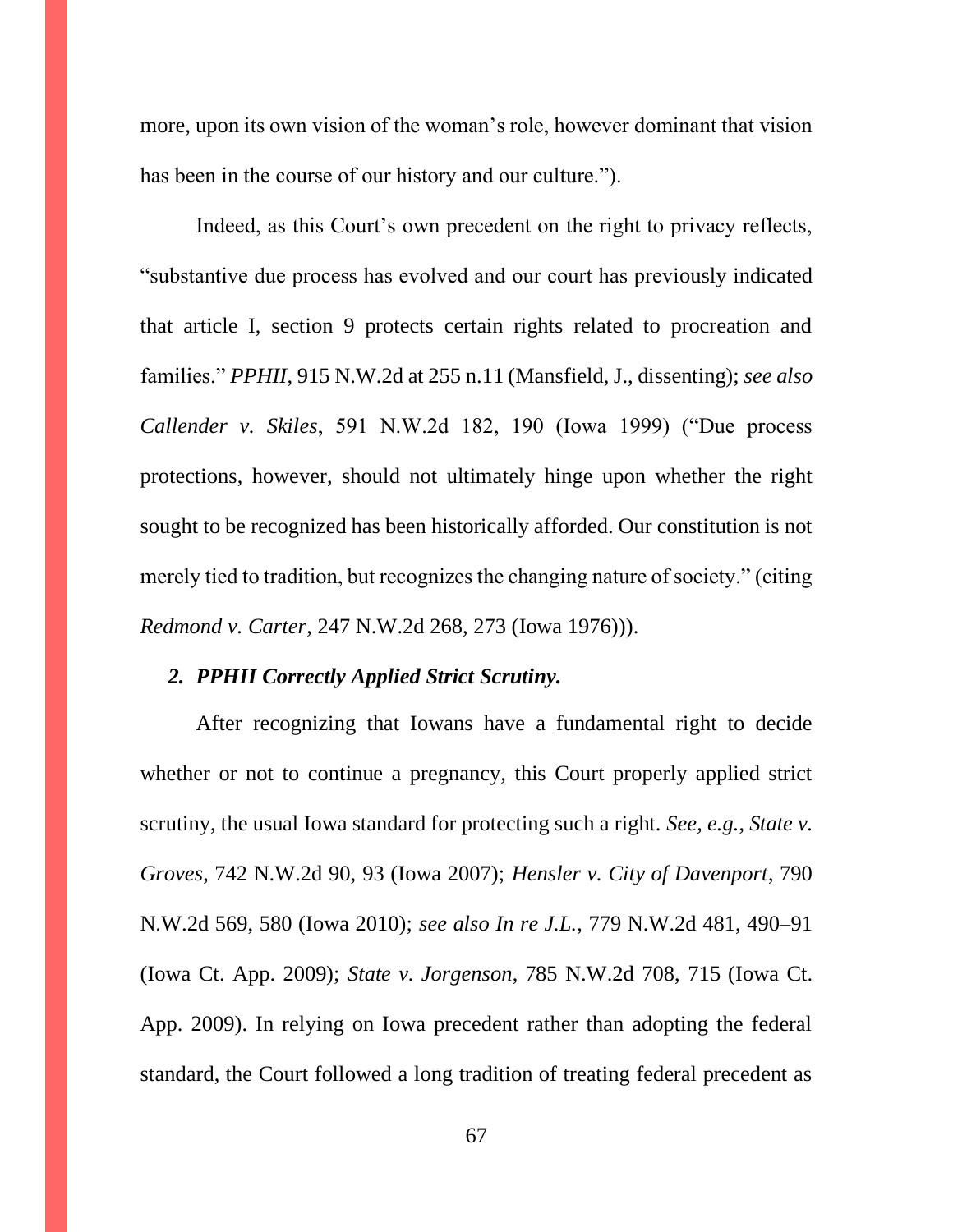more, upon its own vision of the woman's role, however dominant that vision has been in the course of our history and our culture.").

Indeed, as this Court's own precedent on the right to privacy reflects, "substantive due process has evolved and our court has previously indicated that article I, section 9 protects certain rights related to procreation and families." *PPHII*, 915 N.W.2d at 255 n.11 (Mansfield, J., dissenting); *see also Callender v. Skiles*, 591 N.W.2d 182, 190 (Iowa 1999) ("Due process protections, however, should not ultimately hinge upon whether the right sought to be recognized has been historically afforded. Our constitution is not merely tied to tradition, but recognizes the changing nature of society." (citing *Redmond v. Carter*, 247 N.W.2d 268, 273 (Iowa 1976))).

### *2. PPHII Correctly Applied Strict Scrutiny.*

After recognizing that Iowans have a fundamental right to decide whether or not to continue a pregnancy, this Court properly applied strict scrutiny, the usual Iowa standard for protecting such a right. *See, e.g.*, *State v. Groves*, 742 N.W.2d 90, 93 (Iowa 2007); *Hensler v. City of Davenport*, 790 N.W.2d 569, 580 (Iowa 2010); *see also In re J.L.*, 779 N.W.2d 481, 490–91 (Iowa Ct. App. 2009); *State v. Jorgenson*, 785 N.W.2d 708, 715 (Iowa Ct. App. 2009). In relying on Iowa precedent rather than adopting the federal standard, the Court followed a long tradition of treating federal precedent as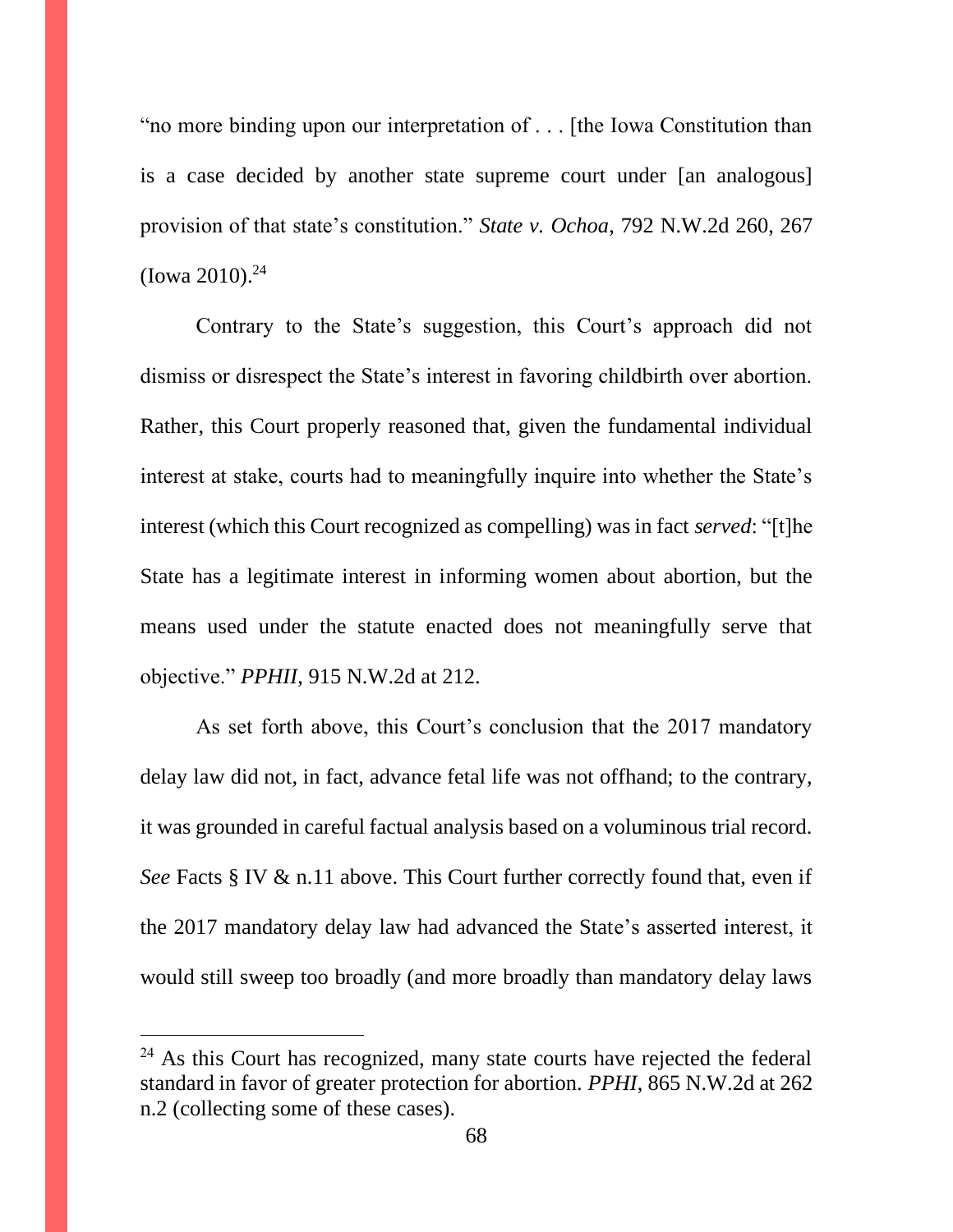"no more binding upon our interpretation of . . . [the Iowa Constitution than is a case decided by another state supreme court under [an analogous] provision of that state's constitution." *State v. Ochoa*, 792 N.W.2d 260, 267  $(Iowa 2010).<sup>24</sup>$ 

Contrary to the State's suggestion, this Court's approach did not dismiss or disrespect the State's interest in favoring childbirth over abortion. Rather, this Court properly reasoned that, given the fundamental individual interest at stake, courts had to meaningfully inquire into whether the State's interest (which this Court recognized as compelling) was in fact *served*: "[t]he State has a legitimate interest in informing women about abortion, but the means used under the statute enacted does not meaningfully serve that objective." *PPHII*, 915 N.W.2d at 212.

As set forth above, this Court's conclusion that the 2017 mandatory delay law did not, in fact, advance fetal life was not offhand; to the contrary, it was grounded in careful factual analysis based on a voluminous trial record. *See* Facts § IV & n.11 above. This Court further correctly found that, even if the 2017 mandatory delay law had advanced the State's asserted interest, it would still sweep too broadly (and more broadly than mandatory delay laws

 $24$  As this Court has recognized, many state courts have rejected the federal standard in favor of greater protection for abortion. *PPHI*, 865 N.W.2d at 262 n.2 (collecting some of these cases).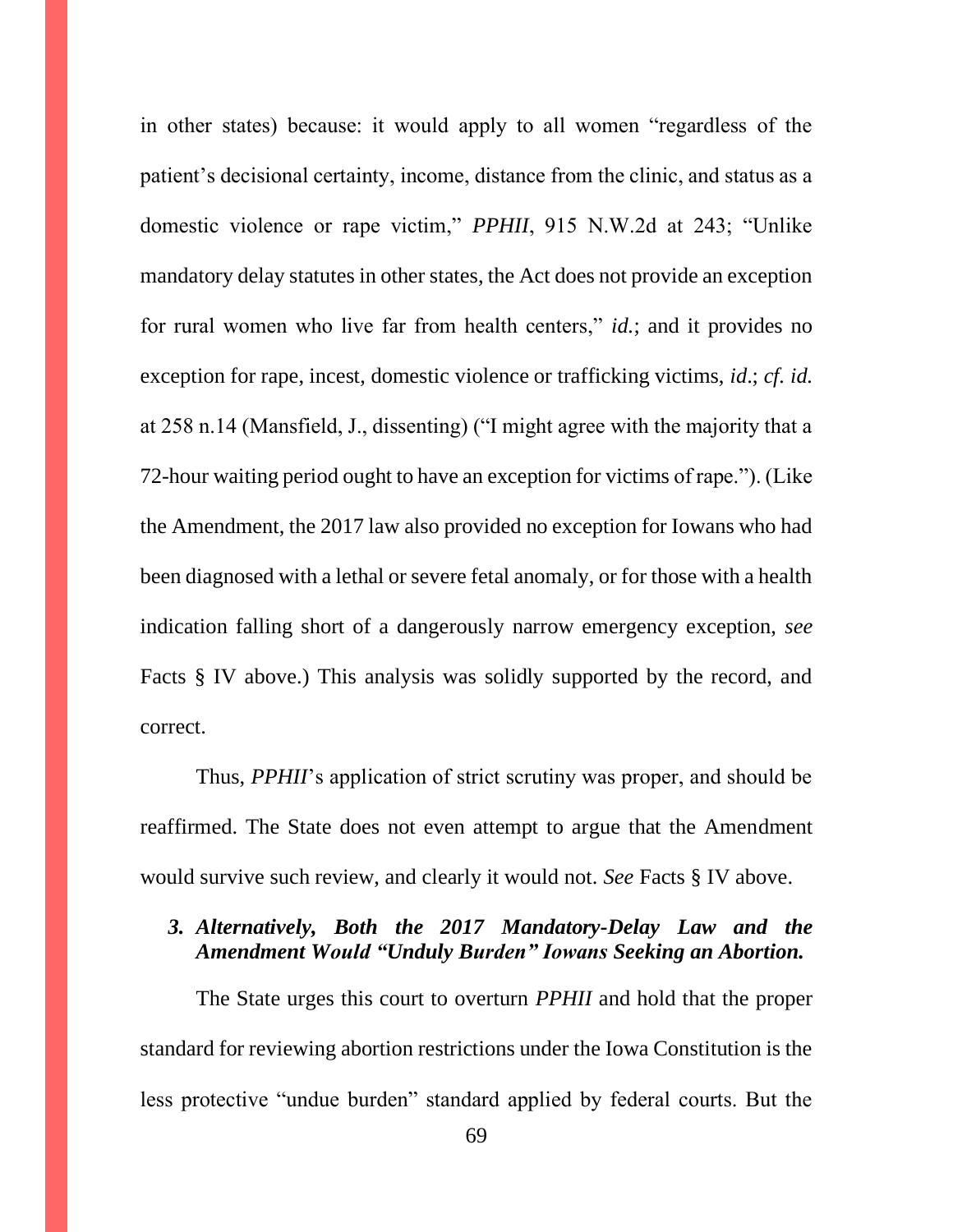in other states) because: it would apply to all women "regardless of the patient's decisional certainty, income, distance from the clinic, and status as a domestic violence or rape victim," *PPHII*, 915 N.W.2d at 243; "Unlike mandatory delay statutes in other states, the Act does not provide an exception for rural women who live far from health centers," *id.*; and it provides no exception for rape, incest, domestic violence or trafficking victims, *id*.; *cf. id.* at 258 n.14 (Mansfield, J., dissenting) ("I might agree with the majority that a 72-hour waiting period ought to have an exception for victims of rape."). (Like the Amendment, the 2017 law also provided no exception for Iowans who had been diagnosed with a lethal or severe fetal anomaly, or for those with a health indication falling short of a dangerously narrow emergency exception, *see*  Facts § IV above.) This analysis was solidly supported by the record, and correct.

Thus, *PPHII*'s application of strict scrutiny was proper, and should be reaffirmed. The State does not even attempt to argue that the Amendment would survive such review, and clearly it would not. *See* Facts § IV above.

# *3. Alternatively, Both the 2017 Mandatory-Delay Law and the Amendment Would "Unduly Burden" Iowans Seeking an Abortion.*

The State urges this court to overturn *PPHII* and hold that the proper standard for reviewing abortion restrictions under the Iowa Constitution is the less protective "undue burden" standard applied by federal courts. But the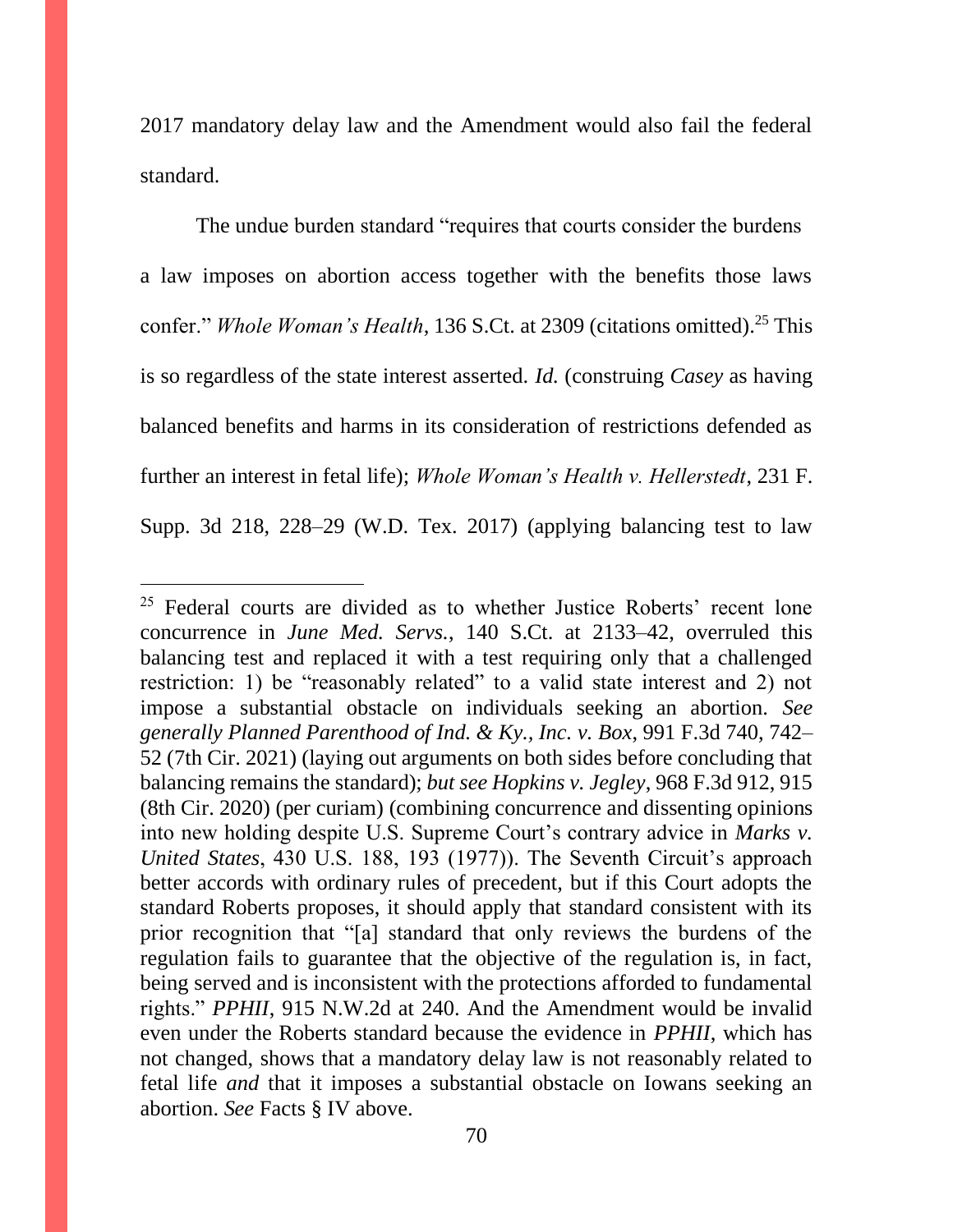2017 mandatory delay law and the Amendment would also fail the federal standard.

The undue burden standard "requires that courts consider the burdens a law imposes on abortion access together with the benefits those laws confer." *Whole Woman's Health*, 136 S.Ct. at 2309 (citations omitted).<sup>25</sup> This is so regardless of the state interest asserted. *Id.* (construing *Casey* as having balanced benefits and harms in its consideration of restrictions defended as further an interest in fetal life); *Whole Woman's Health v. Hellerstedt*, 231 F. Supp. 3d 218, 228–29 (W.D. Tex. 2017) (applying balancing test to law

 $25$  Federal courts are divided as to whether Justice Roberts' recent lone concurrence in *June Med. Servs.*, 140 S.Ct. at 2133–42, overruled this balancing test and replaced it with a test requiring only that a challenged restriction: 1) be "reasonably related" to a valid state interest and 2) not impose a substantial obstacle on individuals seeking an abortion. *See generally Planned Parenthood of Ind. & Ky., Inc. v. Box*, 991 F.3d 740, 742– 52 (7th Cir. 2021) (laying out arguments on both sides before concluding that balancing remains the standard); *but see Hopkins v. Jegley*, 968 F.3d 912, 915 (8th Cir. 2020) (per curiam) (combining concurrence and dissenting opinions into new holding despite U.S. Supreme Court's contrary advice in *Marks v. United States*, 430 U.S. 188, 193 (1977)). The Seventh Circuit's approach better accords with ordinary rules of precedent, but if this Court adopts the standard Roberts proposes, it should apply that standard consistent with its prior recognition that "[a] standard that only reviews the burdens of the regulation fails to guarantee that the objective of the regulation is, in fact, being served and is inconsistent with the protections afforded to fundamental rights." *PPHII*, 915 N.W.2d at 240. And the Amendment would be invalid even under the Roberts standard because the evidence in *PPHII*, which has not changed, shows that a mandatory delay law is not reasonably related to fetal life *and* that it imposes a substantial obstacle on Iowans seeking an abortion. *See* Facts § IV above.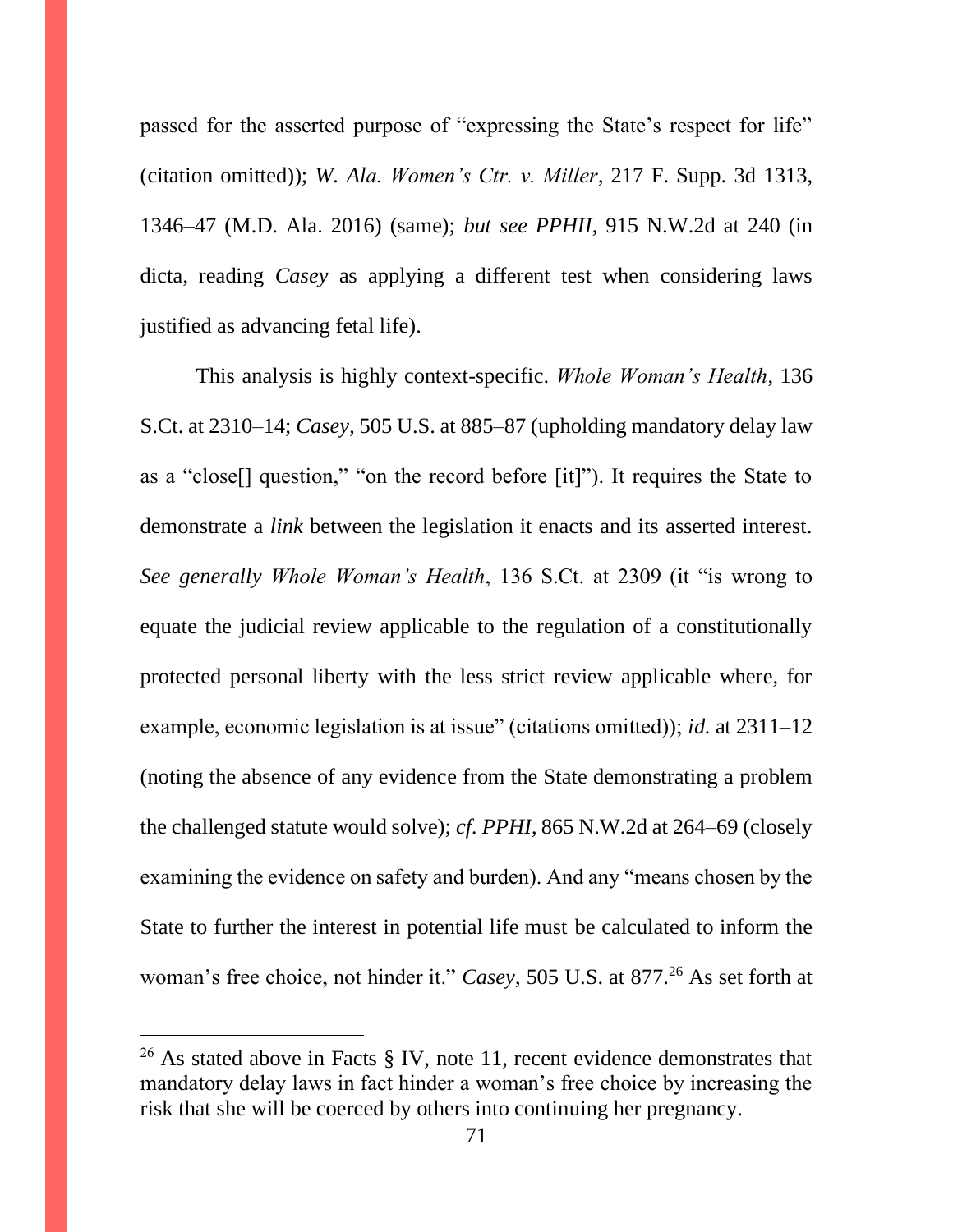passed for the asserted purpose of "expressing the State's respect for life" (citation omitted)); *W. Ala. Women's Ctr. v. Miller*, 217 F. Supp. 3d 1313, 1346–47 (M.D. Ala. 2016) (same); *but see PPHII*, 915 N.W.2d at 240 (in dicta, reading *Casey* as applying a different test when considering laws justified as advancing fetal life).

This analysis is highly context-specific. *Whole Woman's Health*, 136 S.Ct. at 2310–14; *Casey*, 505 U.S. at 885–87 (upholding mandatory delay law as a "close[] question," "on the record before [it]"). It requires the State to demonstrate a *link* between the legislation it enacts and its asserted interest. *See generally Whole Woman's Health*, 136 S.Ct. at 2309 (it "is wrong to equate the judicial review applicable to the regulation of a constitutionally protected personal liberty with the less strict review applicable where, for example, economic legislation is at issue" (citations omitted)); *id.* at 2311–12 (noting the absence of any evidence from the State demonstrating a problem the challenged statute would solve); *cf. PPHI*, 865 N.W.2d at 264–69 (closely examining the evidence on safety and burden). And any "means chosen by the State to further the interest in potential life must be calculated to inform the woman's free choice, not hinder it." *Casey*, 505 U.S. at 877.<sup>26</sup> As set forth at

<sup>&</sup>lt;sup>26</sup> As stated above in Facts § IV, note 11, recent evidence demonstrates that mandatory delay laws in fact hinder a woman's free choice by increasing the risk that she will be coerced by others into continuing her pregnancy.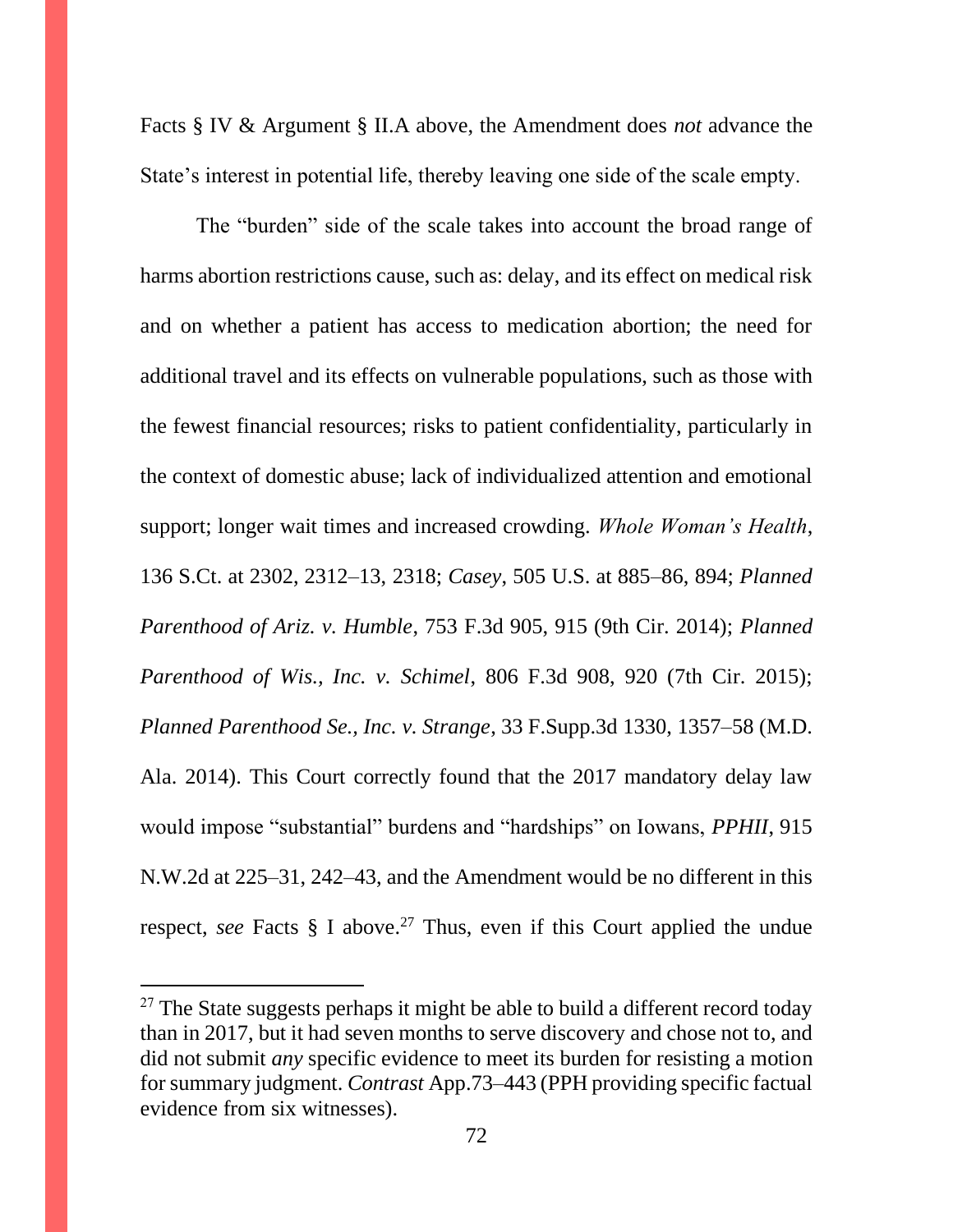Facts § IV & Argument § II.A above, the Amendment does *not* advance the State's interest in potential life, thereby leaving one side of the scale empty.

The "burden" side of the scale takes into account the broad range of harms abortion restrictions cause, such as: delay, and its effect on medical risk and on whether a patient has access to medication abortion; the need for additional travel and its effects on vulnerable populations, such as those with the fewest financial resources; risks to patient confidentiality, particularly in the context of domestic abuse; lack of individualized attention and emotional support; longer wait times and increased crowding. *Whole Woman's Health*, 136 S.Ct. at 2302, 2312–13, 2318; *Casey*, 505 U.S. at 885–86, 894; *Planned Parenthood of Ariz. v. Humble*, 753 F.3d 905, 915 (9th Cir. 2014); *Planned Parenthood of Wis., Inc. v. Schimel*, 806 F.3d 908, 920 (7th Cir. 2015); *Planned Parenthood Se., Inc. v. Strange*, 33 F.Supp.3d 1330, 1357–58 (M.D. Ala. 2014). This Court correctly found that the 2017 mandatory delay law would impose "substantial" burdens and "hardships" on Iowans, *PPHII*, 915 N.W.2d at 225–31, 242–43, and the Amendment would be no different in this respect, *see* Facts  $\S$  I above.<sup>27</sup> Thus, even if this Court applied the undue

<sup>&</sup>lt;sup>27</sup> The State suggests perhaps it might be able to build a different record today than in 2017, but it had seven months to serve discovery and chose not to, and did not submit *any* specific evidence to meet its burden for resisting a motion for summary judgment. *Contrast* App.73–443 (PPH providing specific factual evidence from six witnesses).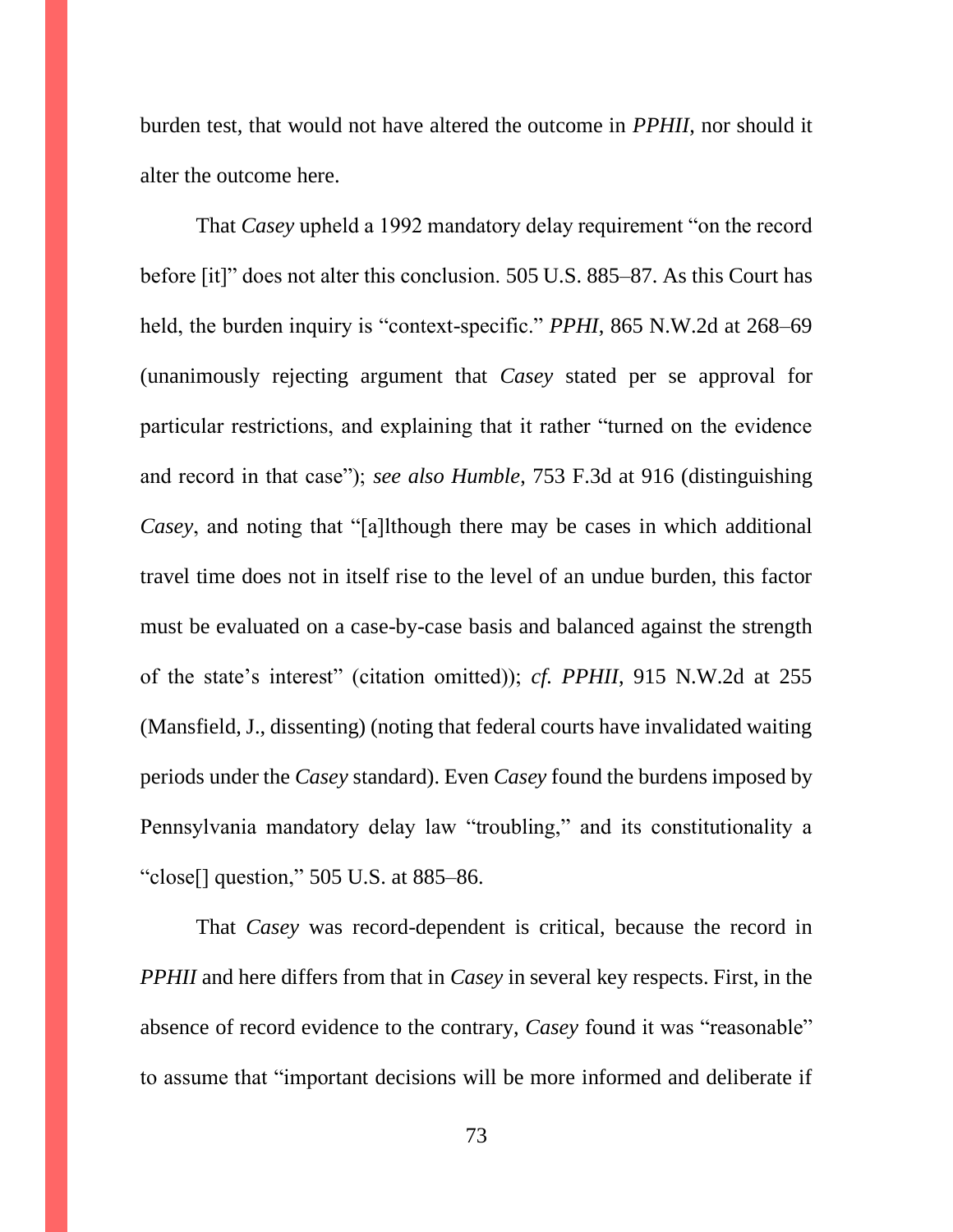burden test, that would not have altered the outcome in *PPHII*, nor should it alter the outcome here.

That *Casey* upheld a 1992 mandatory delay requirement "on the record before [it]" does not alter this conclusion. 505 U.S. 885–87. As this Court has held, the burden inquiry is "context-specific." *PPHI*, 865 N.W.2d at 268–69 (unanimously rejecting argument that *Casey* stated per se approval for particular restrictions, and explaining that it rather "turned on the evidence and record in that case"); *see also Humble*, 753 F.3d at 916 (distinguishing *Casey*, and noting that "[a]lthough there may be cases in which additional travel time does not in itself rise to the level of an undue burden, this factor must be evaluated on a case-by-case basis and balanced against the strength of the state's interest" (citation omitted)); *cf. PPHII*, 915 N.W.2d at 255 (Mansfield, J., dissenting) (noting that federal courts have invalidated waiting periods under the *Casey* standard). Even *Casey* found the burdens imposed by Pennsylvania mandatory delay law "troubling," and its constitutionality a "close[] question," 505 U.S. at 885–86.

That *Casey* was record-dependent is critical, because the record in *PPHII* and here differs from that in *Casey* in several key respects. First, in the absence of record evidence to the contrary, *Casey* found it was "reasonable" to assume that "important decisions will be more informed and deliberate if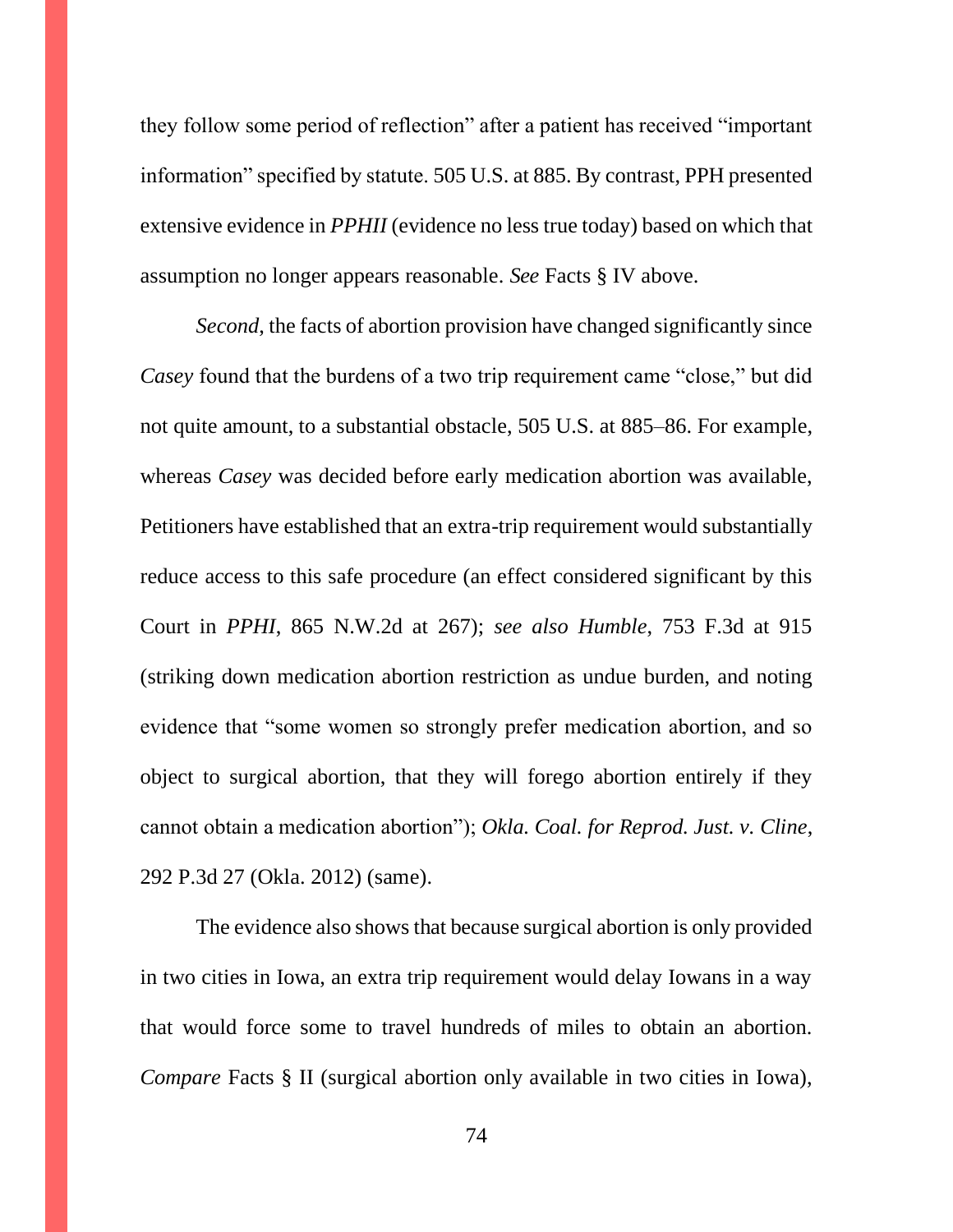they follow some period of reflection" after a patient has received "important information" specified by statute. 505 U.S. at 885. By contrast, PPH presented extensive evidence in *PPHII* (evidence no less true today) based on which that assumption no longer appears reasonable. *See* Facts § IV above.

*Second*, the facts of abortion provision have changed significantly since *Casey* found that the burdens of a two trip requirement came "close," but did not quite amount, to a substantial obstacle, 505 U.S. at 885–86. For example, whereas *Casey* was decided before early medication abortion was available, Petitioners have established that an extra-trip requirement would substantially reduce access to this safe procedure (an effect considered significant by this Court in *PPHI*, 865 N.W.2d at 267); *see also Humble*, 753 F.3d at 915 (striking down medication abortion restriction as undue burden, and noting evidence that "some women so strongly prefer medication abortion, and so object to surgical abortion, that they will forego abortion entirely if they cannot obtain a medication abortion"); *Okla. Coal. for Reprod. Just. v. Cline*, 292 P.3d 27 (Okla. 2012) (same).

The evidence also shows that because surgical abortion is only provided in two cities in Iowa, an extra trip requirement would delay Iowans in a way that would force some to travel hundreds of miles to obtain an abortion. *Compare* Facts § II (surgical abortion only available in two cities in Iowa),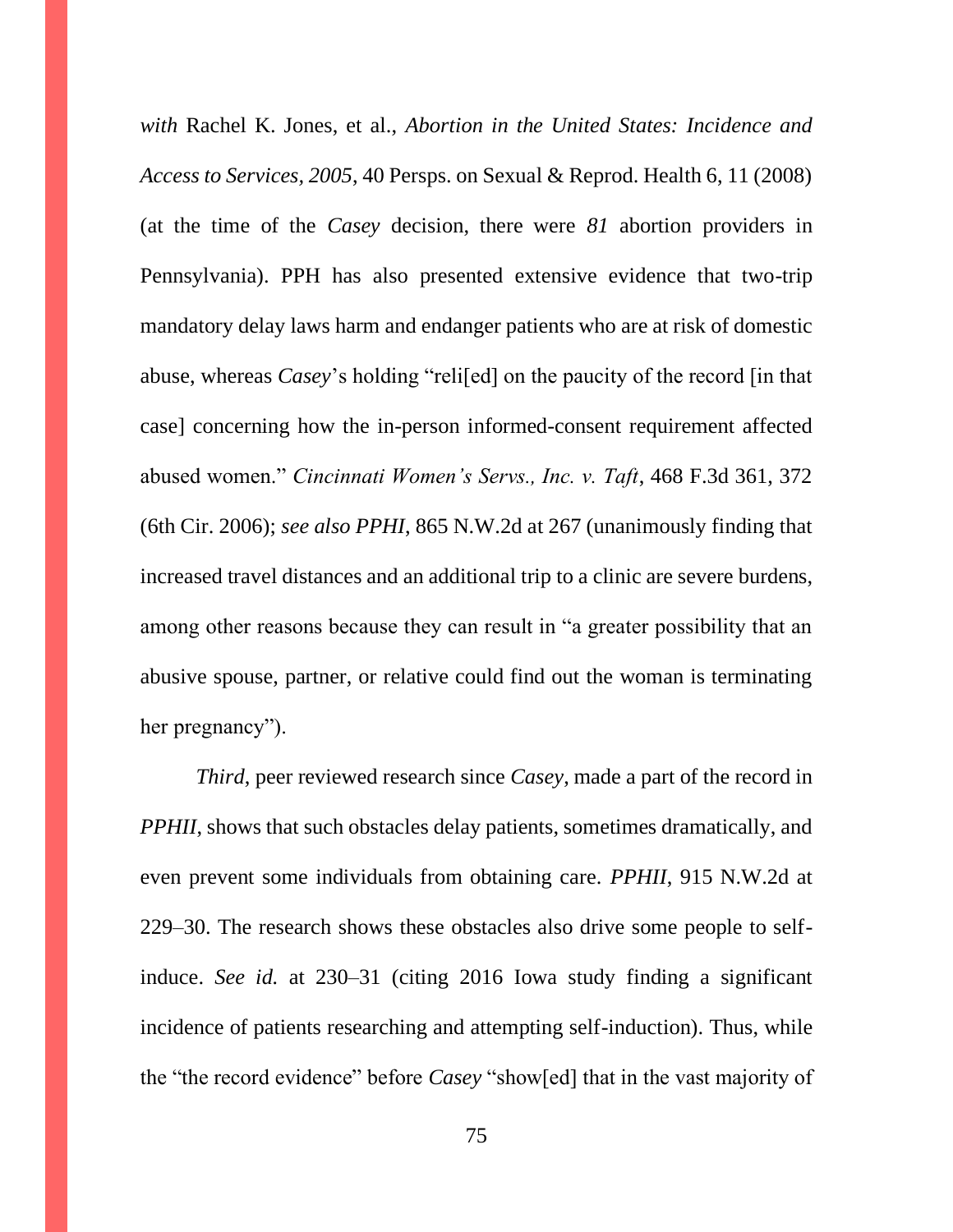*with* Rachel K. Jones, et al., *Abortion in the United States: Incidence and Access to Services, 2005*, 40 Persps. on Sexual & Reprod. Health 6, 11 (2008) (at the time of the *Casey* decision, there were *81* abortion providers in Pennsylvania). PPH has also presented extensive evidence that two-trip mandatory delay laws harm and endanger patients who are at risk of domestic abuse, whereas *Casey*'s holding "reli[ed] on the paucity of the record [in that case] concerning how the in-person informed-consent requirement affected abused women." *Cincinnati Women's Servs., Inc. v. Taft*, 468 F.3d 361, 372 (6th Cir. 2006); *see also PPHI*, 865 N.W.2d at 267 (unanimously finding that increased travel distances and an additional trip to a clinic are severe burdens, among other reasons because they can result in "a greater possibility that an abusive spouse, partner, or relative could find out the woman is terminating her pregnancy").

*Third*, peer reviewed research since *Casey*, made a part of the record in *PPHII*, shows that such obstacles delay patients, sometimes dramatically, and even prevent some individuals from obtaining care. *PPHII*, 915 N.W.2d at 229–30. The research shows these obstacles also drive some people to selfinduce. *See id.* at 230–31 (citing 2016 Iowa study finding a significant incidence of patients researching and attempting self-induction). Thus, while the "the record evidence" before *Casey* "show[ed] that in the vast majority of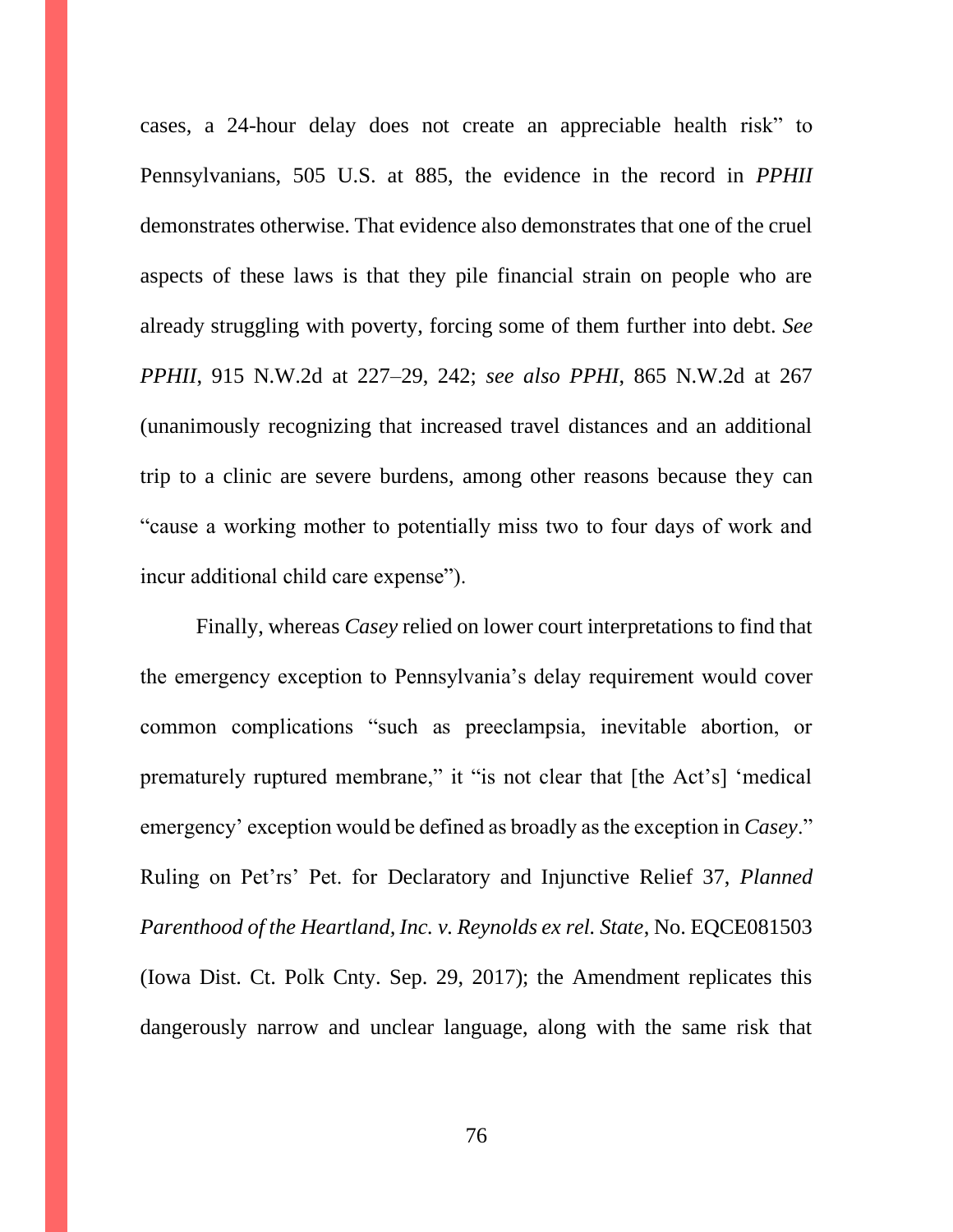cases, a 24-hour delay does not create an appreciable health risk" to Pennsylvanians, 505 U.S. at 885, the evidence in the record in *PPHII*  demonstrates otherwise. That evidence also demonstrates that one of the cruel aspects of these laws is that they pile financial strain on people who are already struggling with poverty, forcing some of them further into debt. *See PPHII*, 915 N.W.2d at 227–29, 242; *see also PPHI*, 865 N.W.2d at 267 (unanimously recognizing that increased travel distances and an additional trip to a clinic are severe burdens, among other reasons because they can "cause a working mother to potentially miss two to four days of work and incur additional child care expense").

Finally, whereas *Casey* relied on lower court interpretations to find that the emergency exception to Pennsylvania's delay requirement would cover common complications "such as preeclampsia, inevitable abortion, or prematurely ruptured membrane," it "is not clear that [the Act's] 'medical emergency' exception would be defined as broadly as the exception in *Casey*." Ruling on Pet'rs' Pet. for Declaratory and Injunctive Relief 37, *Planned Parenthood of the Heartland, Inc. v. Reynolds ex rel. State*, No. EQCE081503 (Iowa Dist. Ct. Polk Cnty. Sep. 29, 2017); the Amendment replicates this dangerously narrow and unclear language, along with the same risk that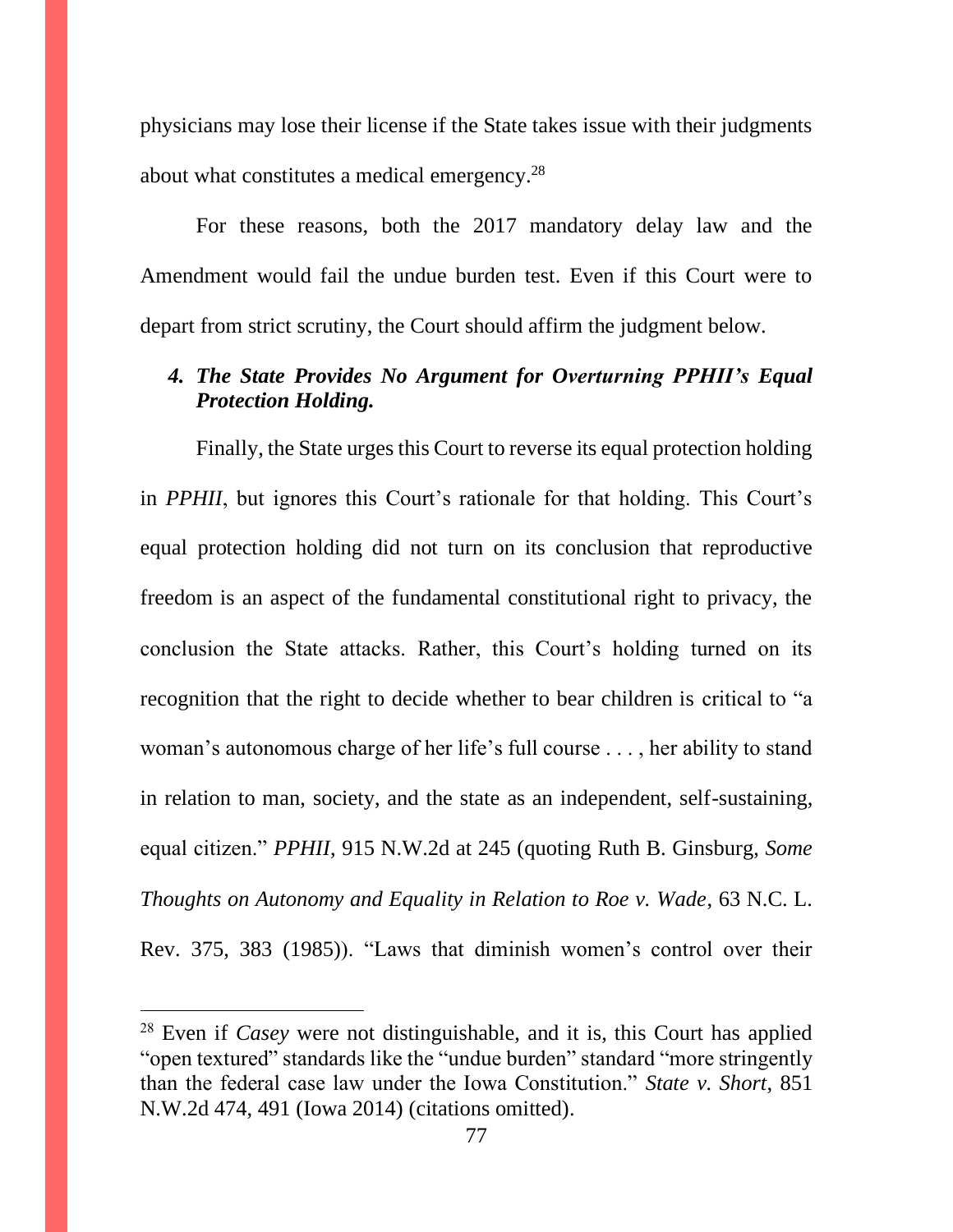physicians may lose their license if the State takes issue with their judgments about what constitutes a medical emergency.<sup>28</sup>

For these reasons, both the 2017 mandatory delay law and the Amendment would fail the undue burden test. Even if this Court were to depart from strict scrutiny, the Court should affirm the judgment below.

## *4. The State Provides No Argument for Overturning PPHII's Equal Protection Holding.*

Finally, the State urges this Court to reverse its equal protection holding in *PPHII*, but ignores this Court's rationale for that holding. This Court's equal protection holding did not turn on its conclusion that reproductive freedom is an aspect of the fundamental constitutional right to privacy, the conclusion the State attacks. Rather, this Court's holding turned on its recognition that the right to decide whether to bear children is critical to "a woman's autonomous charge of her life's full course . . . , her ability to stand in relation to man, society, and the state as an independent, self-sustaining, equal citizen." *PPHII*, 915 N.W.2d at 245 (quoting Ruth B. Ginsburg, *Some Thoughts on Autonomy and Equality in Relation to Roe v. Wade*, 63 N.C. L. Rev. 375, 383 (1985)). "Laws that diminish women's control over their

<sup>28</sup> Even if *Casey* were not distinguishable, and it is, this Court has applied "open textured" standards like the "undue burden" standard "more stringently than the federal case law under the Iowa Constitution." *State v. Short*, 851 N.W.2d 474, 491 (Iowa 2014) (citations omitted).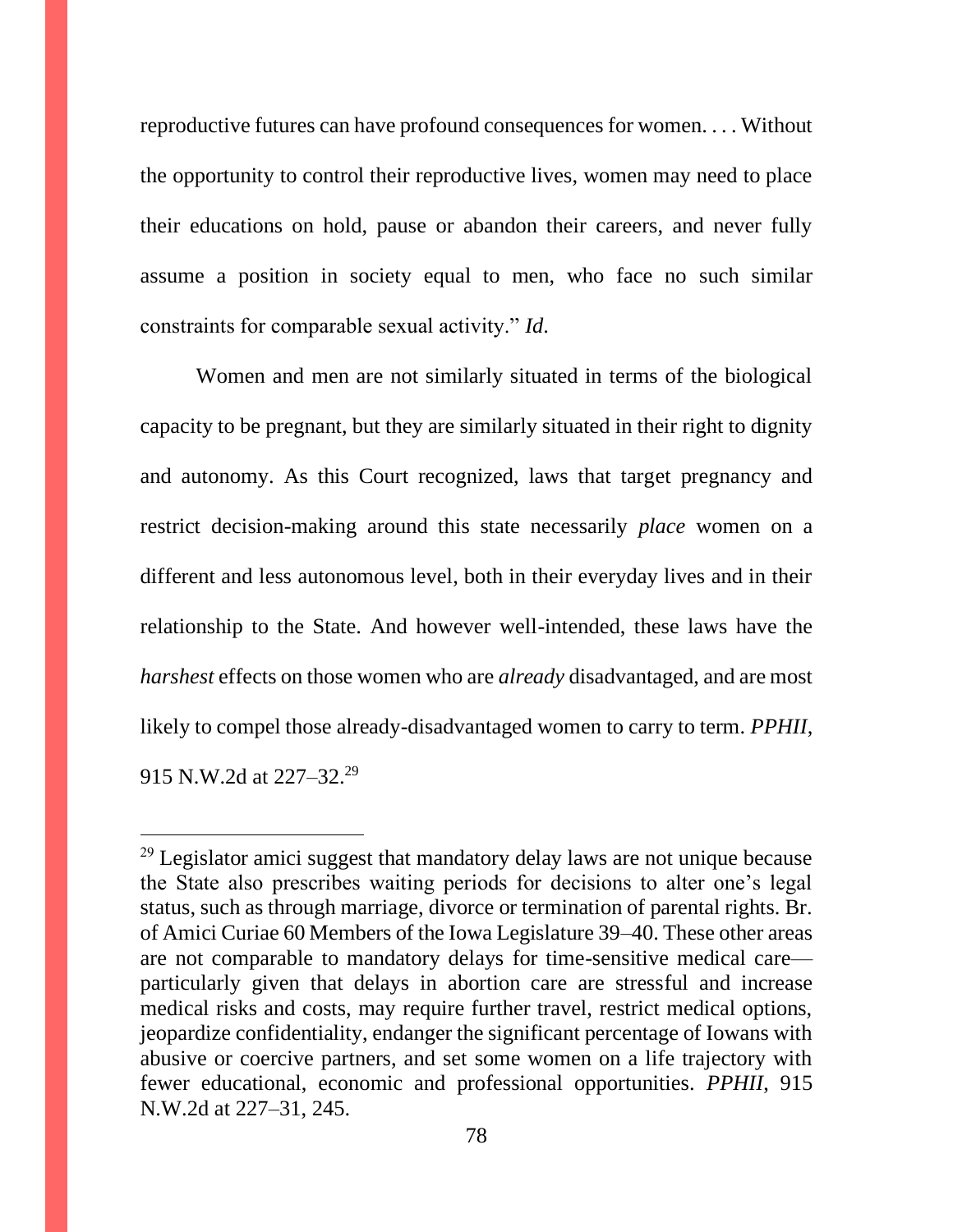reproductive futures can have profound consequences for women. . . . Without the opportunity to control their reproductive lives, women may need to place their educations on hold, pause or abandon their careers, and never fully assume a position in society equal to men, who face no such similar constraints for comparable sexual activity." *Id*.

Women and men are not similarly situated in terms of the biological capacity to be pregnant, but they are similarly situated in their right to dignity and autonomy. As this Court recognized, laws that target pregnancy and restrict decision-making around this state necessarily *place* women on a different and less autonomous level, both in their everyday lives and in their relationship to the State. And however well-intended, these laws have the *harshest* effects on those women who are *already* disadvantaged, and are most likely to compel those already-disadvantaged women to carry to term. *PPHII*, 915 N.W.2d at 227–32.<sup>29</sup>

 $29$  Legislator amici suggest that mandatory delay laws are not unique because the State also prescribes waiting periods for decisions to alter one's legal status, such as through marriage, divorce or termination of parental rights. Br. of Amici Curiae 60 Members of the Iowa Legislature 39–40. These other areas are not comparable to mandatory delays for time-sensitive medical care particularly given that delays in abortion care are stressful and increase medical risks and costs, may require further travel, restrict medical options, jeopardize confidentiality, endanger the significant percentage of Iowans with abusive or coercive partners, and set some women on a life trajectory with fewer educational, economic and professional opportunities. *PPHII*, 915 N.W.2d at 227–31, 245.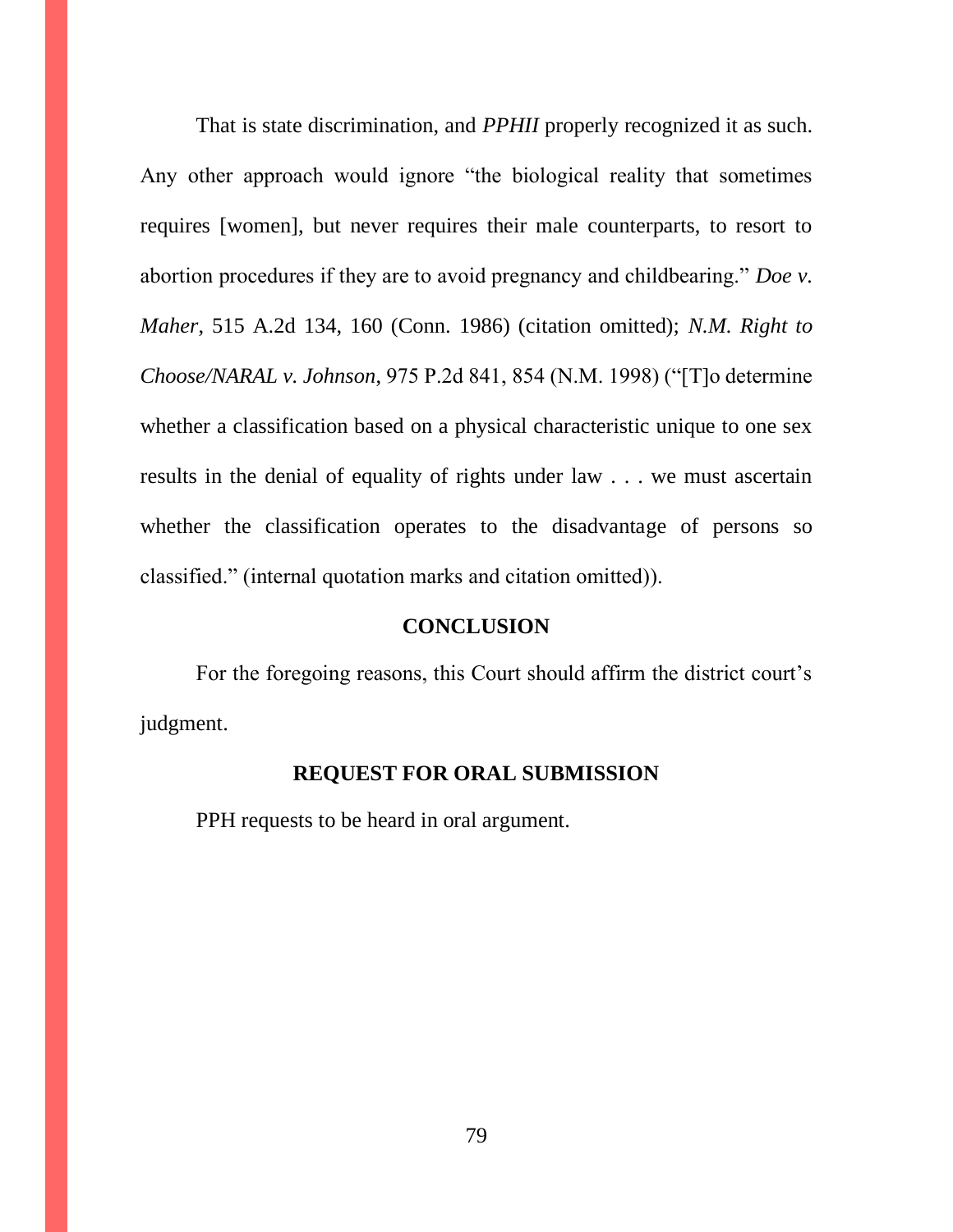That is state discrimination, and *PPHII* properly recognized it as such. Any other approach would ignore "the biological reality that sometimes requires [women], but never requires their male counterparts, to resort to abortion procedures if they are to avoid pregnancy and childbearing." *Doe v. Maher*, 515 A.2d 134, 160 (Conn. 1986) (citation omitted); *N.M. Right to Choose/NARAL v. Johnson*, 975 P.2d 841, 854 (N.M. 1998) ("[T]o determine whether a classification based on a physical characteristic unique to one sex results in the denial of equality of rights under law . . . we must ascertain whether the classification operates to the disadvantage of persons so classified." (internal quotation marks and citation omitted)).

#### **CONCLUSION**

For the foregoing reasons, this Court should affirm the district court's judgment.

### **REQUEST FOR ORAL SUBMISSION**

PPH requests to be heard in oral argument.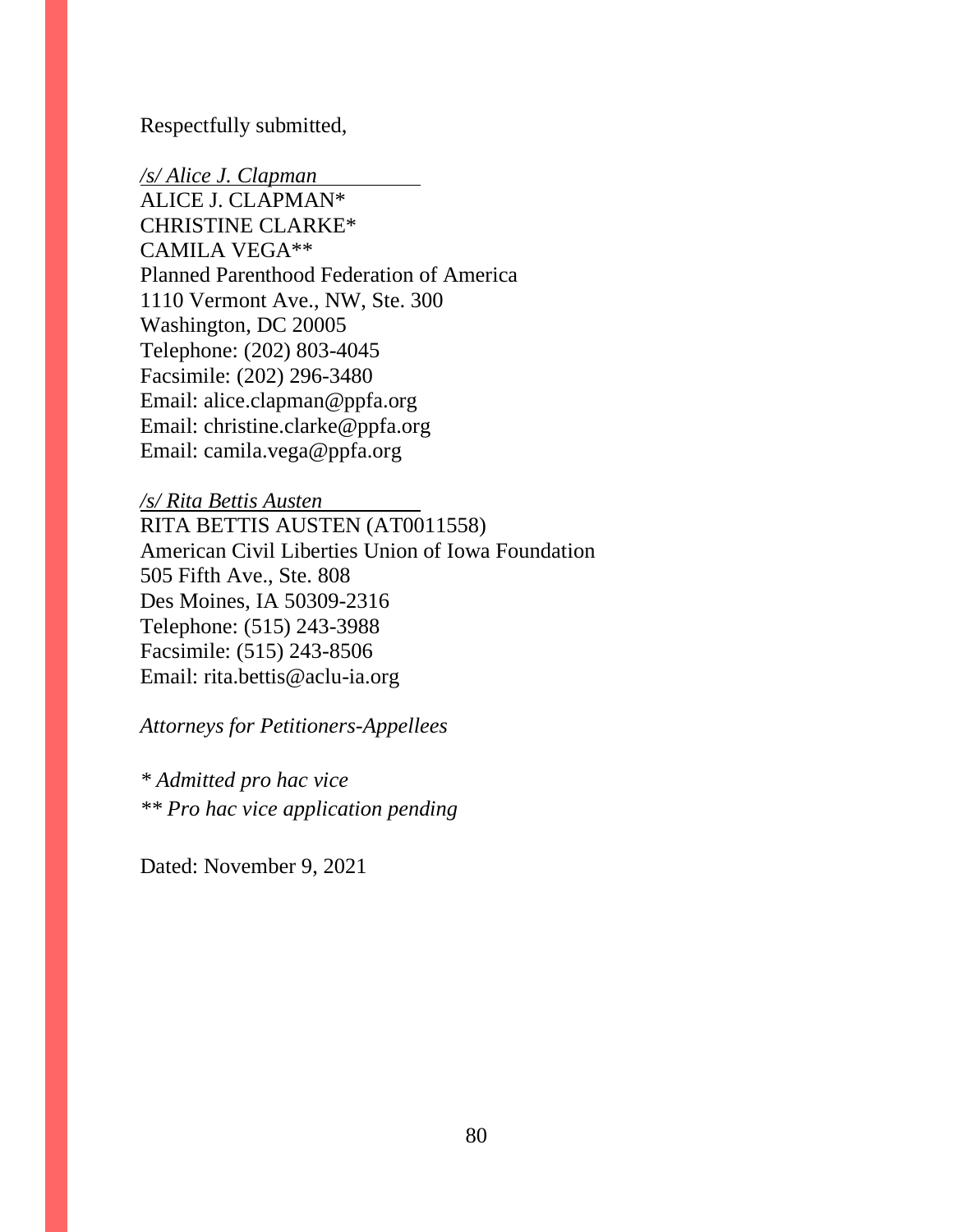Respectfully submitted,

*/s/ Alice J. Clapman* ALICE J. CLAPMAN\* CHRISTINE CLARKE\* CAMILA VEGA\*\* Planned Parenthood Federation of America 1110 Vermont Ave., NW, Ste. 300 Washington, DC 20005 Telephone: (202) 803-4045 Facsimile: (202) 296-3480 Email: alice.clapman@ppfa.org Email: christine.clarke@ppfa.org Email: camila.vega@ppfa.org

*/s/ Rita Bettis Austen* RITA BETTIS AUSTEN (AT0011558) American Civil Liberties Union of Iowa Foundation 505 Fifth Ave., Ste. 808 Des Moines, IA 50309-2316 Telephone: (515) 243-3988 Facsimile: (515) 243-8506 Email: rita.bettis@aclu-ia.org

*Attorneys for Petitioners-Appellees*

*\* Admitted pro hac vice \*\* Pro hac vice application pending*

Dated: November 9, 2021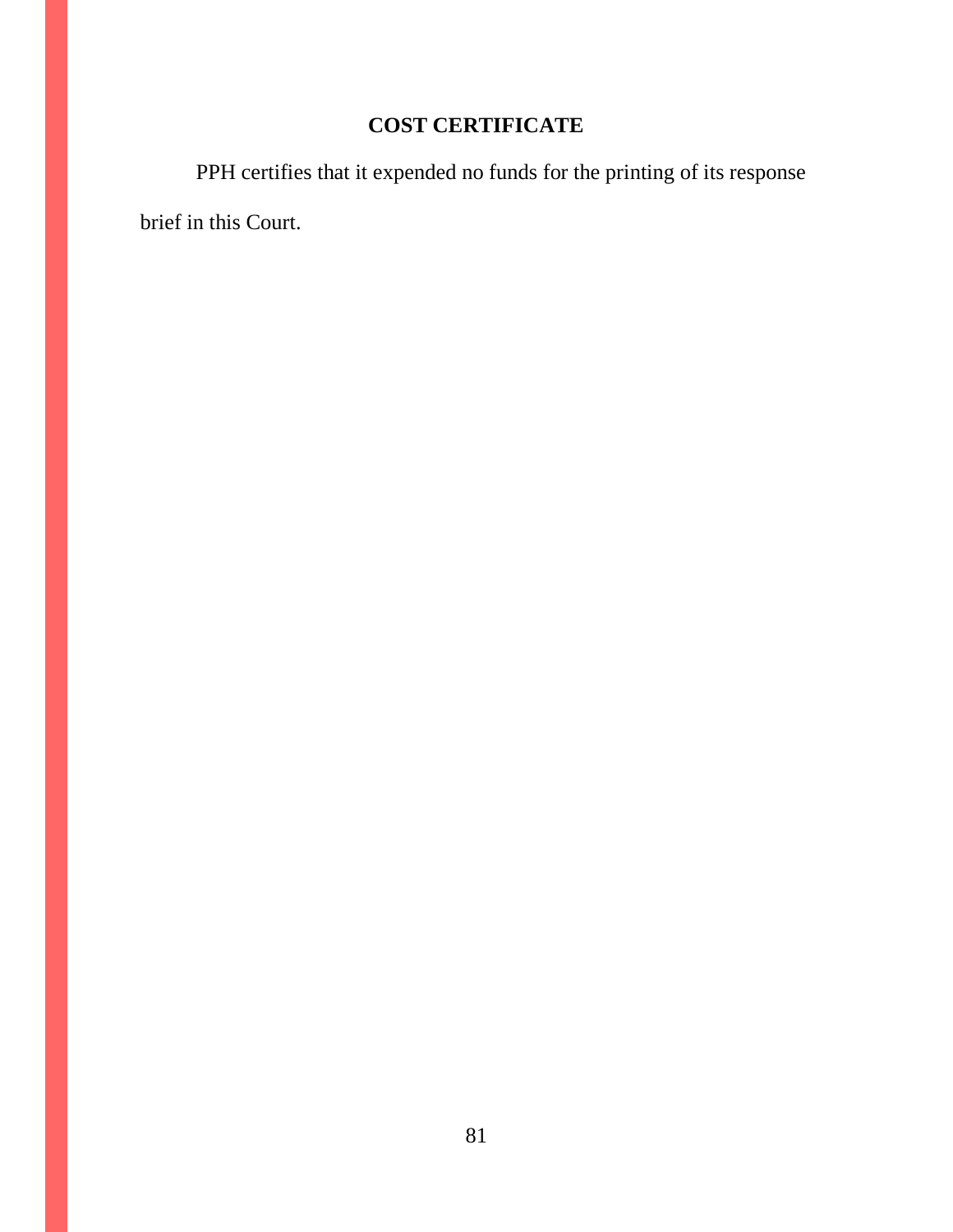# **COST CERTIFICATE**

PPH certifies that it expended no funds for the printing of its response brief in this Court.